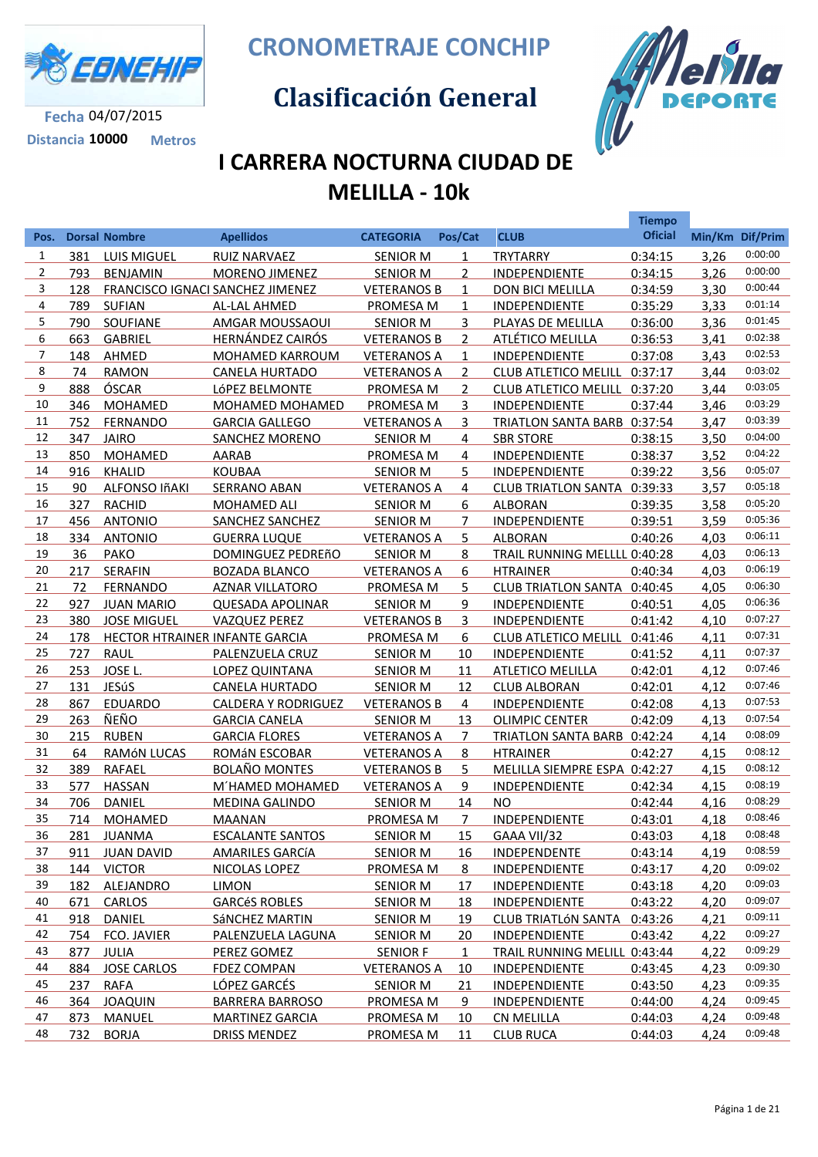

**Distancia 10000 Metros**

**CRONOMETRAJE CONCHIP**

 **Clasificación General**



## **I CARRERA NOCTURNA CIUDAD DE MELILLA - 10k**

|                |     |                                |                                  |                    |                |                              | <b>Tiempo</b>  |      |                 |
|----------------|-----|--------------------------------|----------------------------------|--------------------|----------------|------------------------------|----------------|------|-----------------|
| Pos.           |     | <b>Dorsal Nombre</b>           | <b>Apellidos</b>                 | <b>CATEGORIA</b>   | Pos/Cat        | <b>CLUB</b>                  | <b>Oficial</b> |      | Min/Km Dif/Prim |
| $\mathbf{1}$   | 381 | LUIS MIGUEL                    | <b>RUIZ NARVAEZ</b>              | <b>SENIOR M</b>    | $\mathbf{1}$   | <b>TRYTARRY</b>              | 0:34:15        | 3,26 | 0:00:00         |
| $\overline{2}$ | 793 | <b>BENJAMIN</b>                | MORENO JIMENEZ                   | <b>SENIOR M</b>    | $\overline{2}$ | INDEPENDIENTE                | 0:34:15        | 3,26 | 0:00:00         |
| 3              | 128 |                                | FRANCISCO IGNACI SANCHEZ JIMENEZ | <b>VETERANOS B</b> | $\mathbf{1}$   | DON BICI MELILLA             | 0:34:59        | 3,30 | 0:00:44         |
| 4              | 789 | <b>SUFIAN</b>                  | AL-LAL AHMED                     | PROMESA M          | $\mathbf{1}$   | INDEPENDIENTE                | 0:35:29        | 3,33 | 0:01:14         |
| 5              | 790 | SOUFIANE                       | AMGAR MOUSSAOUI                  | <b>SENIOR M</b>    | 3              | PLAYAS DE MELILLA            | 0:36:00        | 3,36 | 0:01:45         |
| 6              | 663 | <b>GABRIEL</b>                 | HERNÁNDEZ CAIRÓS                 | <b>VETERANOS B</b> | $\overline{2}$ | <b>ATLÉTICO MELILLA</b>      | 0:36:53        | 3,41 | 0:02:38         |
| 7              | 148 | AHMED                          | <b>MOHAMED KARROUM</b>           | <b>VETERANOS A</b> | $\mathbf{1}$   | INDEPENDIENTE                | 0:37:08        | 3,43 | 0:02:53         |
| 8              | 74  | <b>RAMON</b>                   | <b>CANELA HURTADO</b>            | <b>VETERANOS A</b> | $\overline{2}$ | <b>CLUB ATLETICO MELILL</b>  | 0:37:17        | 3,44 | 0:03:02         |
| 9              | 888 | ÓSCAR                          | LÓPEZ BELMONTE                   | PROMESA M          | $\overline{2}$ | CLUB ATLETICO MELILL 0:37:20 |                | 3,44 | 0:03:05         |
| 10             | 346 | <b>MOHAMED</b>                 | <b>MOHAMED MOHAMED</b>           | PROMESA M          | 3              | INDEPENDIENTE                | 0:37:44        | 3,46 | 0:03:29         |
| 11             | 752 | <b>FERNANDO</b>                | <b>GARCIA GALLEGO</b>            | <b>VETERANOS A</b> | 3              | TRIATLON SANTA BARB 0:37:54  |                | 3,47 | 0:03:39         |
| 12             | 347 | <b>JAIRO</b>                   | SANCHEZ MORENO                   | <b>SENIOR M</b>    | 4              | <b>SBR STORE</b>             | 0:38:15        | 3,50 | 0:04:00         |
| 13             | 850 | <b>MOHAMED</b>                 | AARAB                            | PROMESA M          | 4              | <b>INDEPENDIENTE</b>         | 0:38:37        | 3,52 | 0:04:22         |
| 14             | 916 | <b>KHALID</b>                  | <b>KOUBAA</b>                    | <b>SENIOR M</b>    | 5              | <b>INDEPENDIENTE</b>         | 0:39:22        | 3,56 | 0:05:07         |
| 15             | 90  | ALFONSO IñAKI                  | <b>SERRANO ABAN</b>              | <b>VETERANOS A</b> | 4              | CLUB TRIATLON SANTA 0:39:33  |                | 3,57 | 0:05:18         |
| 16             | 327 | <b>RACHID</b>                  | <b>MOHAMED ALI</b>               | <b>SENIOR M</b>    | 6              | <b>ALBORAN</b>               | 0:39:35        | 3,58 | 0:05:20         |
| 17             |     | 456 ANTONIO                    | SANCHEZ SANCHEZ                  | <b>SENIOR M</b>    | $\overline{7}$ | <b>INDEPENDIENTE</b>         | 0:39:51        | 3,59 | 0:05:36         |
| 18             | 334 | <b>ANTONIO</b>                 | <b>GUERRA LUQUE</b>              | <b>VETERANOS A</b> | 5              | <b>ALBORAN</b>               | 0:40:26        | 4,03 | 0:06:11         |
| 19             | 36  | PAKO                           | DOMINGUEZ PEDREñO                | <b>SENIOR M</b>    | 8              | TRAIL RUNNING MELLLL 0:40:28 |                | 4,03 | 0:06:13         |
| 20             | 217 | SERAFIN                        | <b>BOZADA BLANCO</b>             | <b>VETERANOS A</b> | 6              | <b>HTRAINER</b>              | 0:40:34        | 4,03 | 0:06:19         |
| 21             | 72  | <b>FERNANDO</b>                | <b>AZNAR VILLATORO</b>           | PROMESA M          | 5              | CLUB TRIATLON SANTA 0:40:45  |                | 4,05 | 0:06:30         |
| 22             | 927 | <b>JUAN MARIO</b>              | <b>QUESADA APOLINAR</b>          | <b>SENIOR M</b>    | 9              | <b>INDEPENDIENTE</b>         | 0:40:51        | 4,05 | 0:06:36         |
| 23             | 380 | <b>JOSE MIGUEL</b>             | <b>VAZQUEZ PEREZ</b>             | <b>VETERANOS B</b> | 3              | <b>INDEPENDIENTE</b>         | 0:41:42        | 4,10 | 0:07:27         |
| 24             | 178 | HECTOR HTRAINER INFANTE GARCIA |                                  | PROMESA M          | 6              | CLUB ATLETICO MELILL 0:41:46 |                | 4,11 | 0:07:31         |
| 25             | 727 | <b>RAUL</b>                    | PALENZUELA CRUZ                  | <b>SENIOR M</b>    | 10             | <b>INDEPENDIENTE</b>         | 0:41:52        | 4,11 | 0:07:37         |
| 26             | 253 | JOSE L.                        | LOPEZ QUINTANA                   | <b>SENIOR M</b>    | 11             | <b>ATLETICO MELILLA</b>      | 0:42:01        | 4,12 | 0:07:46         |
| 27             | 131 | JESúS                          | <b>CANELA HURTADO</b>            | <b>SENIOR M</b>    | 12             | <b>CLUB ALBORAN</b>          | 0:42:01        | 4,12 | 0:07:46         |
| 28             | 867 | <b>EDUARDO</b>                 | <b>CALDERA Y RODRIGUEZ</b>       | <b>VETERANOS B</b> | $\overline{4}$ | <b>INDEPENDIENTE</b>         | 0:42:08        | 4,13 | 0:07:53         |
| 29             | 263 | ÑEÑO                           | <b>GARCIA CANELA</b>             | <b>SENIOR M</b>    | 13             | <b>OLIMPIC CENTER</b>        | 0:42:09        | 4,13 | 0:07:54         |
| 30             | 215 | <b>RUBEN</b>                   | <b>GARCIA FLORES</b>             | <b>VETERANOS A</b> | $\overline{7}$ | TRIATLON SANTA BARB 0:42:24  |                | 4,14 | 0:08:09         |
| 31             | 64  | RAMÓN LUCAS                    | ROMÁN ESCOBAR                    | <b>VETERANOS A</b> | 8              | <b>HTRAINER</b>              | 0:42:27        | 4,15 | 0:08:12         |
| 32             | 389 | <b>RAFAEL</b>                  | <b>BOLAÑO MONTES</b>             | <b>VETERANOS B</b> | 5              | MELILLA SIEMPRE ESPA 0:42:27 |                | 4,15 | 0:08:12         |
| 33             | 577 | <b>HASSAN</b>                  | M'HAMED MOHAMED                  | <b>VETERANOS A</b> | 9              | INDEPENDIENTE                | 0:42:34        | 4,15 | 0:08:19         |
| 34             | 706 | <b>DANIEL</b>                  | <b>MEDINA GALINDO</b>            | <b>SENIOR M</b>    | 14             | NO                           | 0:42:44        | 4,16 | 0:08:29         |
| 35             | 714 | <b>MOHAMED</b>                 | <b>MAANAN</b>                    | <b>PROMESA M</b>   | 7              | <b>INDEPENDIENTE</b>         | 0:43:01        | 4.18 | 0:08:46         |
| 36             | 281 | <b>JUANMA</b>                  | <b>ESCALANTE SANTOS</b>          | <b>SENIOR M</b>    | <u>15</u>      | GAAA VII/32                  | 0:43:03        | 4,18 | 0:08:48         |
| 37             | 911 | <b>JUAN DAVID</b>              | AMARILES GARCÍA                  | <b>SENIOR M</b>    | <u>16</u>      | <b>INDEPENDENTE</b>          | 0:43:14        | 4,19 | 0:08:59         |
| 38             | 144 | <b>VICTOR</b>                  | NICOLAS LOPEZ                    | <b>PROMESA M</b>   | 8              | <b>INDEPENDIENTE</b>         | 0:43:17        | 4,20 | 0:09:02         |
| 39             | 182 | ALEJANDRO                      | LIMON                            | <b>SENIOR M</b>    | <u>17</u>      | <b>INDEPENDIENTE</b>         | 0:43:18        | 4,20 | 0:09:03         |
| 40             | 671 | <b>CARLOS</b>                  | <b>GARCéS ROBLES</b>             | <b>SENIOR M</b>    | <u>18</u>      | <b>INDEPENDIENTE</b>         | 0:43:22        | 4,20 | 0:09:07         |
| 41             | 918 | DANIEL                         | <b>SÁNCHEZ MARTIN</b>            | <b>SENIOR M</b>    | <u>19</u>      | <b>CLUB TRIATLÓN SANTA</b>   | 0:43:26        | 4,21 | 0:09:11         |
| 42             | 754 | FCO. JAVIER                    | PALENZUELA LAGUNA                | <b>SENIOR M</b>    | <u>20</u>      | <b>INDEPENDIENTE</b>         | 0:43:42        | 4,22 | 0:09:27         |
| 43             | 877 | <b>JULIA</b>                   | PEREZ GOMEZ                      | <b>SENIOR F</b>    | $\overline{1}$ | TRAIL RUNNING MELILL 0:43:44 |                | 4,22 | 0:09:29         |
| 44             | 884 | <b>JOSE CARLOS</b>             | <b>FDEZ COMPAN</b>               | <b>VETERANOS A</b> | <u>10</u>      | <b>INDEPENDIENTE</b>         | 0:43:45        | 4,23 | 0:09:30         |
| 45             | 237 | <b>RAFA</b>                    | LÓPEZ GARCÉS                     | <b>SENIOR M</b>    | <u>21</u>      | <b>INDEPENDIENTE</b>         | 0:43:50        | 4,23 | 0:09:35         |
| 46             | 364 | <b>JOAQUIN</b>                 | <b>BARRERA BARROSO</b>           | PROMESA M          | 9              | <b>INDEPENDIENTE</b>         | 0:44:00        | 4,24 | 0:09:45         |
| 47             | 873 | <b>MANUEL</b>                  | <b>MARTINEZ GARCIA</b>           | <b>PROMESA M</b>   | <u>10</u>      | <b>CN MELILLA</b>            | 0:44:03        | 4,24 | 0:09:48         |
| 48             | 732 | <b>BORJA</b>                   | <b>DRISS MENDEZ</b>              | PROMESA M          | 11             | <b>CLUB RUCA</b>             | 0:44:03        | 4,24 | 0:09:48         |
|                |     |                                |                                  |                    |                |                              |                |      |                 |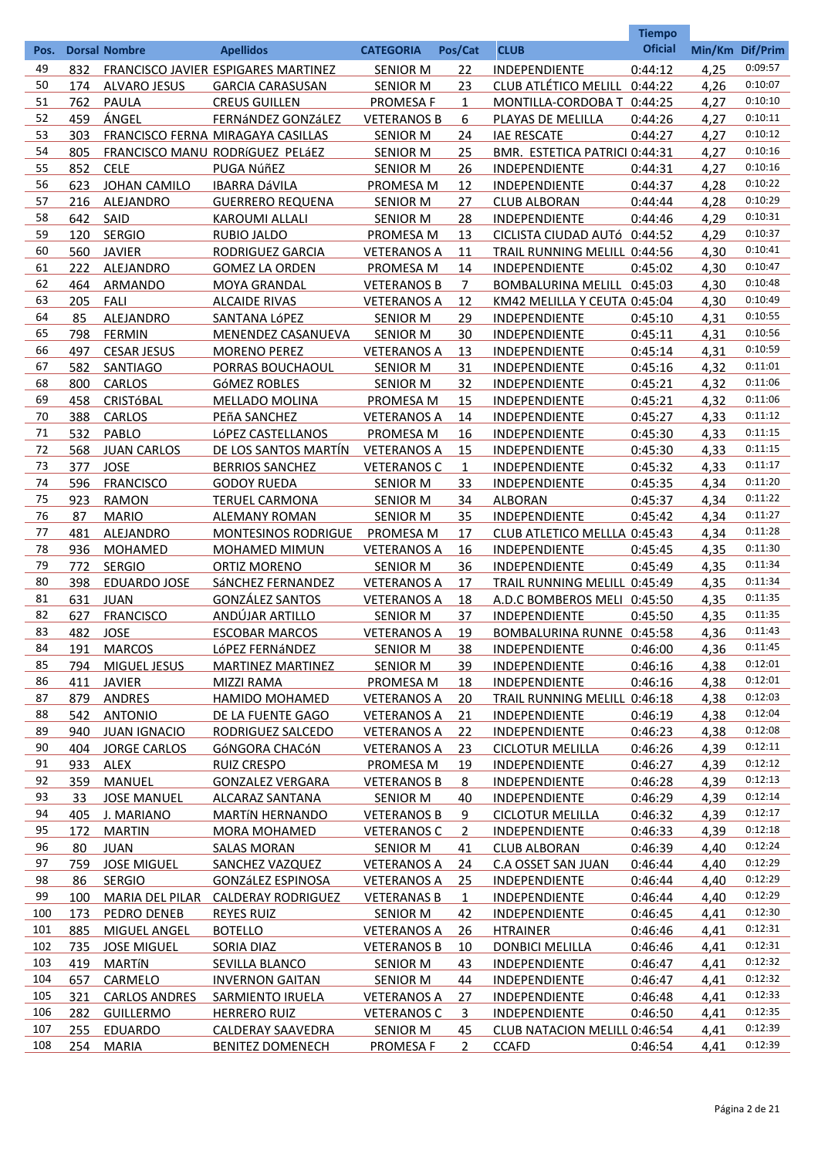|            |             |                      |                                     |                    |                |                                     | <b>Tiempo</b>  |      |                    |
|------------|-------------|----------------------|-------------------------------------|--------------------|----------------|-------------------------------------|----------------|------|--------------------|
| Pos.       |             | <b>Dorsal Nombre</b> | <b>Apellidos</b>                    | <b>CATEGORIA</b>   | Pos/Cat        | <b>CLUB</b>                         | <b>Oficial</b> |      | Min/Km Dif/Prim    |
| 49         | 832         |                      | FRANCISCO JAVIER ESPIGARES MARTINEZ | <b>SENIOR M</b>    | 22             | INDEPENDIENTE                       | 0:44:12        | 4,25 | 0:09:57            |
| 50         | 174         | <b>ALVARO JESUS</b>  | <b>GARCIA CARASUSAN</b>             | <b>SENIOR M</b>    | 23             | CLUB ATLÉTICO MELILL 0:44:22        |                | 4,26 | 0:10:07            |
| 51         | 762         | PAULA                | <b>CREUS GUILLEN</b>                | PROMESA F          | $\mathbf{1}$   | MONTILLA-CORDOBA T 0:44:25          |                | 4,27 | 0:10:10            |
| 52         | 459         | ÁNGEL                | FERNÁNDEZ GONZÁLEZ                  | <b>VETERANOS B</b> | 6              | PLAYAS DE MELILLA                   | 0:44:26        | 4,27 | 0:10:11            |
| 53         | 303         |                      | FRANCISCO FERNA MIRAGAYA CASILLAS   | <b>SENIOR M</b>    | 24             | <b>IAE RESCATE</b>                  | 0:44:27        | 4,27 | 0:10:12            |
| 54         | 805         |                      | FRANCISCO MANU RODRÍGUEZ PELÁEZ     | <b>SENIOR M</b>    | 25             | BMR. ESTETICA PATRICI 0:44:31       |                | 4,27 | 0:10:16            |
| 55         | 852         | <b>CELE</b>          | PUGA NúñEZ                          | <b>SENIOR M</b>    | 26             | INDEPENDIENTE                       | 0:44:31        | 4,27 | 0:10:16            |
| 56         | 623         | JOHAN CAMILO         | <b>IBARRA DÁVILA</b>                | PROMESA M          | 12             | INDEPENDIENTE                       | 0:44:37        | 4,28 | 0:10:22            |
| 57         | 216         | ALEJANDRO            | <b>GUERRERO REQUENA</b>             | <b>SENIOR M</b>    | 27             | <b>CLUB ALBORAN</b>                 | 0:44:44        | 4,28 | 0:10:29            |
| 58         | 642         | SAID                 | <b>KAROUMI ALLALI</b>               | <b>SENIOR M</b>    | 28             | INDEPENDIENTE                       | 0:44:46        | 4,29 | 0:10:31            |
| 59         | 120         | <b>SERGIO</b>        | <b>RUBIO JALDO</b>                  | PROMESA M          | 13             | CICLISTA CIUDAD AUTÓ 0:44:52        |                | 4,29 | 0:10:37            |
| 60         | 560         | <b>JAVIER</b>        | RODRIGUEZ GARCIA                    | <b>VETERANOS A</b> | 11             | TRAIL RUNNING MELILL 0:44:56        |                | 4,30 | 0:10:41            |
| 61         | 222         | ALEJANDRO            | <b>GOMEZ LA ORDEN</b>               | PROMESA M          | 14             | INDEPENDIENTE                       | 0:45:02        | 4,30 | 0:10:47            |
| 62         | 464         | ARMANDO              | MOYA GRANDAL                        | <b>VETERANOS B</b> | $\overline{7}$ | BOMBALURINA MELILL 0:45:03          |                | 4,30 | 0:10:48            |
| 63         | 205         | <b>FALI</b>          | <b>ALCAIDE RIVAS</b>                | <b>VETERANOS A</b> | 12             | KM42 MELILLA Y CEUTA 0:45:04        |                | 4,30 | 0:10:49            |
| 64         | 85          | ALEJANDRO            | SANTANA LÓPEZ                       | <b>SENIOR M</b>    | 29             | INDEPENDIENTE                       | 0:45:10        | 4,31 | 0:10:55            |
| 65         | 798         | <b>FERMIN</b>        | MENENDEZ CASANUEVA                  | <b>SENIOR M</b>    | 30             | INDEPENDIENTE                       | 0:45:11        | 4,31 | 0:10:56            |
| 66         | 497         | <b>CESAR JESUS</b>   | <b>MORENO PEREZ</b>                 | <b>VETERANOS A</b> | 13             | INDEPENDIENTE                       | 0:45:14        | 4,31 | 0:10:59            |
| 67         | 582         | <b>SANTIAGO</b>      | PORRAS BOUCHAOUL                    | <b>SENIOR M</b>    | 31             | INDEPENDIENTE                       | 0:45:16        | 4,32 | 0:11:01            |
| 68         | 800         | CARLOS               | <b>GÓMEZ ROBLES</b>                 | <b>SENIOR M</b>    | 32             | INDEPENDIENTE                       | 0:45:21        | 4,32 | 0:11:06            |
| 69         | 458         | CRISTÓBAL            | <b>MELLADO MOLINA</b>               | PROMESA M          | 15             | INDEPENDIENTE                       | 0:45:21        | 4,32 | 0:11:06            |
| 70         | 388         | CARLOS               | PEñA SANCHEZ                        | <b>VETERANOS A</b> | 14             | INDEPENDIENTE                       | 0:45:27        | 4,33 | 0:11:12            |
| 71         | 532         | PABLO                | LÓPEZ CASTELLANOS                   | PROMESA M          | 16             | INDEPENDIENTE                       | 0:45:30        | 4,33 | 0:11:15            |
| 72         | 568         | <b>JUAN CARLOS</b>   | DE LOS SANTOS MARTÍN                | <b>VETERANOS A</b> | 15             | INDEPENDIENTE                       | 0:45:30        | 4,33 | 0:11:15            |
| 73         | 377         | <b>JOSE</b>          | <b>BERRIOS SANCHEZ</b>              | <b>VETERANOS C</b> | $\mathbf{1}$   | INDEPENDIENTE                       | 0:45:32        | 4,33 | 0:11:17            |
| 74         | 596         | <b>FRANCISCO</b>     | <b>GODOY RUEDA</b>                  | <b>SENIOR M</b>    | 33             | INDEPENDIENTE                       | 0:45:35        | 4,34 | 0:11:20            |
| 75         | 923         | <b>RAMON</b>         | <b>TERUEL CARMONA</b>               | <b>SENIOR M</b>    | 34             | <b>ALBORAN</b>                      | 0:45:37        | 4,34 | 0:11:22            |
| 76         | 87          | <b>MARIO</b>         | <b>ALEMANY ROMAN</b>                | <b>SENIOR M</b>    | 35             | INDEPENDIENTE                       | 0:45:42        | 4,34 | 0:11:27            |
| 77         | 481         | ALEJANDRO            | <b>MONTESINOS RODRIGUE</b>          | PROMESA M          | 17             | CLUB ATLETICO MELLLA 0:45:43        |                | 4,34 | 0:11:28            |
| 78         | 936         | <b>MOHAMED</b>       | <b>MOHAMED MIMUN</b>                | <b>VETERANOS A</b> | 16             | INDEPENDIENTE                       | 0:45:45        | 4,35 | 0:11:30            |
| 79         | 772         | <b>SERGIO</b>        | <b>ORTIZ MORENO</b>                 | <b>SENIOR M</b>    | 36             | INDEPENDIENTE                       | 0:45:49        | 4,35 | 0:11:34            |
| 80         | 398         | <b>EDUARDO JOSE</b>  | SÁNCHEZ FERNANDEZ                   | <b>VETERANOS A</b> | 17             | TRAIL RUNNING MELILL 0:45:49        |                | 4,35 | 0:11:34            |
| 81         | 631         | <b>JUAN</b>          | <b>GONZÁLEZ SANTOS</b>              | <b>VETERANOS A</b> | 18             | A.D.C BOMBEROS MELI 0:45:50         |                | 4,35 | 0:11:35            |
| 82         | 627         | <b>FRANCISCO</b>     | <u>ANDÚJAR ARTILLO</u>              | <b>SENIOR M</b>    | 37             | <b>INDEPENDIENTE</b>                | 0:45:50        | 4,35 | 0:11:35            |
| 83         | 482         | <b>JOSE</b>          | <b>ESCOBAR MARCOS</b>               | <b>VETERANOS A</b> | 19             | BOMBALURINA RUNNE 0:45:58           |                | 4,36 | 0:11:43            |
| 84         | <u> 191</u> | <b>MARCOS</b>        | LÓPEZ FERNÁNDEZ                     | <b>SENIOR M</b>    | 38             | INDEPENDIENTE                       | 0:46:00        | 4,36 | 0:11:45            |
| 85         | 794         | MIGUEL JESUS         | <b>MARTINEZ MARTINEZ</b>            | <b>SENIOR M</b>    | 39             | <b>INDEPENDIENTE</b>                | 0:46:16        | 4,38 | 0:12:01            |
| 86         | 411         | <b>JAVIER</b>        | MIZZI RAMA                          | <b>PROMESA M</b>   | 18             | <b>INDEPENDIENTE</b>                | 0:46:16        | 4,38 | 0:12:01            |
| 87         | 879         | <b>ANDRES</b>        | <b>HAMIDO MOHAMED</b>               | <b>VETERANOS A</b> | 20             | TRAIL RUNNING MELILL 0:46:18        |                | 4,38 | 0:12:03            |
| 88         | 542         | <b>ANTONIO</b>       | DE LA FUENTE GAGO                   | <b>VETERANOS A</b> | 21             | <b>INDEPENDIENTE</b>                | 0:46:19        | 4,38 | 0:12:04            |
| 89         | 940         | <b>JUAN IGNACIO</b>  | RODRIGUEZ SALCEDO                   | <b>VETERANOS A</b> | 22             | <b>INDEPENDIENTE</b>                | 0:46:23        | 4,38 | 0:12:08            |
| 90         | 404         | <b>JORGE CARLOS</b>  | GÓNGORA CHACÓN                      | <b>VETERANOS A</b> | 23             | <b>CICLOTUR MELILLA</b>             | 0:46:26        | 4,39 | 0:12:11            |
| 91         | 933         | ALEX                 | <b>RUIZ CRESPO</b>                  | PROMESA M          | 19             | <b>INDEPENDIENTE</b>                | 0:46:27        | 4,39 | 0:12:12            |
| 92         | 359         | <b>MANUEL</b>        | <b>GONZALEZ VERGARA</b>             | <b>VETERANOS B</b> | 8              | <b>INDEPENDIENTE</b>                | 0:46:28        | 4,39 | 0:12:13            |
| 93         | 33          | <b>JOSE MANUEL</b>   | <b>ALCARAZ SANTANA</b>              | <b>SENIOR M</b>    | 40             | <b>INDEPENDIENTE</b>                | 0:46:29        | 4,39 | 0:12:14<br>0:12:17 |
| 94         | 405         | J. MARIANO           | <b>MARTÍN HERNANDO</b>              | <b>VETERANOS B</b> | 9              | <b>CICLOTUR MELILLA</b>             | 0:46:32        | 4,39 | 0:12:18            |
| 95         | 172         | <b>MARTIN</b>        | <b>MORA MOHAMED</b>                 | <b>VETERANOS C</b> | $\overline{2}$ | <b>INDEPENDIENTE</b>                | 0:46:33        | 4,39 | 0:12:24            |
| 96         | 80          | <b>JUAN</b>          | <b>SALAS MORAN</b>                  | <b>SENIOR M</b>    | 41             | <b>CLUB ALBORAN</b>                 | 0:46:39        | 4,40 | 0:12:29            |
| 97         | 759         | <b>JOSE MIGUEL</b>   | SANCHEZ VAZQUEZ                     | <b>VETERANOS A</b> | 24             | <b>C.A OSSET SAN JUAN</b>           | 0:46:44        | 4,40 |                    |
| 98         | 86          | <b>SERGIO</b>        | <b>GONZÁLEZ ESPINOSA</b>            | <b>VETERANOS A</b> | 25             | <b>INDEPENDIENTE</b>                | 0:46:44        | 4,40 | 0:12:29<br>0:12:29 |
| 99         | 100         |                      | MARIA DEL PILAR CALDERAY RODRIGUEZ  | <b>VETERANAS B</b> | 1              | <b>INDEPENDIENTE</b>                | 0:46:44        | 4,40 | 0:12:30            |
| 100        | 173         | PEDRO DENEB          | <b>REYES RUIZ</b>                   | <b>SENIOR M</b>    | 42             | <b>INDEPENDIENTE</b>                | 0:46:45        | 4,41 | 0:12:31            |
| 101        | 885         | <b>MIGUEL ANGEL</b>  | <b>BOTELLO</b>                      | <b>VETERANOS A</b> | <u>26</u>      | <b>HTRAINER</b>                     | 0:46:46        | 4,41 | 0:12:31            |
| 102        | 735         | <b>JOSE MIGUEL</b>   | SORIA DIAZ                          | <b>VETERANOS B</b> | 10             | <b>DONBICI MELILLA</b>              | 0:46:46        | 4,41 | 0:12:32            |
| 103<br>104 | 419         | <b>MARTÍN</b>        | SEVILLA BLANCO                      | <b>SENIOR M</b>    | 43             | <b>INDEPENDIENTE</b>                | 0:46:47        | 4,41 | 0:12:32            |
| 105        | 657         | CARMELO              | <b>INVERNON GAITAN</b>              | <b>SENIOR M</b>    | 44             | <b>INDEPENDIENTE</b>                | 0:46:47        | 4,41 | 0:12:33            |
| 106        | 321         | <b>CARLOS ANDRES</b> | SARMIENTO IRUELA                    | <b>VETERANOS A</b> | 27             | <b>INDEPENDIENTE</b>                | 0:46:48        | 4,41 | 0:12:35            |
|            | 282         | <b>GUILLERMO</b>     | <b>HERRERO RUIZ</b>                 | <b>VETERANOS C</b> | 3              | <b>INDEPENDIENTE</b>                | 0:46:50        | 4,41 | 0:12:39            |
| 107<br>108 | 255         | <b>EDUARDO</b>       | CALDERAY SAAVEDRA                   | <b>SENIOR M</b>    | <u>45</u>      | <b>CLUB NATACION MELILL 0:46:54</b> |                | 4,41 | 0:12:39            |
|            | 254         | <b>MARIA</b>         | <b>BENITEZ DOMENECH</b>             | <b>PROMESA F</b>   | $\overline{2}$ | <b>CCAFD</b>                        | 0:46:54        | 4,41 |                    |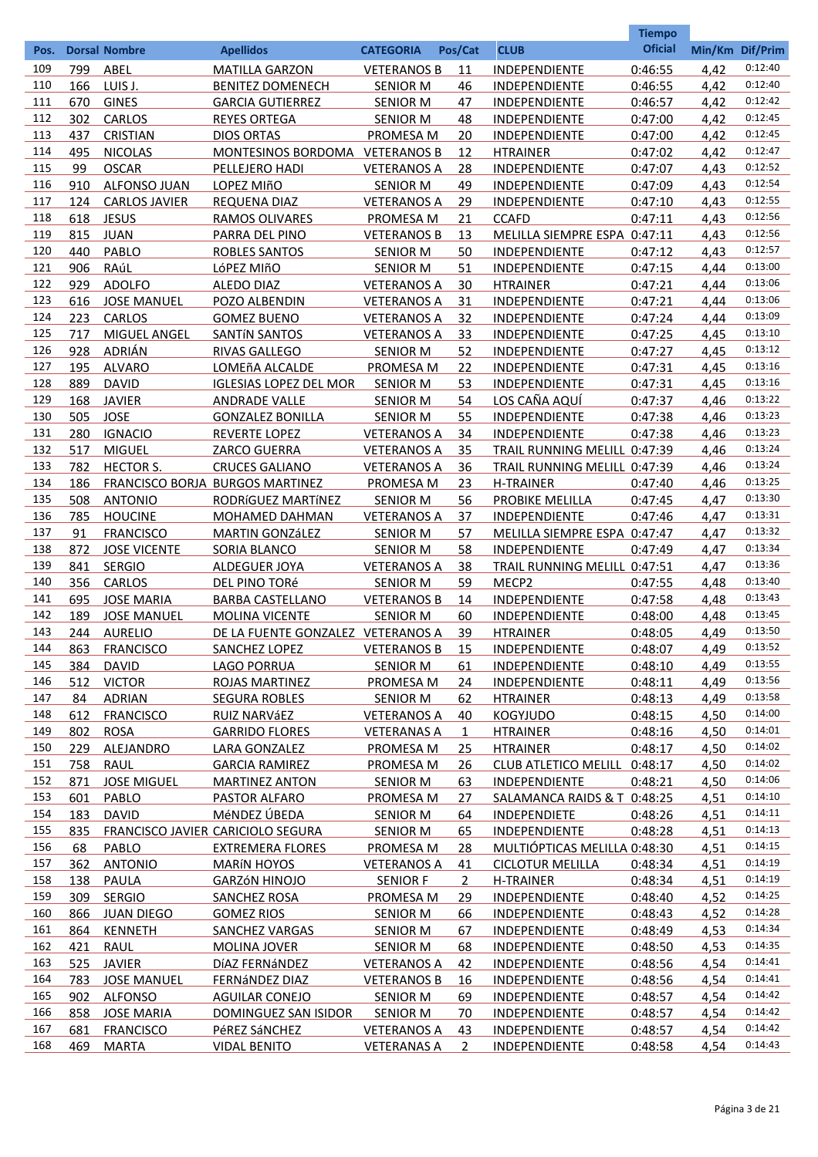|      |     |                      |                                   |                    |                |                              | <b>Tiempo</b>  |                 |         |
|------|-----|----------------------|-----------------------------------|--------------------|----------------|------------------------------|----------------|-----------------|---------|
| Pos. |     | <b>Dorsal Nombre</b> | <b>Apellidos</b>                  | <b>CATEGORIA</b>   | Pos/Cat        | <b>CLUB</b>                  | <b>Oficial</b> | Min/Km Dif/Prim |         |
| 109  | 799 | ABEL                 | <b>MATILLA GARZON</b>             | <b>VETERANOS B</b> | 11             | <b>INDEPENDIENTE</b>         | 0:46:55        | 4,42            | 0:12:40 |
| 110  | 166 | LUIS J.              | BENITEZ DOMENECH                  | <b>SENIOR M</b>    | 46             | <b>INDEPENDIENTE</b>         | 0:46:55        | 4,42            | 0:12:40 |
| 111  | 670 | <b>GINES</b>         | <b>GARCIA GUTIERREZ</b>           | <b>SENIOR M</b>    | 47             | <b>INDEPENDIENTE</b>         | 0:46:57        | 4,42            | 0:12:42 |
| 112  | 302 | <b>CARLOS</b>        | <b>REYES ORTEGA</b>               | <b>SENIOR M</b>    | 48             | <b>INDEPENDIENTE</b>         | 0:47:00        | 4,42            | 0:12:45 |
| 113  | 437 | <b>CRISTIAN</b>      | <b>DIOS ORTAS</b>                 | PROMESA M          | 20             | <b>INDEPENDIENTE</b>         | 0:47:00        | 4,42            | 0:12:45 |
| 114  | 495 | <b>NICOLAS</b>       | MONTESINOS BORDOMA VETERANOS B    |                    | 12             | <b>HTRAINER</b>              | 0:47:02        | 4.42            | 0:12:47 |
| 115  | 99  | <b>OSCAR</b>         | PELLEJERO HADI                    | <b>VETERANOS A</b> | 28             | INDEPENDIENTE                | 0:47:07        | 4,43            | 0:12:52 |
| 116  | 910 | <b>ALFONSO JUAN</b>  | LOPEZ MIñO                        | <b>SENIOR M</b>    | 49             | <b>INDEPENDIENTE</b>         | 0:47:09        | 4,43            | 0:12:54 |
| 117  | 124 | <b>CARLOS JAVIER</b> | <b>REQUENA DIAZ</b>               | <b>VETERANOS A</b> | 29             | <b>INDEPENDIENTE</b>         | 0:47:10        | 4,43            | 0:12:55 |
| 118  | 618 | <b>JESUS</b>         | <b>RAMOS OLIVARES</b>             | PROMESA M          | 21             | <b>CCAFD</b>                 | 0:47:11        | 4,43            | 0:12:56 |
| 119  | 815 | <b>JUAN</b>          | PARRA DEL PINO                    | <b>VETERANOS B</b> | 13             | MELILLA SIEMPRE ESPA 0:47:11 |                | 4,43            | 0:12:56 |
| 120  | 440 | PABLO                | <b>ROBLES SANTOS</b>              | <b>SENIOR M</b>    | 50             | <b>INDEPENDIENTE</b>         | 0:47:12        | 4,43            | 0:12:57 |
| 121  | 906 | RAúL                 | LóPEZ MIñO                        | <b>SENIOR M</b>    | 51             | INDEPENDIENTE                | 0:47:15        | 4.44            | 0:13:00 |
| 122  | 929 | <b>ADOLFO</b>        | <b>ALEDO DIAZ</b>                 | <b>VETERANOS A</b> | 30             | <b>HTRAINER</b>              | 0:47:21        | 4.44            | 0:13:06 |
| 123  | 616 | <b>JOSE MANUEL</b>   | POZO ALBENDIN                     | <b>VETERANOS A</b> | 31             | <b>INDEPENDIENTE</b>         | 0:47:21        | 4.44            | 0:13:06 |
| 124  | 223 | <b>CARLOS</b>        | <b>GOMEZ BUENO</b>                | <b>VETERANOS A</b> | 32             | <b>INDEPENDIENTE</b>         | 0:47:24        | 4.44            | 0:13:09 |
| 125  | 717 | MIGUEL ANGEL         | <b>SANTÍN SANTOS</b>              | <b>VETERANOS A</b> | 33             | <b>INDEPENDIENTE</b>         | 0:47:25        | 4,45            | 0:13:10 |
| 126  | 928 | ADRIÁN               | <b>RIVAS GALLEGO</b>              | <b>SENIOR M</b>    | 52             | <b>INDEPENDIENTE</b>         | 0:47:27        | 4,45            | 0:13:12 |
| 127  | 195 | <b>ALVARO</b>        | LOMEñA ALCALDE                    | <b>PROMESA M</b>   | 22             | <b>INDEPENDIENTE</b>         | 0:47:31        | 4,45            | 0:13:16 |
| 128  | 889 | <b>DAVID</b>         | <b>IGLESIAS LOPEZ DEL MOR</b>     | <b>SENIOR M</b>    | 53             | <b>INDEPENDIENTE</b>         | 0:47:31        | 4,45            | 0:13:16 |
| 129  | 168 | <b>JAVIER</b>        | <b>ANDRADE VALLE</b>              | <b>SENIOR M</b>    | 54             | LOS CAÑA AQUÍ                | 0:47:37        | 4,46            | 0:13:22 |
| 130  | 505 | <b>JOSE</b>          | <b>GONZALEZ BONILLA</b>           | <b>SENIOR M</b>    | 55             | INDEPENDIENTE                | 0:47:38        | 4,46            | 0:13:23 |
| 131  | 280 | <b>IGNACIO</b>       | <b>REVERTE LOPEZ</b>              | <b>VETERANOS A</b> | 34             | INDEPENDIENTE                | 0:47:38        | 4,46            | 0:13:23 |
| 132  | 517 | <b>MIGUEL</b>        | <b>ZARCO GUERRA</b>               | <b>VETERANOS A</b> | 35             | TRAIL RUNNING MELILL 0:47:39 |                | 4,46            | 0:13:24 |
| 133  | 782 | <b>HECTOR S.</b>     | <b>CRUCES GALIANO</b>             | <b>VETERANOS A</b> | 36             | TRAIL RUNNING MELILL 0:47:39 |                | 4,46            | 0:13:24 |
| 134  | 186 |                      | FRANCISCO BORJA BURGOS MARTINEZ   | <b>PROMESA M</b>   | 23             | <b>H-TRAINER</b>             | 0:47:40        | 4,46            | 0:13:25 |
| 135  | 508 | <b>ANTONIO</b>       | RODRÍGUEZ MARTÍNEZ                | <b>SENIOR M</b>    | 56             | PROBIKE MELILLA              | 0:47:45        | 4,47            | 0:13:30 |
| 136  | 785 | <b>HOUCINE</b>       | <b>MOHAMED DAHMAN</b>             | <b>VETERANOS A</b> | 37             | INDEPENDIENTE                | 0:47:46        | 4,47            | 0:13:31 |
| 137  | 91  | <b>FRANCISCO</b>     | <b>MARTIN GONZÁLEZ</b>            | <b>SENIOR M</b>    | 57             | MELILLA SIEMPRE ESPA 0:47:47 |                | 4,47            | 0:13:32 |
| 138  | 872 | <b>JOSE VICENTE</b>  | SORIA BLANCO                      | <b>SENIOR M</b>    | 58             | INDEPENDIENTE                | 0:47:49        | 4,47            | 0:13:34 |
| 139  | 841 | <b>SERGIO</b>        | <b>ALDEGUER JOYA</b>              | <b>VETERANOS A</b> | 38             | TRAIL RUNNING MELILL 0:47:51 |                | 4,47            | 0:13:36 |
| 140  | 356 | <b>CARLOS</b>        | DEL PINO TORÉ                     | <b>SENIOR M</b>    | 59             | MECP <sub>2</sub>            | 0:47:55        | 4,48            | 0:13:40 |
| 141  | 695 | <b>JOSE MARIA</b>    | <b>BARBA CASTELLANO</b>           | <b>VETERANOS B</b> | 14             | <b>INDEPENDIENTE</b>         | 0:47:58        | 4,48            | 0:13:43 |
| 142  | 189 | <b>JOSE MANUEL</b>   | <b>MOLINA VICENTE</b>             | <b>SENIOR M</b>    | 60             | <b>INDEPENDIENTE</b>         | 0:48:00        | 4,48            | 0:13:45 |
| 143  | 244 | <b>AURELIO</b>       | DE LA FUENTE GONZALEZ VETERANOS A |                    | 39             | <b>HTRAINER</b>              | 0:48:05        | 4.49            | 0:13:50 |
| 144  | 863 | <b>FRANCISCO</b>     | <b>SANCHEZ LOPEZ</b>              | <b>VETERANOS B</b> | 15             | <b>INDEPENDIENTE</b>         | 0:48:07        | 4,49            | 0:13:52 |
| 145  | 384 | <b>DAVID</b>         | LAGO PORRUA                       | SENIOR M           | 61             | <b>INDEPENDIENTE</b>         | 0:48:10        | 4,49            | 0:13:55 |
| 146  | 512 | <b>VICTOR</b>        | <b>ROJAS MARTINEZ</b>             | PROMESA M          | 24             | <b>INDEPENDIENTE</b>         | 0:48:11        | 4,49            | 0:13:56 |
| 147  | 84  | <b>ADRIAN</b>        | <b>SEGURA ROBLES</b>              | <b>SENIOR M</b>    | 62             | <b>HTRAINER</b>              | 0:48:13        | 4,49            | 0:13:58 |
| 148  | 612 | <b>FRANCISCO</b>     | <b>RUIZ NARVÁEZ</b>               | <b>VETERANOS A</b> | 40             | <b>KOGYJUDO</b>              | 0:48:15        | 4,50            | 0:14:00 |
| 149  | 802 | <b>ROSA</b>          | <b>GARRIDO FLORES</b>             | <b>VETERANAS A</b> | 1              | <b>HTRAINER</b>              | 0:48:16        | 4,50            | 0:14:01 |
| 150  | 229 | ALEJANDRO            | LARA GONZALEZ                     | PROMESA M          | <u>25</u>      | <b>HTRAINER</b>              | 0:48:17        | 4,50            | 0:14:02 |
| 151  | 758 | RAUL                 | <b>GARCIA RAMIREZ</b>             | PROMESA M          | 26             | CLUB ATLETICO MELILL 0:48:17 |                | 4,50            | 0:14:02 |
| 152  | 871 | <b>JOSE MIGUEL</b>   | <b>MARTINEZ ANTON</b>             | SENIOR M           | 63             | <b>INDEPENDIENTE</b>         | 0:48:21        | 4,50            | 0:14:06 |
| 153  | 601 | PABLO                | <b>PASTOR ALFARO</b>              | PROMESA M          | 27             | SALAMANCA RAIDS & T 0:48:25  |                | 4,51            | 0:14:10 |
| 154  | 183 | <b>DAVID</b>         | MéNDEZ ÚBEDA                      | <b>SENIOR M</b>    | 64             | <b>INDEPENDIETE</b>          | 0:48:26        | 4,51            | 0:14:11 |
| 155  | 835 |                      | FRANCISCO JAVIER CARICIOLO SEGURA | <b>SENIOR M</b>    | 65             | <b>INDEPENDIENTE</b>         | 0:48:28        | 4,51            | 0:14:13 |
| 156  | 68  | PABLO                | <b>EXTREMERA FLORES</b>           | PROMESA M          | 28             | MULTIÓPTICAS MELILLA 0:48:30 |                | 4,51            | 0:14:15 |
| 157  | 362 | <b>ANTONIO</b>       | <b>MARÍN HOYOS</b>                | <b>VETERANOS A</b> | 41             | <b>CICLOTUR MELILLA</b>      | 0:48:34        | 4,51            | 0:14:19 |
| 158  | 138 | PAULA                | <b>GARZÓN HINOJO</b>              | <b>SENIOR F</b>    | $\overline{2}$ | <b>H-TRAINER</b>             | 0:48:34        | 4,51            | 0:14:19 |
| 159  | 309 | <b>SERGIO</b>        | <b>SANCHEZ ROSA</b>               | PROMESA M          | 29             | <b>INDEPENDIENTE</b>         | 0:48:40        | 4,52            | 0:14:25 |
| 160  | 866 | <b>JUAN DIEGO</b>    | <b>GOMEZ RIOS</b>                 | <b>SENIOR M</b>    | 66             | <b>INDEPENDIENTE</b>         | 0:48:43        | 4,52            | 0:14:28 |
| 161  | 864 | <b>KENNETH</b>       | <b>SANCHEZ VARGAS</b>             | <b>SENIOR M</b>    | 67             | <b>INDEPENDIENTE</b>         | 0:48:49        | 4,53            | 0:14:34 |
| 162  | 421 | <b>RAUL</b>          | <b>MOLINA JOVER</b>               | <b>SENIOR M</b>    | 68             | <b>INDEPENDIENTE</b>         | 0:48:50        | 4,53            | 0:14:35 |
| 163  | 525 | <b>JAVIER</b>        | DÍAZ FERNÁNDEZ                    | <b>VETERANOS A</b> | 42             | <b>INDEPENDIENTE</b>         | 0:48:56        | 4,54            | 0:14:41 |
| 164  | 783 | <b>JOSE MANUEL</b>   | <b>FERNÁNDEZ DIAZ</b>             | <b>VETERANOS B</b> | 16             | <b>INDEPENDIENTE</b>         | 0:48:56        | 4,54            | 0:14:41 |
| 165  | 902 | <b>ALFONSO</b>       | <b>AGUILAR CONEJO</b>             | <b>SENIOR M</b>    | 69             | <b>INDEPENDIENTE</b>         | 0:48:57        | 4,54            | 0:14:42 |
| 166  | 858 | <b>JOSE MARIA</b>    | DOMINGUEZ SAN ISIDOR              | <b>SENIOR M</b>    | 70             | <b>INDEPENDIENTE</b>         | 0:48:57        | 4,54            | 0:14:42 |
| 167  | 681 | <b>FRANCISCO</b>     | PéREZ SáNCHEZ                     | <b>VETERANOS A</b> | 43             | <b>INDEPENDIENTE</b>         | 0:48:57        | 4,54            | 0:14:42 |
| 168  | 469 | <b>MARTA</b>         | <b>VIDAL BENITO</b>               | <b>VETERANAS A</b> | $\mathbf{2}$   | <b>INDEPENDIENTE</b>         | 0:48:58        | 4,54            | 0:14:43 |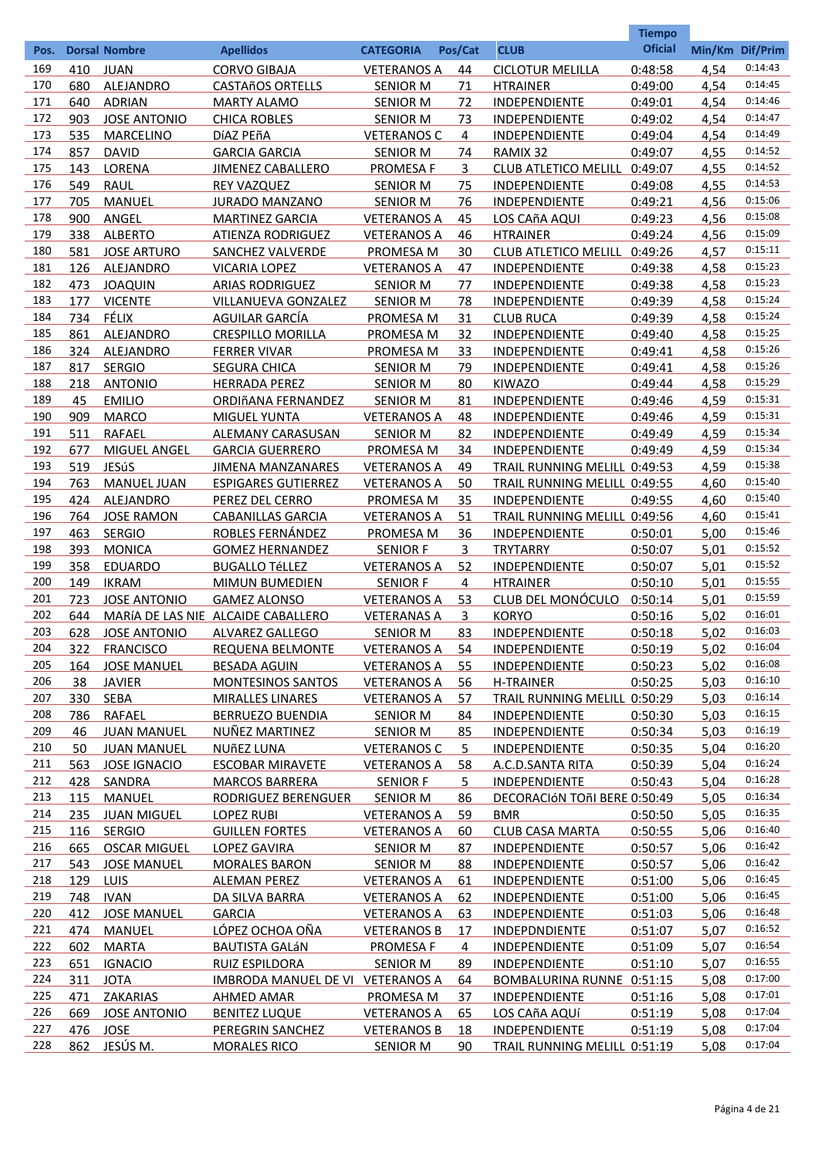|      |     |                      |                                    |                    |           |                              | <b>Tiempo</b>  |      |                 |
|------|-----|----------------------|------------------------------------|--------------------|-----------|------------------------------|----------------|------|-----------------|
| Pos. |     | <b>Dorsal Nombre</b> | <b>Apellidos</b>                   | <b>CATEGORIA</b>   | Pos/Cat   | <b>CLUB</b>                  | <b>Oficial</b> |      | Min/Km Dif/Prim |
| 169  | 410 | <b>JUAN</b>          | <b>CORVO GIBAJA</b>                | <b>VETERANOS A</b> | 44        | <b>CICLOTUR MELILLA</b>      | 0:48:58        | 4,54 | 0:14:43         |
| 170  | 680 | ALEJANDRO            | <b>CASTAñOS ORTELLS</b>            | <b>SENIOR M</b>    | 71        | <b>HTRAINER</b>              | 0:49:00        | 4,54 | 0:14:45         |
| 171  | 640 | <b>ADRIAN</b>        | <b>MARTY ALAMO</b>                 | <b>SENIOR M</b>    | 72        | <b>INDEPENDIENTE</b>         | 0:49:01        | 4,54 | 0:14:46         |
| 172  | 903 | <b>JOSE ANTONIO</b>  | <b>CHICA ROBLES</b>                | <b>SENIOR M</b>    | 73        | <b>INDEPENDIENTE</b>         | 0:49:02        | 4,54 | 0:14:47         |
| 173  | 535 | <b>MARCELINO</b>     | DÍAZ PEÑA                          | <b>VETERANOS C</b> | 4         | <b>INDEPENDIENTE</b>         | 0:49:04        | 4,54 | 0:14:49         |
| 174  | 857 | <b>DAVID</b>         | <b>GARCIA GARCIA</b>               | <b>SENIOR M</b>    | 74        | RAMIX 32                     | 0:49:07        | 4,55 | 0:14:52         |
| 175  | 143 | LORENA               | <b>JIMENEZ CABALLERO</b>           | <b>PROMESA F</b>   | 3         | CLUB ATLETICO MELILL 0:49:07 |                | 4,55 | 0:14:52         |
| 176  | 549 | <b>RAUL</b>          | <b>REY VAZQUEZ</b>                 | <b>SENIOR M</b>    | 75        | <b>INDEPENDIENTE</b>         | 0:49:08        | 4,55 | 0:14:53         |
| 177  | 705 | <b>MANUEL</b>        | <b>JURADO MANZANO</b>              | <b>SENIOR M</b>    | 76        | <b>INDEPENDIENTE</b>         | 0:49:21        | 4,56 | 0:15:06         |
| 178  | 900 | ANGEL                | <b>MARTINEZ GARCIA</b>             | <b>VETERANOS A</b> | 45        | LOS CAñA AQUI                | 0:49:23        | 4,56 | 0:15:08         |
| 179  | 338 | <b>ALBERTO</b>       | ATIENZA RODRIGUEZ                  | <b>VETERANOS A</b> | 46        | <b>HTRAINER</b>              | 0:49:24        | 4,56 | 0:15:09         |
| 180  | 581 | <b>JOSE ARTURO</b>   | SANCHEZ VALVERDE                   | PROMESA M          | 30        | CLUB ATLETICO MELILL 0:49:26 |                | 4,57 | 0:15:11         |
| 181  | 126 | ALEJANDRO            | <b>VICARIA LOPEZ</b>               | <b>VETERANOS A</b> | 47        | <b>INDEPENDIENTE</b>         | 0:49:38        | 4,58 | 0:15:23         |
| 182  | 473 | <b>JOAQUIN</b>       | <b>ARIAS RODRIGUEZ</b>             | <b>SENIOR M</b>    | 77        | <b>INDEPENDIENTE</b>         | 0:49:38        | 4,58 | 0:15:23         |
| 183  | 177 | <b>VICENTE</b>       | VILLANUEVA GONZALEZ                | <b>SENIOR M</b>    | 78        | <b>INDEPENDIENTE</b>         | 0:49:39        | 4,58 | 0:15:24         |
| 184  | 734 | FÉLIX                | AGUILAR GARCÍA                     | PROMESA M          | 31        | <b>CLUB RUCA</b>             | 0:49:39        | 4,58 | 0:15:24         |
| 185  | 861 | ALEJANDRO            | <b>CRESPILLO MORILLA</b>           | PROMESA M          | 32        | <b>INDEPENDIENTE</b>         | 0:49:40        | 4,58 | 0:15:25         |
| 186  | 324 | ALEJANDRO            | <b>FERRER VIVAR</b>                | <b>PROMESA M</b>   | 33        | <b>INDEPENDIENTE</b>         | 0:49:41        | 4,58 | 0:15:26         |
| 187  | 817 | <b>SERGIO</b>        | <b>SEGURA CHICA</b>                | <b>SENIOR M</b>    | 79        | <b>INDEPENDIENTE</b>         | 0:49:41        | 4,58 | 0:15:26         |
| 188  | 218 | <b>ANTONIO</b>       | <b>HERRADA PEREZ</b>               | <b>SENIOR M</b>    | 80        | <b>KIWAZO</b>                | 0:49:44        | 4,58 | 0:15:29         |
| 189  | 45  | <b>EMILIO</b>        | ORDIñANA FERNANDEZ                 | <b>SENIOR M</b>    | 81        | <b>INDEPENDIENTE</b>         | 0:49:46        | 4,59 | 0:15:31         |
| 190  | 909 | <b>MARCO</b>         | <b>MIGUEL YUNTA</b>                | <b>VETERANOS A</b> | 48        | <b>INDEPENDIENTE</b>         | 0:49:46        | 4,59 | 0:15:31         |
| 191  | 511 | RAFAEL               | ALEMANY CARASUSAN                  | <b>SENIOR M</b>    | 82        | INDEPENDIENTE                | 0:49:49        | 4,59 | 0:15:34         |
| 192  | 677 | MIGUEL ANGEL         | <b>GARCIA GUERRERO</b>             | PROMESA M          | 34        | INDEPENDIENTE                | 0:49:49        | 4,59 | 0:15:34         |
| 193  | 519 | JESúS                | <b>JIMENA MANZANARES</b>           | <b>VETERANOS A</b> | 49        | TRAIL RUNNING MELILL 0:49:53 |                | 4,59 | 0:15:38         |
| 194  | 763 | <b>MANUEL JUAN</b>   | <b>ESPIGARES GUTIERREZ</b>         | <b>VETERANOS A</b> | 50        | TRAIL RUNNING MELILL 0:49:55 |                | 4,60 | 0:15:40         |
| 195  | 424 | ALEJANDRO            | PEREZ DEL CERRO                    | <b>PROMESA M</b>   | 35        | INDEPENDIENTE                | 0:49:55        | 4,60 | 0:15:40         |
| 196  | 764 | <b>JOSE RAMON</b>    | <b>CABANILLAS GARCIA</b>           | <b>VETERANOS A</b> | 51        | TRAIL RUNNING MELILL 0:49:56 |                | 4,60 | 0:15:41         |
| 197  | 463 | <b>SERGIO</b>        | ROBLES FERNÁNDEZ                   | PROMESA M          | 36        | INDEPENDIENTE                | 0:50:01        | 5,00 | 0:15:46         |
| 198  | 393 | <b>MONICA</b>        | <b>GOMEZ HERNANDEZ</b>             | <b>SENIOR F</b>    | 3         | <b>TRYTARRY</b>              | 0:50:07        | 5,01 | 0:15:52         |
| 199  | 358 | <b>EDUARDO</b>       | <b>BUGALLO TéLLEZ</b>              | <b>VETERANOS A</b> | 52        | <b>INDEPENDIENTE</b>         | 0:50:07        | 5,01 | 0:15:52         |
| 200  | 149 | <b>IKRAM</b>         | <b>MIMUN BUMEDIEN</b>              | <b>SENIOR F</b>    | 4         | <b>HTRAINER</b>              | 0:50:10        | 5,01 | 0:15:55         |
| 201  | 723 | <b>JOSE ANTONIO</b>  | <b>GAMEZ ALONSO</b>                | <b>VETERANOS A</b> | 53        | CLUB DEL MONÓCULO            | 0:50:14        | 5,01 | 0:15:59         |
| 202  | 644 |                      | MARÍA DE LAS NIE ALCAIDE CABALLERO | <b>VETERANAS A</b> | 3         | <b>KORYO</b>                 | 0:50:16        | 5,02 | 0:16:01         |
| 203  | 628 | <b>JOSE ANTONIO</b>  | <b>ALVAREZ GALLEGO</b>             | <b>SENIOR M</b>    | 83        | <b>INDEPENDIENTE</b>         | 0:50:18        | 5,02 | 0:16:03         |
| 204  | 322 | <b>FRANCISCO</b>     | REQUENA BELMONTE                   | <b>VETERANOS A</b> | 54        | <b>INDEPENDIENTE</b>         | 0:50:19        | 5,02 | 0:16:04         |
| 205  | 164 | <b>JOSE MANUEL</b>   | <b>BESADA AGUIN</b>                | <b>VETERANOS A</b> | <u>55</u> | <b>INDEPENDIENTE</b>         | 0:50:23        | 5,02 | 0:16:08         |
| 206  | 38  | <b>JAVIER</b>        | <b>MONTESINOS SANTOS</b>           | <b>VETERANOS A</b> | <u>56</u> | <b>H-TRAINER</b>             | 0:50:25        | 5,03 | 0:16:10         |
| 207  | 330 | <b>SEBA</b>          | <b>MIRALLES LINARES</b>            | <b>VETERANOS A</b> | 57        | TRAIL RUNNING MELILL 0:50:29 |                | 5,03 | 0:16:14         |
| 208  | 786 | <b>RAFAEL</b>        | <b>BERRUEZO BUENDIA</b>            | <b>SENIOR M</b>    | 84        | <b>INDEPENDIENTE</b>         | 0:50:30        | 5,03 | 0:16:15         |
| 209  | 46  | <b>JUAN MANUEL</b>   | <b>NUÑEZ MARTINEZ</b>              | <b>SENIOR M</b>    | 85        | <b>INDEPENDIENTE</b>         | 0:50:34        | 5,03 | 0:16:19         |
| 210  | 50  | <b>JUAN MANUEL</b>   | NUÑEZ LUNA                         | <b>VETERANOS C</b> | 5         | <b>INDEPENDIENTE</b>         | 0:50:35        | 5,04 | 0:16:20         |
| 211  | 563 | <b>JOSE IGNACIO</b>  | <b>ESCOBAR MIRAVETE</b>            | <b>VETERANOS A</b> | 58        | A.C.D.SANTA RITA             | 0:50:39        | 5,04 | 0:16:24         |
| 212  | 428 | SANDRA               | <b>MARCOS BARRERA</b>              | <b>SENIOR F</b>    | 5         | <b>INDEPENDIENTE</b>         | 0:50:43        | 5,04 | 0:16:28         |
| 213  | 115 | <b>MANUEL</b>        | RODRIGUEZ BERENGUER                | <b>SENIOR M</b>    | 86        | DECORACIÓN TOñI BERE 0:50:49 |                | 5,05 | 0:16:34         |
| 214  | 235 | <b>JUAN MIGUEL</b>   | <b>LOPEZ RUBI</b>                  | <b>VETERANOS A</b> | 59        | <b>BMR</b>                   | 0:50:50        | 5,05 | 0:16:35         |
| 215  | 116 | <b>SERGIO</b>        | <b>GUILLEN FORTES</b>              | <b>VETERANOS A</b> | 60        | <b>CLUB CASA MARTA</b>       | 0:50:55        | 5,06 | 0:16:40         |
| 216  | 665 | <b>OSCAR MIGUEL</b>  | <b>LOPEZ GAVIRA</b>                | <b>SENIOR M</b>    | 87        | <b>INDEPENDIENTE</b>         | 0:50:57        | 5,06 | 0:16:42         |
| 217  | 543 | <b>JOSE MANUEL</b>   | <b>MORALES BARON</b>               | <b>SENIOR M</b>    | 88        | <b>INDEPENDIENTE</b>         | 0:50:57        | 5,06 | 0:16:42         |
| 218  | 129 | <b>LUIS</b>          | <b>ALEMAN PEREZ</b>                | <b>VETERANOS A</b> | 61        | <b>INDEPENDIENTE</b>         | 0:51:00        | 5,06 | 0:16:45         |
| 219  | 748 | <b>IVAN</b>          | DA SILVA BARRA                     | <b>VETERANOS A</b> | 62        | <b>INDEPENDIENTE</b>         | 0:51:00        | 5,06 | 0:16:45         |
| 220  | 412 | <b>JOSE MANUEL</b>   | <b>GARCIA</b>                      | <b>VETERANOS A</b> | 63        | <b>INDEPENDIENTE</b>         | 0:51:03        | 5,06 | 0:16:48         |
| 221  | 474 | <b>MANUEL</b>        | LÓPEZ OCHOA OÑA                    | <b>VETERANOS B</b> | 17        | <b>INDEPDNDIENTE</b>         | 0:51:07        | 5,07 | 0:16:52         |
| 222  | 602 | <b>MARTA</b>         | <b>BAUTISTA GALÁN</b>              | <b>PROMESA F</b>   | 4         | <b>INDEPENDIENTE</b>         | 0:51:09        | 5,07 | 0:16:54         |
| 223  | 651 | <b>IGNACIO</b>       | RUIZ ESPILDORA                     | <b>SENIOR M</b>    | 89        | <b>INDEPENDIENTE</b>         | 0:51:10        | 5,07 | 0:16:55         |
| 224  | 311 | <b>JOTA</b>          | IMBRODA MANUEL DE VI VETERANOS A   |                    | 64        | BOMBALURINA RUNNE 0:51:15    |                | 5,08 | 0:17:00         |
| 225  | 471 | ZAKARIAS             | <b>AHMED AMAR</b>                  | PROMESA M          | 37        | <b>INDEPENDIENTE</b>         | 0:51:16        | 5,08 | 0:17:01         |
| 226  | 669 | <b>JOSE ANTONIO</b>  | <b>BENITEZ LUQUE</b>               | <b>VETERANOS A</b> | 65        | LOS CAñA AQUÍ                | 0:51:19        | 5,08 | 0:17:04         |
| 227  |     | 476 JOSE             | PEREGRIN SANCHEZ                   | <b>VETERANOS B</b> | 18        | <b>INDEPENDIENTE</b>         | 0:51:19        | 5,08 | 0:17:04         |
| 228  |     | 862 JESÚS M.         | <b>MORALES RICO</b>                | <b>SENIOR M</b>    | 90        | TRAIL RUNNING MELILL 0:51:19 |                | 5,08 | 0:17:04         |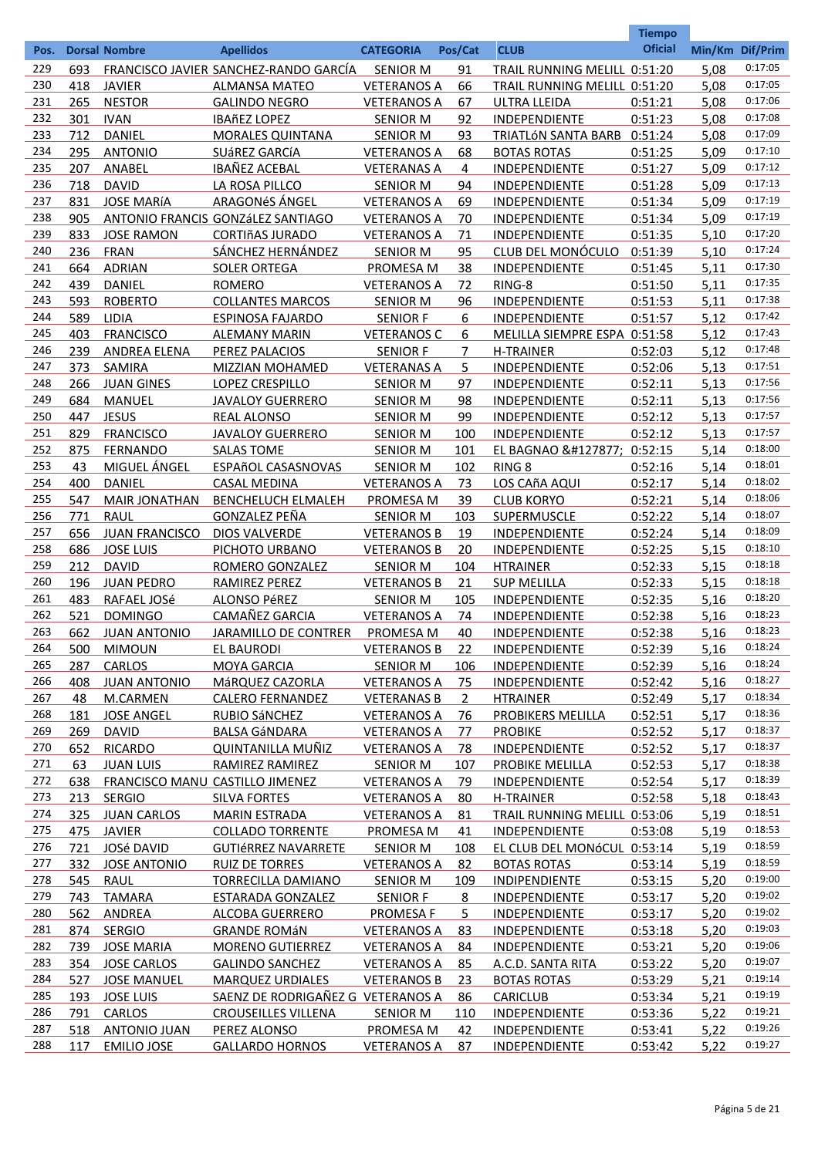|            |     |                       |                                       |                    |                |                              | <b>Tiempo</b>  |                 |         |
|------------|-----|-----------------------|---------------------------------------|--------------------|----------------|------------------------------|----------------|-----------------|---------|
| Pos.       |     | <b>Dorsal Nombre</b>  | <b>Apellidos</b>                      | <b>CATEGORIA</b>   | Pos/Cat        | <b>CLUB</b>                  | <b>Oficial</b> | Min/Km Dif/Prim |         |
| 229        | 693 |                       | FRANCISCO JAVIER SANCHEZ-RANDO GARCÍA | <b>SENIOR M</b>    | 91             | TRAIL RUNNING MELILL 0:51:20 |                | 5,08            | 0:17:05 |
| 230        | 418 | <b>JAVIER</b>         | <b>ALMANSA MATEO</b>                  | <b>VETERANOS A</b> | 66             | TRAIL RUNNING MELILL 0:51:20 |                | 5,08            | 0:17:05 |
| 231        | 265 | <b>NESTOR</b>         | <b>GALINDO NEGRO</b>                  | <b>VETERANOS A</b> | 67             | <b>ULTRA LLEIDA</b>          | 0:51:21        | 5,08            | 0:17:06 |
| 232        | 301 | <b>IVAN</b>           | <b>IBAñEZ LOPEZ</b>                   | <b>SENIOR M</b>    | 92             | INDEPENDIENTE                | 0:51:23        | 5,08            | 0:17:08 |
| 233        | 712 | DANIEL                | <b>MORALES QUINTANA</b>               | <b>SENIOR M</b>    | 93             | TRIATLÓN SANTA BARB 0:51:24  |                | 5,08            | 0:17:09 |
| 234        | 295 | <b>ANTONIO</b>        | SUÁREZ GARCÍA                         | <b>VETERANOS A</b> | 68             | <b>BOTAS ROTAS</b>           | 0:51:25        | 5,09            | 0:17:10 |
| 235        | 207 | ANABEL                | <b>IBAÑEZ ACEBAL</b>                  | <b>VETERANAS A</b> | 4              | INDEPENDIENTE                | 0:51:27        | 5,09            | 0:17:12 |
| 236        | 718 | <b>DAVID</b>          | LA ROSA PILLCO                        | <b>SENIOR M</b>    | 94             | INDEPENDIENTE                | 0:51:28        | 5,09            | 0:17:13 |
| 237        | 831 | <b>JOSE MARÍA</b>     | ARAGONéS ÁNGEL                        | <b>VETERANOS A</b> | 69             | INDEPENDIENTE                | 0:51:34        | 5,09            | 0:17:19 |
| 238        | 905 |                       | ANTONIO FRANCIS GONZÁLEZ SANTIAGO     | <b>VETERANOS A</b> | 70             | INDEPENDIENTE                | 0:51:34        | 5,09            | 0:17:19 |
| 239        | 833 | <b>JOSE RAMON</b>     | <b>CORTIñAS JURADO</b>                | <b>VETERANOS A</b> | 71             | INDEPENDIENTE                | 0:51:35        | 5,10            | 0:17:20 |
| 240        | 236 | <b>FRAN</b>           | SÁNCHEZ HERNÁNDEZ                     | <b>SENIOR M</b>    | 95             | CLUB DEL MONÓCULO            | 0:51:39        | 5,10            | 0:17:24 |
| 241        | 664 | <b>ADRIAN</b>         | <b>SOLER ORTEGA</b>                   | PROMESA M          | 38             | INDEPENDIENTE                | 0:51:45        | 5,11            | 0:17:30 |
| 242        | 439 | <b>DANIEL</b>         | <b>ROMERO</b>                         | <b>VETERANOS A</b> | 72             | RING-8                       | 0:51:50        | 5,11            | 0:17:35 |
| 243        | 593 | <b>ROBERTO</b>        | <b>COLLANTES MARCOS</b>               | <b>SENIOR M</b>    | 96             | INDEPENDIENTE                | 0:51:53        | 5,11            | 0:17:38 |
| 244        | 589 | <b>LIDIA</b>          | <b>ESPINOSA FAJARDO</b>               | <b>SENIOR F</b>    | 6              | INDEPENDIENTE                | 0:51:57        | 5,12            | 0:17:42 |
| 245        | 403 | <b>FRANCISCO</b>      | <b>ALEMANY MARIN</b>                  | <b>VETERANOS C</b> | 6              | MELILLA SIEMPRE ESPA 0:51:58 |                | 5,12            | 0:17:43 |
| 246        | 239 | ANDREA ELENA          | PEREZ PALACIOS                        | <b>SENIOR F</b>    | 7              | <b>H-TRAINER</b>             | 0:52:03        | 5,12            | 0:17:48 |
| 247        | 373 | SAMIRA                | MIZZIAN MOHAMED                       | <b>VETERANAS A</b> | 5.             | INDEPENDIENTE                | 0:52:06        | 5,13            | 0:17:51 |
| 248        | 266 | <b>JUAN GINES</b>     | LOPEZ CRESPILLO                       | <b>SENIOR M</b>    | 97             | INDEPENDIENTE                | 0:52:11        | 5,13            | 0:17:56 |
| 249        | 684 | <b>MANUEL</b>         | <b>JAVALOY GUERRERO</b>               | <b>SENIOR M</b>    | 98             | INDEPENDIENTE                | 0:52:11        | 5,13            | 0:17:56 |
| 250        | 447 | <b>JESUS</b>          | <b>REAL ALONSO</b>                    | <b>SENIOR M</b>    | 99             | INDEPENDIENTE                | 0:52:12        | 5,13            | 0:17:57 |
| 251        | 829 | <b>FRANCISCO</b>      | <b>JAVALOY GUERRERO</b>               | <b>SENIOR M</b>    | 100            | INDEPENDIENTE                | 0:52:12        | 5,13            | 0:17:57 |
| 252        | 875 | <b>FERNANDO</b>       | <b>SALAS TOME</b>                     | <b>SENIOR M</b>    | 101            | EL BAGNAO 🎅 0:52:15          |                | 5,14            | 0:18:00 |
| 253        | 43  | <b>MIGUEL ÁNGEL</b>   | ESPAñOL CASASNOVAS                    | <b>SENIOR M</b>    | 102            | RING <sub>8</sub>            | 0:52:16        | 5,14            | 0:18:01 |
| 254        | 400 | DANIEL                | <b>CASAL MEDINA</b>                   | <b>VETERANOS A</b> | 73             | LOS CAñA AQUI                | 0:52:17        | 5,14            | 0:18:02 |
| 255        | 547 | <b>MAIR JONATHAN</b>  | BENCHELUCH ELMALEH                    | PROMESA M          | 39             | <b>CLUB KORYO</b>            | 0:52:21        | 5,14            | 0:18:06 |
| 256        | 771 | <b>RAUL</b>           | <b>GONZALEZ PEÑA</b>                  | <b>SENIOR M</b>    | 103            | SUPERMUSCLE                  | 0:52:22        | 5,14            | 0:18:07 |
| 257        | 656 | <b>JUAN FRANCISCO</b> | <b>DIOS VALVERDE</b>                  | <b>VETERANOS B</b> | 19             | INDEPENDIENTE                | 0:52:24        | 5,14            | 0:18:09 |
| 258        | 686 | <b>JOSE LUIS</b>      | PICHOTO URBANO                        | <b>VETERANOS B</b> | 20             | INDEPENDIENTE                | 0:52:25        | 5,15            | 0:18:10 |
| 259        | 212 | <b>DAVID</b>          | ROMERO GONZALEZ                       | <b>SENIOR M</b>    | 104            | <b>HTRAINER</b>              | 0:52:33        | 5,15            | 0:18:18 |
| 260        | 196 |                       | <b>RAMIREZ PEREZ</b>                  | <b>VETERANOS B</b> |                |                              |                |                 | 0:18:18 |
|            |     | <b>JUAN PEDRO</b>     |                                       |                    | 21             | <b>SUP MELILLA</b>           | 0:52:33        | 5,15            | 0:18:20 |
| 261        | 483 | RAFAEL JOSé           | <b>ALONSO PéREZ</b>                   | <b>SENIOR M</b>    | 105            | <b>INDEPENDIENTE</b>         | 0:52:35        | 5,16            | 0:18:23 |
| 262<br>263 | 521 | <b>DOMINGO</b>        | <b>CAMAÑEZ GARCIA</b>                 | <b>VETERANOS A</b> | 74             | <b>INDEPENDIENTE</b>         | 0:52:38        | 5,16            | 0:18:23 |
| 264        | 662 | <b>JUAN ANTONIO</b>   | <b>JARAMILLO DE CONTRER</b>           | PROMESA M          | 40             | INDEPENDIENTE                | 0:52:38        | 5,16            | 0:18:24 |
|            | 500 | <b>MIMOUN</b>         | <b>EL BAURODI</b>                     | <b>VETERANOS B</b> | 22             | <b>INDEPENDIENTE</b>         | 0:52:39        | 5,16            |         |
| 265        | 287 | <b>CARLOS</b>         | <b>MOYA GARCIA</b>                    | <b>SENIOR M</b>    | 106            | INDEPENDIENTE                | 0:52:39        | 5,16            | 0:18:24 |
| 266        | 408 | <b>JUAN ANTONIO</b>   | MáRQUEZ CAZORLA                       | <b>VETERANOS A</b> | 75             | <b>INDEPENDIENTE</b>         | 0:52:42        | 5,16            | 0:18:27 |
| 267        | 48  | M.CARMEN              | <b>CALERO FERNANDEZ</b>               | <b>VETERANAS B</b> | $\overline{2}$ | <b>HTRAINER</b>              | 0:52:49        | 5,17            | 0:18:34 |
| 268        | 181 | <b>JOSE ANGEL</b>     | <b>RUBIO SÁNCHEZ</b>                  | <b>VETERANOS A</b> | 76             | <b>PROBIKERS MELILLA</b>     | 0:52:51        | 5,17            | 0:18:36 |
| 269        | 269 | <b>DAVID</b>          | <b>BALSA GÁNDARA</b>                  | <b>VETERANOS A</b> | 77             | <b>PROBIKE</b>               | 0:52:52        | 5,17            | 0:18:37 |
| 270        | 652 | <b>RICARDO</b>        | QUINTANILLA MUÑIZ                     | <b>VETERANOS A</b> | 78             | <b>INDEPENDIENTE</b>         | 0:52:52        | 5,17            | 0:18:37 |
| 271        | 63  | <b>JUAN LUIS</b>      | RAMIREZ RAMIREZ                       | <b>SENIOR M</b>    | 107            | PROBIKE MELILLA              | 0:52:53        | 5,17            | 0:18:38 |
| 272        | 638 |                       | FRANCISCO MANU CASTILLO JIMENEZ       | <b>VETERANOS A</b> | 79             | INDEPENDIENTE                | 0:52:54        | 5,17            | 0:18:39 |
| 273        | 213 | <b>SERGIO</b>         | <b>SILVA FORTES</b>                   | <b>VETERANOS A</b> | 80             | <b>H-TRAINER</b>             | 0:52:58        | 5,18            | 0:18:43 |
| 274        | 325 | <b>JUAN CARLOS</b>    | <b>MARIN ESTRADA</b>                  | <b>VETERANOS A</b> | 81             | TRAIL RUNNING MELILL 0:53:06 |                | 5,19            | 0:18:51 |
| 275        |     | 475 JAVIER            | <b>COLLADO TORRENTE</b>               | PROMESA M          | 41             | <b>INDEPENDIENTE</b>         | 0:53:08        | 5,19            | 0:18:53 |
| 276        | 721 | JOSé DAVID            | <b>GUTIÉRREZ NAVARRETE</b>            | <b>SENIOR M</b>    | 108            | EL CLUB DEL MONÓCUL 0:53:14  |                | 5,19            | 0:18:59 |
| 277        | 332 | <b>JOSE ANTONIO</b>   | <b>RUIZ DE TORRES</b>                 | <b>VETERANOS A</b> | 82             | <b>BOTAS ROTAS</b>           | 0:53:14        | 5,19            | 0:18:59 |
| 278        | 545 | <b>RAUL</b>           | <b>TORRECILLA DAMIANO</b>             | <b>SENIOR M</b>    | <u>109</u>     | <b>INDIPENDIENTE</b>         | 0:53:15        | 5,20            | 0:19:00 |
| 279        | 743 | <b>TAMARA</b>         | ESTARADA GONZALEZ                     | <b>SENIOR F</b>    | 8              | <b>INDEPENDIENTE</b>         | 0:53:17        | 5,20            | 0:19:02 |
| 280        | 562 | ANDREA                | <b>ALCOBA GUERRERO</b>                | <b>PROMESA F</b>   | 5              | <b>INDEPENDIENTE</b>         | 0:53:17        | 5,20            | 0:19:02 |
| 281        | 874 | <b>SERGIO</b>         | <b>GRANDE ROMÁN</b>                   | <b>VETERANOS A</b> | 83             | INDEPENDIENTE                | 0:53:18        | 5,20            | 0:19:03 |
| 282        | 739 | <b>JOSE MARIA</b>     | <b>MORENO GUTIERREZ</b>               | <b>VETERANOS A</b> | 84             | <b>INDEPENDIENTE</b>         | 0:53:21        | 5,20            | 0:19:06 |
| 283        |     | 354 JOSE CARLOS       | <b>GALINDO SANCHEZ</b>                | <b>VETERANOS A</b> | 85             | A.C.D. SANTA RITA            | 0:53:22        | 5,20            | 0:19:07 |
| 284        | 527 | <b>JOSE MANUEL</b>    | <b>MARQUEZ URDIALES</b>               | <b>VETERANOS B</b> | 23             | <b>BOTAS ROTAS</b>           | 0:53:29        | 5,21            | 0:19:14 |
| 285        | 193 | <b>JOSE LUIS</b>      | SAENZ DE RODRIGAÑEZ G VETERANOS A     |                    | 86             | <b>CARICLUB</b>              | 0:53:34        | 5,21            | 0:19:19 |
| 286        |     | 791 CARLOS            | <b>CROUSEILLES VILLENA</b>            | <b>SENIOR M</b>    | 110            | INDEPENDIENTE                | 0:53:36        | 5,22            | 0:19:21 |
| 287        |     | 518 ANTONIO JUAN      | PEREZ ALONSO                          | PROMESA M          | 42             | INDEPENDIENTE                | 0:53:41        | 5,22            | 0:19:26 |
| 288        | 117 | <b>EMILIO JOSE</b>    | <b>GALLARDO HORNOS</b>                | <b>VETERANOS A</b> | 87             | <b>INDEPENDIENTE</b>         | 0:53:42        | 5,22            | 0:19:27 |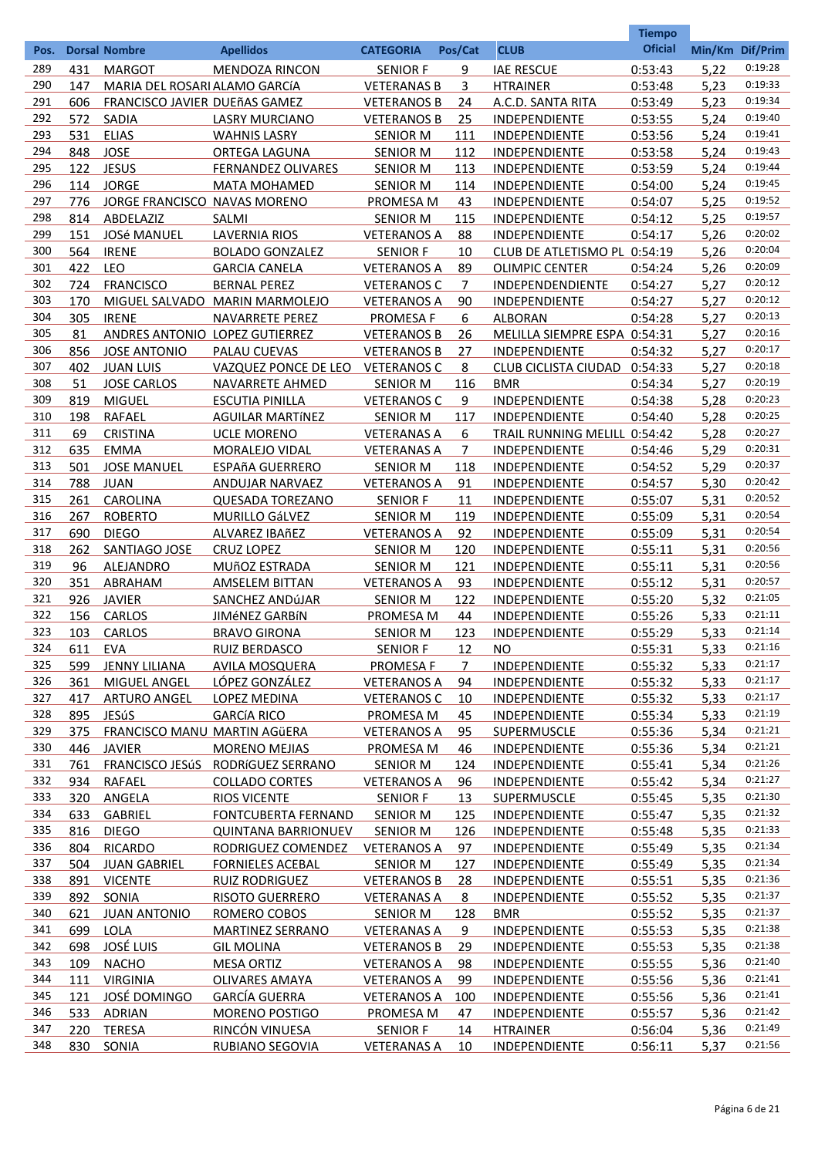|            |            |                                     |                                       |                                 |            |                                              | <b>Tiempo</b>      |                 |                    |
|------------|------------|-------------------------------------|---------------------------------------|---------------------------------|------------|----------------------------------------------|--------------------|-----------------|--------------------|
| Pos.       |            | <b>Dorsal Nombre</b>                | <b>Apellidos</b>                      | <b>CATEGORIA</b>                | Pos/Cat    | <b>CLUB</b>                                  | <b>Oficial</b>     | Min/Km Dif/Prim |                    |
| 289        | 431        | <b>MARGOT</b>                       | <b>MENDOZA RINCON</b>                 | <b>SENIOR F</b>                 | 9          | <b>IAE RESCUE</b>                            | 0:53:43            | 5,22            | 0:19:28            |
| 290        | 147        | MARIA DEL ROSARI ALAMO GARCÍA       |                                       | <b>VETERANAS B</b>              | 3          | <b>HTRAINER</b>                              | 0:53:48            | 5,23            | 0:19:33            |
| 291        | 606        | FRANCISCO JAVIER DUEñAS GAMEZ       |                                       | <b>VETERANOS B</b>              | 24         | A.C.D. SANTA RITA                            | 0:53:49            | 5,23            | 0:19:34            |
| 292        | 572        | <b>SADIA</b>                        | <b>LASRY MURCIANO</b>                 | <b>VETERANOS B</b>              | 25         | <b>INDEPENDIENTE</b>                         | 0:53:55            | 5,24            | 0:19:40            |
| 293        | 531        | ELIAS                               | <b>WAHNIS LASRY</b>                   | <b>SENIOR M</b>                 | 111        | INDEPENDIENTE                                | 0:53:56            | 5,24            | 0:19:41            |
| 294        | 848        | <b>JOSE</b>                         | ORTEGA LAGUNA                         | <b>SENIOR M</b>                 | 112        | INDEPENDIENTE                                | 0:53:58            | 5,24            | 0:19:43            |
| 295        | 122        | <b>JESUS</b>                        | <b>FERNANDEZ OLIVARES</b>             | <b>SENIOR M</b>                 | 113        | INDEPENDIENTE                                | 0:53:59            | 5,24            | 0:19:44            |
| 296        | 114        | <b>JORGE</b>                        | <b>MATA MOHAMED</b>                   | <b>SENIOR M</b>                 | 114        | INDEPENDIENTE                                | 0:54:00            | 5,24            | 0:19:45            |
| 297        | 776        | JORGE FRANCISCO NAVAS MORENO        |                                       | PROMESA M                       | 43         | INDEPENDIENTE                                | 0:54:07            | 5,25            | 0:19:52            |
| 298        | 814        | ABDELAZIZ                           | <b>SALMI</b>                          | <b>SENIOR M</b>                 | 115        | INDEPENDIENTE                                | 0:54:12            | 5,25            | 0:19:57            |
| 299        | 151        | <b>JOSé MANUEL</b>                  | <b>LAVERNIA RIOS</b>                  | <b>VETERANOS A</b>              | 88         | INDEPENDIENTE                                | 0:54:17            | 5,26            | 0:20:02            |
| 300        | 564        | <b>IRENE</b>                        | <b>BOLADO GONZALEZ</b>                | <b>SENIOR F</b>                 | 10         | CLUB DE ATLETISMO PL 0:54:19                 |                    | 5,26            | 0:20:04            |
| 301        | 422        | <b>LEO</b>                          | <b>GARCIA CANELA</b>                  | <b>VETERANOS A</b>              | 89         | <b>OLIMPIC CENTER</b>                        | 0:54:24            | 5,26            | 0:20:09            |
| 302        | 724        | <b>FRANCISCO</b>                    | <b>BERNAL PEREZ</b>                   | <b>VETERANOS C</b>              | 7          | INDEPENDENDIENTE                             | 0:54:27            | 5,27            | 0:20:12            |
| 303        | 170        |                                     | MIGUEL SALVADO MARIN MARMOLEJO        | <b>VETERANOS A</b>              | 90         | INDEPENDIENTE                                | 0:54:27            | 5,27            | 0:20:12            |
| 304        | 305        | <b>IRENE</b>                        | NAVARRETE PEREZ                       | <b>PROMESA F</b>                | 6          | <b>ALBORAN</b>                               | 0:54:28            | 5,27            | 0:20:13            |
| 305        | 81         | ANDRES ANTONIO LOPEZ GUTIERREZ      |                                       | <b>VETERANOS B</b>              | 26         | MELILLA SIEMPRE ESPA 0:54:31                 |                    | 5,27            | 0:20:16            |
| 306        | 856        | <b>JOSE ANTONIO</b>                 | <b>PALAU CUEVAS</b>                   | <b>VETERANOS B</b>              | 27         | <b>INDEPENDIENTE</b>                         | 0:54:32            | 5,27            | 0:20:17            |
| 307        | 402        | <b>JUAN LUIS</b>                    | VAZQUEZ PONCE DE LEO                  | <b>VETERANOS C</b>              | 8          | <b>CLUB CICLISTA CIUDAD</b>                  | 0:54:33            | 5,27            | 0:20:18            |
| 308        | 51         | <b>JOSE CARLOS</b>                  | NAVARRETE AHMED                       | <b>SENIOR M</b>                 | 116        | <b>BMR</b>                                   | 0:54:34            | 5,27            | 0:20:19            |
| 309        | 819        | <b>MIGUEL</b>                       | <b>ESCUTIA PINILLA</b>                | <b>VETERANOS C</b>              | 9          | INDEPENDIENTE                                | 0:54:38            | 5,28            | 0:20:23            |
| 310        | 198        | <b>RAFAEL</b>                       | <b>AGUILAR MARTÍNEZ</b>               | <b>SENIOR M</b>                 | 117        | INDEPENDIENTE                                | 0:54:40            | 5,28            | 0:20:25            |
| 311        | 69         | <b>CRISTINA</b>                     | <b>UCLE MORENO</b>                    | <b>VETERANAS A</b>              | 6          | TRAIL RUNNING MELILL 0:54:42                 |                    | 5,28            | 0:20:27            |
| 312        | 635        | EMMA                                | MORALEJO VIDAL                        | <b>VETERANAS A</b>              | 7          | INDEPENDIENTE                                | 0:54:46            | 5,29            | 0:20:31            |
| 313        | 501        | <b>JOSE MANUEL</b>                  | <b>ESPAñA GUERRERO</b>                | <b>SENIOR M</b>                 | 118        | INDEPENDIENTE                                | 0:54:52            | 5,29            | 0:20:37            |
| 314        | 788        | <b>JUAN</b>                         | ANDUJAR NARVAEZ                       | <b>VETERANOS A</b>              | 91         | INDEPENDIENTE                                | 0:54:57            | 5,30            | 0:20:42            |
| 315        | 261        | CAROLINA                            | <b>QUESADA TOREZANO</b>               | <b>SENIOR F</b>                 | 11         | INDEPENDIENTE                                | 0:55:07            | 5,31            | 0:20:52            |
| 316        | 267        | <b>ROBERTO</b>                      | MURILLO GáLVEZ                        | <b>SENIOR M</b>                 | 119        | INDEPENDIENTE                                | 0:55:09            | 5,31            | 0:20:54            |
| 317        | 690        | <b>DIEGO</b>                        | ALVAREZ IBAñEZ                        | <b>VETERANOS A</b>              | 92         | INDEPENDIENTE                                | 0:55:09            | 5,31            | 0:20:54            |
| 318        | 262        | SANTIAGO JOSE                       | <b>CRUZ LOPEZ</b>                     | <b>SENIOR M</b>                 | 120        | INDEPENDIENTE                                | 0:55:11            | 5,31            | 0:20:56            |
| 319        | 96         | <b>ALEJANDRO</b>                    | <b>MUÑOZ ESTRADA</b>                  | <b>SENIOR M</b>                 | 121        | INDEPENDIENTE                                | 0:55:11            | 5,31            | 0:20:56            |
| 320        | 351        | ABRAHAM                             | <b>AMSELEM BITTAN</b>                 | <b>VETERANOS A</b>              | 93         | INDEPENDIENTE                                | 0:55:12            | 5,31            | 0:20:57            |
| 321        | 926        | <b>JAVIER</b>                       | <b>SANCHEZ ANDÚJAR</b>                | <b>SENIOR M</b>                 | 122        | INDEPENDIENTE                                | 0:55:20            | 5,32            | 0:21:05            |
| 322        | 156        | <b>CARLOS</b>                       | <b>JIMÉNEZ GARBÍN</b>                 | <b>PROMESA M</b>                | 44         | <b>INDEPENDIENTE</b>                         | 0:55:26            | 5,33            | 0:21:11            |
| 323<br>324 | 103        | CARLOS                              | <b>BRAVO GIRONA</b>                   | <b>SENIOR M</b>                 | 123        | INDEPENDIENTE                                | 0:55:29            | 5,33            | 0:21:14<br>0:21:16 |
|            | 611        | EVA                                 | <b>RUIZ BERDASCO</b>                  | <b>SENIOR F</b>                 | 12         | <b>NO</b>                                    | 0:55:31            | 5,33            | 0:21:17            |
| 325<br>326 | 599        | <b>JENNY LILIANA</b>                | <b>AVILA MOSQUERA</b>                 | <b>PROMESAF</b>                 | 7          | <b>INDEPENDIENTE</b>                         | 0:55:32            | 5,33            | 0:21:17            |
| 327        | 361<br>417 | MIGUEL ANGEL<br><b>ARTURO ANGEL</b> | LÓPEZ GONZÁLEZ<br><b>LOPEZ MEDINA</b> | <b>VETERANOS A</b>              | 94<br>10   | <b>INDEPENDIENTE</b>                         | 0:55:32            | 5,33<br>5,33    | 0:21:17            |
| 328        | 895        | <b>JESúS</b>                        | <b>GARCÍA RICO</b>                    | <b>VETERANOS C</b><br>PROMESA M | 45         | <b>INDEPENDIENTE</b><br><b>INDEPENDIENTE</b> | 0:55:32<br>0:55:34 | 5,33            | 0:21:19            |
| 329        | 375        | FRANCISCO MANU MARTIN AGÜERA        |                                       | <b>VETERANOS A</b>              | 95         | <b>SUPERMUSCLE</b>                           | 0:55:36            | 5,34            | 0:21:21            |
| 330        | 446        | <b>JAVIER</b>                       | <b>MORENO MEJIAS</b>                  | PROMESA M                       | 46         | <b>INDEPENDIENTE</b>                         | 0:55:36            | 5,34            | 0:21:21            |
| 331        | 761        |                                     | FRANCISCO JESÚS RODRÍGUEZ SERRANO     | <b>SENIOR M</b>                 | 124        | <b>INDEPENDIENTE</b>                         | 0:55:41            | 5,34            | 0:21:26            |
| 332        | 934        | RAFAEL                              | <b>COLLADO CORTES</b>                 | <b>VETERANOS A</b>              | 96         | <b>INDEPENDIENTE</b>                         | 0:55:42            | 5,34            | 0:21:27            |
| 333        | 320        | <b>ANGELA</b>                       | <b>RIOS VICENTE</b>                   | <b>SENIOR F</b>                 | 13         | <b>SUPERMUSCLE</b>                           | 0:55:45            | 5,35            | 0:21:30            |
| 334        | 633        | <b>GABRIEL</b>                      | <b>FONTCUBERTA FERNAND</b>            | <b>SENIOR M</b>                 | 125        | INDEPENDIENTE                                | 0:55:47            | 5,35            | 0:21:32            |
| 335        | 816        | <b>DIEGO</b>                        | <b>QUINTANA BARRIONUEV</b>            | <b>SENIOR M</b>                 | <u>126</u> | <b>INDEPENDIENTE</b>                         | 0:55:48            | 5,35            | 0:21:33            |
| 336        | 804        | <b>RICARDO</b>                      | RODRIGUEZ COMENDEZ                    | <b>VETERANOS A</b>              | 97         | <b>INDEPENDIENTE</b>                         | 0:55:49            | 5,35            | 0:21:34            |
| 337        | 504        | <b>JUAN GABRIEL</b>                 | <b>FORNIELES ACEBAL</b>               | <b>SENIOR M</b>                 | 127        | INDEPENDIENTE                                | 0:55:49            | 5,35            | 0:21:34            |
| 338        | 891        | <b>VICENTE</b>                      | <b>RUIZ RODRIGUEZ</b>                 | <b>VETERANOS B</b>              | 28         | <b>INDEPENDIENTE</b>                         | 0:55:51            | 5,35            | 0:21:36            |
| 339        | 892        | SONIA                               | <b>RISOTO GUERRERO</b>                | <b>VETERANAS A</b>              | 8          | <b>INDEPENDIENTE</b>                         | 0:55:52            | 5,35            | 0:21:37            |
| 340        | 621        | <b>JUAN ANTONIO</b>                 | ROMERO COBOS                          | <b>SENIOR M</b>                 | 128        | <b>BMR</b>                                   | 0:55:52            | 5,35            | 0:21:37            |
| 341        | 699        | LOLA                                | <b>MARTINEZ SERRANO</b>               | <b>VETERANAS A</b>              | 9          | <b>INDEPENDIENTE</b>                         | 0:55:53            | 5,35            | 0:21:38            |
| 342        | 698        | <b>JOSÉ LUIS</b>                    | <b>GIL MOLINA</b>                     | <b>VETERANOS B</b>              | 29         | <b>INDEPENDIENTE</b>                         | 0:55:53            | 5,35            | 0:21:38            |
| 343        | 109        | <b>NACHO</b>                        | <b>MESA ORTIZ</b>                     | <b>VETERANOS A</b>              | 98         | <b>INDEPENDIENTE</b>                         | 0:55:55            | 5,36            | 0:21:40            |
| 344        | 111        | <b>VIRGINIA</b>                     | <b>OLIVARES AMAYA</b>                 | <b>VETERANOS A</b>              | 99         | <b>INDEPENDIENTE</b>                         | 0:55:56            | 5,36            | 0:21:41            |
| 345        | 121        | JOSÉ DOMINGO                        | <b>GARCÍA GUERRA</b>                  | <b>VETERANOS A</b>              | 100        | <b>INDEPENDIENTE</b>                         | 0:55:56            | 5,36            | 0:21:41            |
| 346        |            | 533 ADRIAN                          | MORENO POSTIGO                        | PROMESA M                       | 47         | <b>INDEPENDIENTE</b>                         | 0:55:57            | 5,36            | 0:21:42            |
| 347        | 220        | TERESA                              | RINCÓN VINUESA                        | <b>SENIOR F</b>                 | 14         | <b>HTRAINER</b>                              | 0:56:04            | 5,36            | 0:21:49            |
| 348        | 830        | SONIA                               | <b>RUBIANO SEGOVIA</b>                | <b>VETERANAS A</b>              | 10         | <b>INDEPENDIENTE</b>                         | 0:56:11            | 5,37            | 0:21:56            |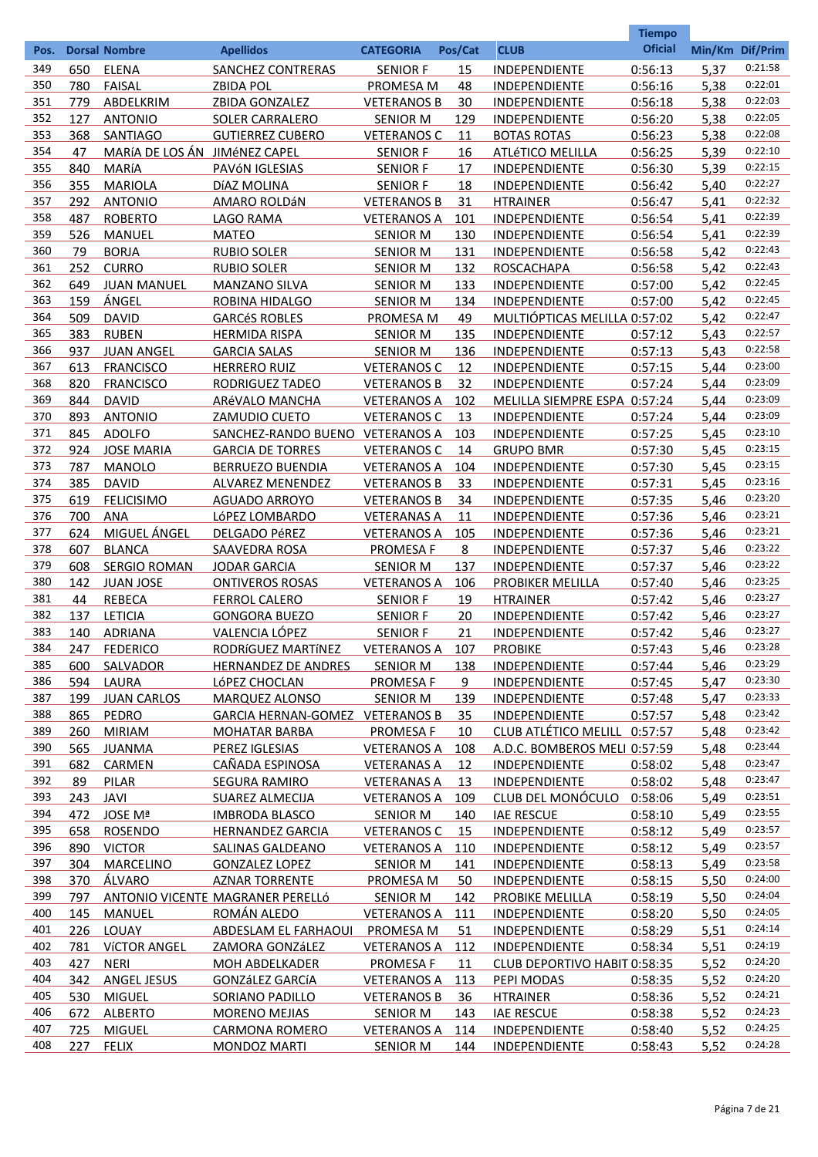|      |     |                               |                                  |                    |            |                              | <b>Tiempo</b>  |                 |         |
|------|-----|-------------------------------|----------------------------------|--------------------|------------|------------------------------|----------------|-----------------|---------|
| Pos. |     | <b>Dorsal Nombre</b>          | <b>Apellidos</b>                 | <b>CATEGORIA</b>   | Pos/Cat    | <b>CLUB</b>                  | <b>Oficial</b> | Min/Km Dif/Prim |         |
| 349  | 650 | <b>ELENA</b>                  | <b>SANCHEZ CONTRERAS</b>         | <b>SENIOR F</b>    | 15         | <b>INDEPENDIENTE</b>         | 0:56:13        | 5,37            | 0:21:58 |
| 350  | 780 | <b>FAISAL</b>                 | <b>ZBIDA POL</b>                 | PROMESA M          | 48         | <b>INDEPENDIENTE</b>         | 0:56:16        | 5,38            | 0:22:01 |
| 351  | 779 | ABDELKRIM                     | ZBIDA GONZALEZ                   | <b>VETERANOS B</b> | 30         | <b>INDEPENDIENTE</b>         | 0:56:18        | 5,38            | 0:22:03 |
| 352  | 127 | <b>ANTONIO</b>                | <b>SOLER CARRALERO</b>           | <b>SENIOR M</b>    | 129        | <b>INDEPENDIENTE</b>         | 0:56:20        | 5,38            | 0:22:05 |
| 353  | 368 | SANTIAGO                      | <b>GUTIERREZ CUBERO</b>          | <b>VETERANOS C</b> | 11         | <b>BOTAS ROTAS</b>           | 0:56:23        | 5,38            | 0:22:08 |
| 354  | 47  | MARÍA DE LOS ÁN JIMÉNEZ CAPEL |                                  | <b>SENIOR F</b>    | 16         | <b>ATLÉTICO MELILLA</b>      | 0:56:25        | 5,39            | 0:22:10 |
| 355  | 840 | MARÍA                         | PAVÓN IGLESIAS                   | <b>SENIOR F</b>    | 17         | INDEPENDIENTE                | 0:56:30        | 5,39            | 0:22:15 |
| 356  | 355 | <b>MARIOLA</b>                | DÍAZ MOLINA                      | <b>SENIOR F</b>    | 18         | <b>INDEPENDIENTE</b>         | 0:56:42        | 5,40            | 0:22:27 |
| 357  | 292 | <b>ANTONIO</b>                | AMARO ROLDÁN                     | <b>VETERANOS B</b> | 31         | <b>HTRAINER</b>              | 0:56:47        | 5,41            | 0:22:32 |
| 358  | 487 | <b>ROBERTO</b>                | LAGO RAMA                        | <b>VETERANOS A</b> | 101        | <b>INDEPENDIENTE</b>         | 0:56:54        | 5,41            | 0:22:39 |
| 359  | 526 | <b>MANUEL</b>                 | <b>MATEO</b>                     | <b>SENIOR M</b>    | 130        | <b>INDEPENDIENTE</b>         | 0:56:54        | 5,41            | 0:22:39 |
| 360  | 79  | <b>BORJA</b>                  | <b>RUBIO SOLER</b>               | <b>SENIOR M</b>    | 131        | <b>INDEPENDIENTE</b>         | 0:56:58        | 5,42            | 0:22:43 |
| 361  | 252 | <b>CURRO</b>                  | <b>RUBIO SOLER</b>               | <b>SENIOR M</b>    | 132        | ROSCACHAPA                   | 0:56:58        | 5,42            | 0:22:43 |
| 362  | 649 | <b>JUAN MANUEL</b>            | <b>MANZANO SILVA</b>             | <b>SENIOR M</b>    | 133        | <b>INDEPENDIENTE</b>         | 0:57:00        | 5,42            | 0:22:45 |
| 363  | 159 | ÁNGEL                         | ROBINA HIDALGO                   | <b>SENIOR M</b>    | 134        | <b>INDEPENDIENTE</b>         | 0:57:00        | 5,42            | 0:22:45 |
| 364  | 509 | <b>DAVID</b>                  | <b>GARCÉS ROBLES</b>             | <b>PROMESA M</b>   | 49         | MULTIÓPTICAS MELILLA 0:57:02 |                | 5,42            | 0:22:47 |
| 365  | 383 | <b>RUBEN</b>                  | <b>HERMIDA RISPA</b>             | <b>SENIOR M</b>    | 135        | <b>INDEPENDIENTE</b>         | 0:57:12        | 5,43            | 0:22:57 |
| 366  | 937 | <b>JUAN ANGEL</b>             | <b>GARCIA SALAS</b>              | <b>SENIOR M</b>    | <u>136</u> | <b>INDEPENDIENTE</b>         | 0:57:13        | 5,43            | 0:22:58 |
| 367  | 613 | <b>FRANCISCO</b>              | <b>HERRERO RUIZ</b>              | <b>VETERANOS C</b> | 12         | <b>INDEPENDIENTE</b>         | 0:57:15        | 5,44            | 0:23:00 |
| 368  | 820 | <b>FRANCISCO</b>              | <b>RODRIGUEZ TADEO</b>           | <b>VETERANOS B</b> | 32         | <b>INDEPENDIENTE</b>         | 0:57:24        | 5,44            | 0:23:09 |
| 369  | 844 | <b>DAVID</b>                  | ARÉVALO MANCHA                   | <b>VETERANOS A</b> | 102        | MELILLA SIEMPRE ESPA 0:57:24 |                | 5,44            | 0:23:09 |
| 370  | 893 | <b>ANTONIO</b>                | <b>ZAMUDIO CUETO</b>             | <b>VETERANOS C</b> | 13         | <b>INDEPENDIENTE</b>         | 0:57:24        | 5,44            | 0:23:09 |
| 371  | 845 | <b>ADOLFO</b>                 | SANCHEZ-RANDO BUENO VETERANOS A  |                    | 103        | INDEPENDIENTE                | 0:57:25        | 5,45            | 0:23:10 |
| 372  | 924 | <b>JOSE MARIA</b>             | <b>GARCIA DE TORRES</b>          | <b>VETERANOS C</b> | 14         | <b>GRUPO BMR</b>             | 0:57:30        | 5,45            | 0:23:15 |
| 373  | 787 | <b>MANOLO</b>                 | <b>BERRUEZO BUENDIA</b>          | <b>VETERANOS A</b> | 104        | <b>INDEPENDIENTE</b>         | 0:57:30        | 5,45            | 0:23:15 |
| 374  | 385 | <b>DAVID</b>                  | <b>ALVAREZ MENENDEZ</b>          | <b>VETERANOS B</b> | 33         | <b>INDEPENDIENTE</b>         | 0:57:31        | 5,45            | 0:23:16 |
| 375  | 619 | <b>FELICISIMO</b>             | <b>AGUADO ARROYO</b>             | <b>VETERANOS B</b> | 34         | <b>INDEPENDIENTE</b>         | 0:57:35        | 5,46            | 0:23:20 |
| 376  | 700 | <b>ANA</b>                    | LÓPEZ LOMBARDO                   | <b>VETERANAS A</b> | 11         | INDEPENDIENTE                | 0:57:36        | 5,46            | 0:23:21 |
| 377  | 624 | MIGUEL ÁNGEL                  | <b>DELGADO PéREZ</b>             | <b>VETERANOS A</b> | 105        | <b>INDEPENDIENTE</b>         | 0:57:36        | 5,46            | 0:23:21 |
| 378  | 607 | <b>BLANCA</b>                 | SAAVEDRA ROSA                    | <b>PROMESA F</b>   | 8          | <b>INDEPENDIENTE</b>         | 0:57:37        | 5,46            | 0:23:22 |
| 379  | 608 | <b>SERGIO ROMAN</b>           | <b>JODAR GARCIA</b>              | <b>SENIOR M</b>    | 137        | <b>INDEPENDIENTE</b>         | 0:57:37        | 5,46            | 0:23:22 |
| 380  | 142 | <b>JUAN JOSE</b>              | <b>ONTIVEROS ROSAS</b>           | <b>VETERANOS A</b> | 106        | <b>PROBIKER MELILLA</b>      | 0:57:40        | 5,46            | 0:23:25 |
| 381  | 44  | <b>REBECA</b>                 | <b>FERROL CALERO</b>             | <b>SENIOR F</b>    | 19         | <b>HTRAINER</b>              | 0:57:42        | 5,46            | 0:23:27 |
| 382  | 137 | <b>LETICIA</b>                | <b>GONGORA BUEZO</b>             | <b>SENIOR F</b>    | 20         | <b>INDEPENDIENTE</b>         | 0:57:42        | 5,46            | 0:23:27 |
| 383  | 140 | <b>ADRIANA</b>                | VALENCIA LÓPEZ                   | <b>SENIOR F</b>    | 21         | <b>INDEPENDIENTE</b>         | 0:57:42        | 5,46            | 0:23:27 |
| 384  | 247 | <b>FEDERICO</b>               | RODRÍGUEZ MARTÍNEZ               | VETERANOS A 107    |            | <b>PROBIKE</b>               | 0:57:43        | 5,46            | 0:23:28 |
| 385  | 600 | SALVADOR                      | <b>HERNANDEZ DE ANDRES</b>       | <b>SENIOR M</b>    | 138        | <b>INDEPENDIENTE</b>         | 0:57:44        | 5,46            | 0:23:29 |
| 386  | 594 | LAURA                         | LÓPEZ CHOCLAN                    | <b>PROMESA F</b>   | 9          | <b>INDEPENDIENTE</b>         | 0:57:45        | 5,47            | 0:23:30 |
| 387  | 199 | <b>JUAN CARLOS</b>            | MARQUEZ ALONSO                   | <b>SENIOR M</b>    | <u>139</u> | <b>INDEPENDIENTE</b>         | 0:57:48        | 5,47            | 0:23:33 |
| 388  | 865 | PEDRO                         | GARCIA HERNAN-GOMEZ VETERANOS B  |                    | 35         | INDEPENDIENTE                | 0:57:57        | 5,48            | 0:23:42 |
| 389  | 260 | <b>MIRIAM</b>                 | <b>MOHATAR BARBA</b>             | <b>PROMESA F</b>   | 10         | CLUB ATLÉTICO MELILL 0:57:57 |                | 5,48            | 0:23:42 |
| 390  | 565 | <b>JUANMA</b>                 | PEREZ IGLESIAS                   | <b>VETERANOS A</b> | 108        | A.D.C. BOMBEROS MELI 0:57:59 |                | 5,48            | 0:23:44 |
| 391  | 682 | CARMEN                        | CAÑADA ESPINOSA                  | <b>VETERANAS A</b> | 12         | <b>INDEPENDIENTE</b>         | 0:58:02        | 5,48            | 0:23:47 |
| 392  | 89  | <b>PILAR</b>                  | <b>SEGURA RAMIRO</b>             | <b>VETERANAS A</b> | 13         | <b>INDEPENDIENTE</b>         | 0:58:02        | 5,48            | 0:23:47 |
| 393  | 243 | JAVI                          | SUAREZ ALMECIJA                  | <b>VETERANOS A</b> | <u>109</u> | CLUB DEL MONÓCULO            | 0:58:06        | 5,49            | 0:23:51 |
| 394  | 472 | JOSE Mª                       | <b>IMBRODA BLASCO</b>            | <b>SENIOR M</b>    | 140        | <b>IAE RESCUE</b>            | 0:58:10        | 5,49            | 0:23:55 |
| 395  | 658 | <b>ROSENDO</b>                | <b>HERNANDEZ GARCIA</b>          | <b>VETERANOS C</b> | 15         | <b>INDEPENDIENTE</b>         | 0:58:12        | 5,49            | 0:23:57 |
| 396  | 890 | <b>VICTOR</b>                 | SALINAS GALDEANO                 | <b>VETERANOS A</b> | 110        | <b>INDEPENDIENTE</b>         | 0:58:12        | 5,49            | 0:23:57 |
| 397  | 304 | MARCELINO                     | <b>GONZALEZ LOPEZ</b>            | <b>SENIOR M</b>    | 141        | <b>INDEPENDIENTE</b>         | 0:58:13        | 5,49            | 0:23:58 |
| 398  | 370 | ÁLVARO                        | <b>AZNAR TORRENTE</b>            | PROMESA M          | 50         | <b>INDEPENDIENTE</b>         | 0:58:15        | 5,50            | 0:24:00 |
| 399  | 797 |                               | ANTONIO VICENTE MAGRANER PERELLÓ | <b>SENIOR M</b>    | 142        | PROBIKE MELILLA              | 0:58:19        | 5,50            | 0:24:04 |
| 400  | 145 | MANUEL                        | ROMÁN ALEDO                      | <b>VETERANOS A</b> | 111        | <b>INDEPENDIENTE</b>         | 0:58:20        | 5,50            | 0:24:05 |
| 401  | 226 | LOUAY                         | ABDESLAM EL FARHAOUI             | PROMESA M          | 51         | <b>INDEPENDIENTE</b>         | 0:58:29        | 5,51            | 0:24:14 |
| 402  | 781 | <b>VÍCTOR ANGEL</b>           | <b>ZAMORA GONZÁLEZ</b>           | <b>VETERANOS A</b> | 112        | <b>INDEPENDIENTE</b>         | 0:58:34        | 5,51            | 0:24:19 |
| 403  | 427 | <b>NERI</b>                   | <b>MOH ABDELKADER</b>            | <b>PROMESA F</b>   | 11         | CLUB DEPORTIVO HABIT 0:58:35 |                | 5,52            | 0:24:20 |
| 404  | 342 | <b>ANGEL JESUS</b>            | <b>GONZáLEZ GARCÍA</b>           | <b>VETERANOS A</b> | 113        | PEPI MODAS                   | 0:58:35        | 5,52            | 0:24:20 |
| 405  | 530 | <b>MIGUEL</b>                 | <b>SORIANO PADILLO</b>           | <b>VETERANOS B</b> | 36         | <b>HTRAINER</b>              | 0:58:36        | 5,52            | 0:24:21 |
| 406  | 672 | <b>ALBERTO</b>                | <b>MORENO MEJIAS</b>             | <b>SENIOR M</b>    | 143        | <b>IAE RESCUE</b>            | 0:58:38        | 5,52            | 0:24:23 |
| 407  | 725 | <b>MIGUEL</b>                 | <b>CARMONA ROMERO</b>            | <b>VETERANOS A</b> | 114        | <b>INDEPENDIENTE</b>         | 0:58:40        | 5,52            | 0:24:25 |
| 408  | 227 | <b>FELIX</b>                  | <b>MONDOZ MARTI</b>              | <b>SENIOR M</b>    | 144        | <b>INDEPENDIENTE</b>         | 0:58:43        | 5,52            | 0:24:28 |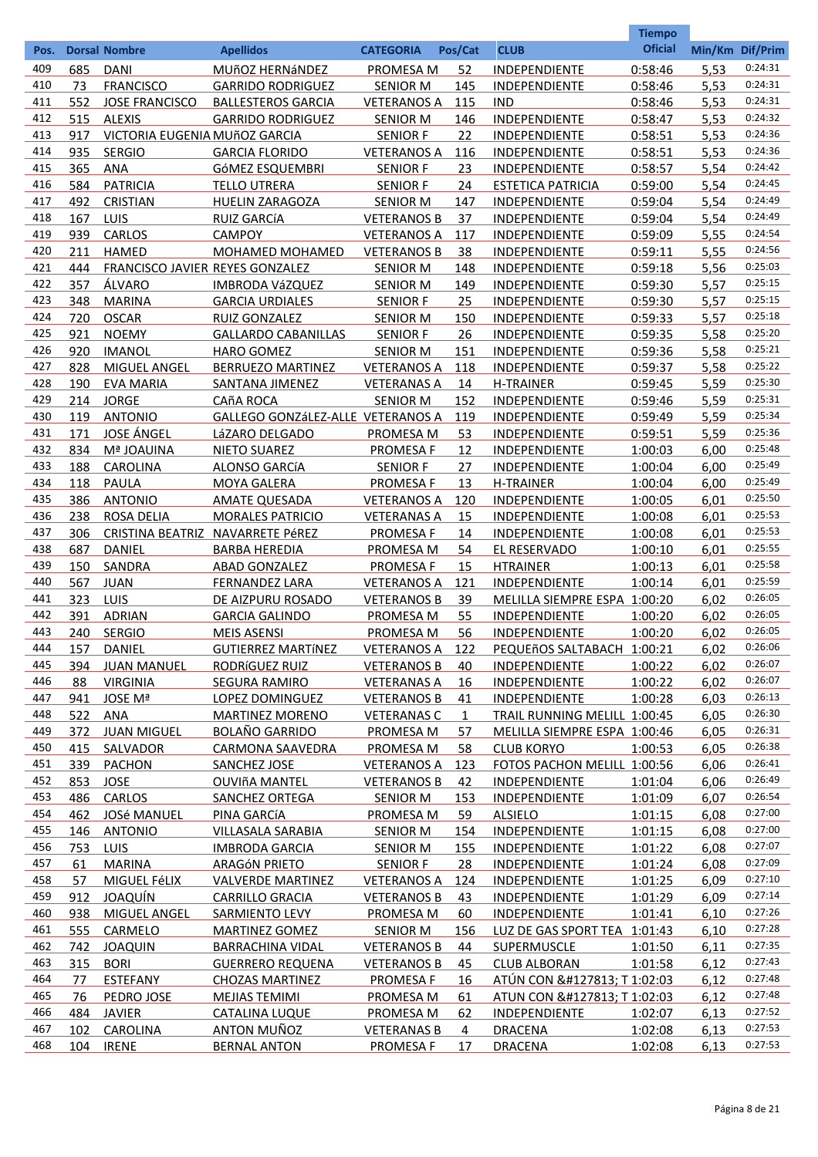|            |            |                                           |                                                  |                                    |              |                                     | <b>Tiempo</b>      |                 |                    |
|------------|------------|-------------------------------------------|--------------------------------------------------|------------------------------------|--------------|-------------------------------------|--------------------|-----------------|--------------------|
| Pos.       |            | <b>Dorsal Nombre</b>                      | <b>Apellidos</b>                                 | <b>CATEGORIA</b>                   | Pos/Cat      | <b>CLUB</b>                         | <b>Oficial</b>     | Min/Km Dif/Prim |                    |
| 409        | 685        | <b>DANI</b>                               | MUÑOZ HERNÁNDEZ                                  | PROMESA M                          | 52           | <b>INDEPENDIENTE</b>                | 0:58:46            | 5,53            | 0:24:31            |
| 410        | 73         | <b>FRANCISCO</b>                          | <b>GARRIDO RODRIGUEZ</b>                         | <b>SENIOR M</b>                    | 145          | <b>INDEPENDIENTE</b>                | 0:58:46            | 5,53            | 0:24:31            |
| 411        | 552        | <b>JOSE FRANCISCO</b>                     | <b>BALLESTEROS GARCIA</b>                        | <b>VETERANOS A</b>                 | 115          | <b>IND</b>                          | 0:58:46            | 5,53            | 0:24:31            |
| 412        | 515        | <b>ALEXIS</b>                             | <b>GARRIDO RODRIGUEZ</b>                         | <b>SENIOR M</b>                    | 146          | INDEPENDIENTE                       | 0:58:47            | 5,53            | 0:24:32            |
| 413        | 917        | VICTORIA EUGENIA MUñOZ GARCIA             |                                                  | <b>SENIOR F</b>                    | 22           | INDEPENDIENTE                       | 0:58:51            | 5,53            | 0:24:36            |
| 414        | 935        | <b>SERGIO</b>                             | <b>GARCIA FLORIDO</b>                            | <b>VETERANOS A</b>                 | 116          | INDEPENDIENTE                       | 0:58:51            | 5,53            | 0:24:36            |
| 415        | 365        | <b>ANA</b>                                | GÓMEZ ESQUEMBRI                                  | <b>SENIOR F</b>                    | 23           | INDEPENDIENTE                       | 0:58:57            | 5,54            | 0:24:42            |
| 416        | 584        | <b>PATRICIA</b>                           | <b>TELLO UTRERA</b>                              | <b>SENIOR F</b>                    | 24           | <b>ESTETICA PATRICIA</b>            | 0:59:00            | 5,54            | 0:24:45            |
| 417        | 492        | <b>CRISTIAN</b>                           | <b>HUELIN ZARAGOZA</b>                           | <b>SENIOR M</b>                    | 147          | INDEPENDIENTE                       | 0:59:04            | 5,54            | 0:24:49            |
| 418        | 167        | LUIS                                      | <b>RUIZ GARCÍA</b>                               | <b>VETERANOS B</b>                 | 37           | INDEPENDIENTE                       | 0:59:04            | 5,54            | 0:24:49            |
| 419        | 939        | <b>CARLOS</b>                             | <b>CAMPOY</b>                                    | <b>VETERANOS A</b>                 | 117          | INDEPENDIENTE                       | 0:59:09            | 5,55            | 0:24:54<br>0:24:56 |
| 420<br>421 | 211        | <b>HAMED</b>                              | MOHAMED MOHAMED                                  | <b>VETERANOS B</b>                 | 38           | INDEPENDIENTE                       | 0:59:11            | 5,55            | 0:25:03            |
| 422        | 444<br>357 | FRANCISCO JAVIER REYES GONZALEZ<br>ÁLVARO |                                                  | <b>SENIOR M</b>                    | 148          | INDEPENDIENTE                       | 0:59:18<br>0:59:30 | 5,56            | 0:25:15            |
| 423        | 348        | <b>MARINA</b>                             | <b>IMBRODA VáZQUEZ</b><br><b>GARCIA URDIALES</b> | <b>SENIOR M</b><br><b>SENIOR F</b> | 149<br>25    | INDEPENDIENTE<br>INDEPENDIENTE      | 0:59:30            | 5,57<br>5,57    | 0:25:15            |
| 424        | 720        | <b>OSCAR</b>                              | RUIZ GONZALEZ                                    | <b>SENIOR M</b>                    | 150          | INDEPENDIENTE                       | 0:59:33            | 5,57            | 0:25:18            |
| 425        | 921        | <b>NOEMY</b>                              | <b>GALLARDO CABANILLAS</b>                       | <b>SENIOR F</b>                    | 26           | INDEPENDIENTE                       | 0:59:35            | 5,58            | 0:25:20            |
| 426        | 920        | <b>IMANOL</b>                             | <b>HARO GOMEZ</b>                                | <b>SENIOR M</b>                    | 151          | INDEPENDIENTE                       | 0:59:36            | 5,58            | 0:25:21            |
| 427        | 828        | <b>MIGUEL ANGEL</b>                       | BERRUEZO MARTINEZ                                | <b>VETERANOS A</b>                 | 118          | INDEPENDIENTE                       | 0:59:37            | 5,58            | 0:25:22            |
| 428        | 190        | <b>EVA MARIA</b>                          | SANTANA JIMENEZ                                  | <b>VETERANAS A</b>                 | 14           | <b>H-TRAINER</b>                    | 0:59:45            | 5,59            | 0:25:30            |
| 429        | 214        | <b>JORGE</b>                              | <b>CAñA ROCA</b>                                 | <b>SENIOR M</b>                    | 152          | INDEPENDIENTE                       | 0:59:46            | 5,59            | 0:25:31            |
| 430        | 119        | <b>ANTONIO</b>                            | GALLEGO GONZÁLEZ-ALLE VETERANOS A                |                                    | 119          | INDEPENDIENTE                       | 0:59:49            | 5,59            | 0:25:34            |
| 431        | 171        | <b>JOSE ÁNGEL</b>                         | LáZARO DELGADO                                   | PROMESA M                          | 53           | INDEPENDIENTE                       | 0:59:51            | 5,59            | 0:25:36            |
| 432        | 834        | Mª JOAUINA                                | <b>NIETO SUAREZ</b>                              | <b>PROMESAF</b>                    | 12           | INDEPENDIENTE                       | 1:00:03            | 6,00            | 0:25:48            |
| 433        | 188        | CAROLINA                                  | ALONSO GARCÍA                                    | <b>SENIOR F</b>                    | 27           | INDEPENDIENTE                       | 1:00:04            | 6,00            | 0:25:49            |
| 434        | 118        | <b>PAULA</b>                              | <b>MOYA GALERA</b>                               | <b>PROMESAF</b>                    | 13           | <b>H-TRAINER</b>                    | 1:00:04            | 6,00            | 0:25:49            |
| 435        | 386        | <b>ANTONIO</b>                            | <b>AMATE QUESADA</b>                             | <b>VETERANOS A</b>                 | 120          | INDEPENDIENTE                       | 1:00:05            | 6,01            | 0:25:50            |
| 436        | 238        | <b>ROSA DELIA</b>                         | <b>MORALES PATRICIO</b>                          | <b>VETERANAS A</b>                 | 15           | INDEPENDIENTE                       | 1:00:08            | 6,01            | 0:25:53            |
| 437        | 306        |                                           | CRISTINA BEATRIZ NAVARRETE PéREZ                 | <b>PROMESAF</b>                    | 14           | INDEPENDIENTE                       | 1:00:08            | 6,01            | 0:25:53            |
| 438        | 687        | <b>DANIEL</b>                             | <b>BARBA HEREDIA</b>                             | PROMESA M                          | 54           | EL RESERVADO                        | 1:00:10            | 6,01            | 0:25:55            |
| 439        | 150        | <b>SANDRA</b>                             | <b>ABAD GONZALEZ</b>                             | <b>PROMESAF</b>                    | 15           | <b>HTRAINER</b>                     | 1:00:13            | 6,01            | 0:25:58            |
| 440        | 567        | <b>JUAN</b>                               | <b>FERNANDEZ LARA</b>                            | <b>VETERANOS A</b>                 | 121          | <b>INDEPENDIENTE</b>                | 1:00:14            | 6,01            | 0:25:59            |
| 441        | 323        | LUIS                                      | DE AIZPURU ROSADO                                | <b>VETERANOS B</b>                 | 39           | MELILLA SIEMPRE ESPA 1:00:20        |                    | 6.02            | 0:26:05            |
| 442        | 391        | <b>ADRIAN</b>                             | <b>GARCIA GALINDO</b>                            | <b>PROMESA M</b>                   | 55           | <b>INDEPENDIENTE</b>                | 1:00:20            | 6,02            | 0:26:05            |
| 443        | 240        | <b>SERGIO</b>                             | <b>MEIS ASENSI</b>                               | PROMESA M                          | 56           | INDEPENDIENTE                       | 1:00:20            | 6,02            | 0:26:05            |
| 444        | 157        | DANIEL                                    | <b>GUTIERREZ MARTÍNEZ</b>                        | VETERANOS A 122                    |              | PEQUEñOS SALTABACH 1:00:21          |                    | 6,02            | 0:26:06            |
| 445        | 394        | <b>JUAN MANUEL</b>                        | RODRÍGUEZ RUIZ                                   | <b>VETERANOS B</b>                 | 40           | <b>INDEPENDIENTE</b>                | 1:00:22            | 6,02            | 0:26:07            |
| 446        | 88         | <b>VIRGINIA</b>                           | <b>SEGURA RAMIRO</b>                             | <b>VETERANAS A</b>                 | 16           | <b>INDEPENDIENTE</b>                | 1:00:22            | 6,02            | 0:26:07            |
| 447        | 941        | JOSE Mª                                   | LOPEZ DOMINGUEZ                                  | <b>VETERANOS B</b>                 | 41           | <b>INDEPENDIENTE</b>                | 1:00:28            | 6,03            | 0:26:13            |
| 448        | 522        | <b>ANA</b>                                | <b>MARTINEZ MORENO</b>                           | <b>VETERANAS C</b>                 | $\mathbf{1}$ | <b>TRAIL RUNNING MELILL 1:00:45</b> |                    | 6,05            | 0:26:30            |
| 449        | 372        | <b>JUAN MIGUEL</b>                        | <b>BOLAÑO GARRIDO</b>                            | PROMESA M                          | 57           | MELILLA SIEMPRE ESPA 1:00:46        |                    | 6,05            | 0:26:31            |
| 450        | 415        | SALVADOR                                  | <b>CARMONA SAAVEDRA</b>                          | PROMESA M                          | 58           | <b>CLUB KORYO</b>                   | 1:00:53            | 6,05            | 0:26:38            |
| 451        | 339        | <b>PACHON</b>                             | <b>SANCHEZ JOSE</b>                              | <b>VETERANOS A</b>                 | <u>123</u>   | FOTOS PACHON MELILL 1:00:56         |                    | 6,06            | 0:26:41            |
| 452        | 853        | <b>JOSE</b>                               | <b>OUVIñA MANTEL</b>                             | <b>VETERANOS B</b>                 | 42           | <b>INDEPENDIENTE</b>                | 1:01:04            | 6,06            | 0:26:49            |
| 453        | 486        | CARLOS                                    | SANCHEZ ORTEGA                                   | <b>SENIOR M</b>                    | <u>153</u>   | INDEPENDIENTE                       | 1:01:09            | 6,07            | 0:26:54            |
| 454        |            | 462 JOSé MANUEL                           | PINA GARCÍA                                      | <b>PROMESA M</b>                   | 59           | <b>ALSIELO</b>                      | 1:01:15            | 6,08            | 0:27:00            |
| 455        |            | 146 ANTONIO                               | VILLASALA SARABIA                                | <b>SENIOR M</b>                    | 154          | <b>INDEPENDIENTE</b>                | 1:01:15            | 6,08            | 0:27:00            |
| 456        | $753 -$    | <b>LUIS</b>                               | <b>IMBRODA GARCIA</b>                            | <b>SENIOR M</b>                    | <u>155</u>   | <b>INDEPENDIENTE</b>                | 1:01:22            | 6,08            | 0:27:07            |
| 457        | 61         | <b>MARINA</b>                             | <b>ARAGÓN PRIETO</b>                             | <b>SENIOR F</b>                    | 28           | <b>INDEPENDIENTE</b>                | 1:01:24            | 6,08            | 0:27:09            |
| 458        | 57         | MIGUEL FéLIX                              | <b>VALVERDE MARTINEZ</b>                         | <b>VETERANOS A</b>                 | 124          | <b>INDEPENDIENTE</b>                | 1:01:25            | 6,09            | 0:27:10            |
| 459        | 912        | JOAQUÍN                                   | <b>CARRILLO GRACIA</b>                           | <b>VETERANOS B</b>                 | 43           | <b>INDEPENDIENTE</b>                | 1:01:29            | 6,09            | 0:27:14            |
| 460        | 938        | <b>MIGUEL ANGEL</b>                       | SARMIENTO LEVY                                   | PROMESA M                          | 60           | <b>INDEPENDIENTE</b>                | 1:01:41            | 6,10            | 0:27:26            |
| 461        | 555        | CARMELO                                   | <b>MARTINEZ GOMEZ</b>                            | <b>SENIOR M</b>                    | 156          | LUZ DE GAS SPORT TEA 1:01:43        |                    | 6,10            | 0:27:28            |
| 462        | 742        | <b>JOAQUIN</b>                            | <b>BARRACHINA VIDAL</b>                          | <b>VETERANOS B</b>                 | 44           | <b>SUPERMUSCLE</b>                  | 1:01:50            | 6,11            | 0:27:35            |
| 463        | 315        | <b>BORI</b>                               | <b>GUERRERO REQUENA</b>                          | <b>VETERANOS B</b>                 | 45           | <b>CLUB ALBORAN</b>                 | 1:01:58            | 6,12            | 0:27:43            |
| 464        | 77         | <b>ESTEFANY</b>                           | <b>CHOZAS MARTINEZ</b>                           | <b>PROMESA F</b>                   | 16           | ATÚN CON 🍅 T 1:02:03                |                    | 6,12            | 0:27:48            |
| 465        | 76         | PEDRO JOSE                                | <b>MEJIAS TEMIMI</b>                             | PROMESA M                          | 61           | ATUN CON 🍅 T 1:02:03                |                    | 6,12            | 0:27:48            |
| 466        | 484        | <b>JAVIER</b>                             | <b>CATALINA LUQUE</b>                            | <b>PROMESA M</b>                   | 62           | <b>INDEPENDIENTE</b>                | 1:02:07            | 6,13            | 0:27:52            |
| 467        | 102        | CAROLINA                                  | <b>ANTON MUÑOZ</b>                               | <b>VETERANAS B</b>                 | 4            | <b>DRACENA</b>                      | 1:02:08            | 6,13            | 0:27:53            |
| 468        | 104        | <b>IRENE</b>                              | <b>BERNAL ANTON</b>                              | <b>PROMESA F</b>                   | 17           | <b>DRACENA</b>                      | 1:02:08            | 6,13            | 0:27:53            |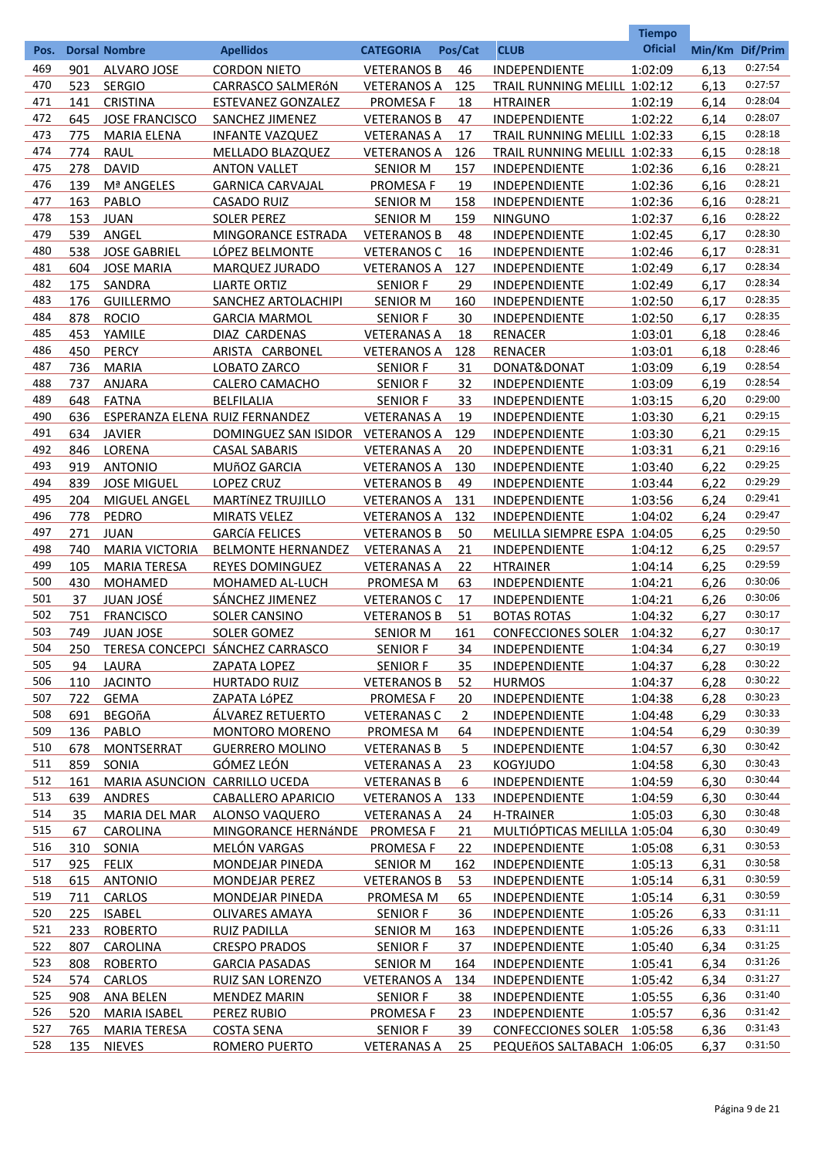| <b>Oficial</b><br><b>CLUB</b><br>Min/Km Dif/Prim<br><b>Dorsal Nombre</b><br><b>Apellidos</b><br><b>CATEGORIA</b><br>Pos/Cat<br>Pos.<br>0:27:54<br>469<br><b>CORDON NIETO</b><br>1:02:09<br>6,13<br>901<br>ALVARO JOSE<br><b>VETERANOS B</b><br>46<br><b>INDEPENDIENTE</b><br>0:27:57<br>470<br>523<br><b>SERGIO</b><br>TRAIL RUNNING MELILL 1:02:12<br>6,13<br>CARRASCO SALMERÓN<br><b>VETERANOS A</b><br>125<br>0:28:04<br>471<br><b>CRISTINA</b><br>6,14<br>141<br><b>ESTEVANEZ GONZALEZ</b><br><b>PROMESA F</b><br>18<br><b>HTRAINER</b><br>1:02:19<br>0:28:07<br>472<br><b>JOSE FRANCISCO</b><br>6,14<br>645<br><b>SANCHEZ JIMENEZ</b><br><b>VETERANOS B</b><br>47<br><b>INDEPENDIENTE</b><br>1:02:22<br>0:28:18<br>473<br>6,15<br>775<br><b>MARIA ELENA</b><br><b>INFANTE VAZQUEZ</b><br><b>VETERANAS A</b><br>17<br>TRAIL RUNNING MELILL 1:02:33<br>474<br>0:28:18<br><b>RAUL</b><br>6,15<br>774<br>MELLADO BLAZQUEZ<br><b>VETERANOS A</b><br>126<br>TRAIL RUNNING MELILL 1:02:33<br>475<br>0:28:21<br>278<br><b>DAVID</b><br>INDEPENDIENTE<br>6,16<br><b>ANTON VALLET</b><br><b>SENIOR M</b><br>157<br>1:02:36<br>0:28:21<br>476<br>139<br>Mª ANGELES<br><b>PROMESA F</b><br>19<br>INDEPENDIENTE<br>6,16<br><b>GARNICA CARVAJAL</b><br>1:02:36<br>0:28:21<br>477<br>163<br>PABLO<br>INDEPENDIENTE<br>6,16<br><b>CASADO RUIZ</b><br><b>SENIOR M</b><br>158<br>1:02:36<br>0:28:22<br>478<br>153<br><b>JUAN</b><br><b>SOLER PEREZ</b><br><b>SENIOR M</b><br>159<br><b>NINGUNO</b><br>1:02:37<br>6,16<br>479<br>0:28:30<br>539<br>ANGEL<br><b>VETERANOS B</b><br>6,17<br>MINGORANCE ESTRADA<br>48<br><b>INDEPENDIENTE</b><br>1:02:45<br>480<br>0:28:31<br>538<br><b>JOSE GABRIEL</b><br>LÓPEZ BELMONTE<br><b>VETERANOS C</b><br>INDEPENDIENTE<br>6,17<br>16<br>1:02:46<br>0:28:34<br>481<br>604<br><b>JOSE MARIA</b><br>INDEPENDIENTE<br>MARQUEZ JURADO<br><b>VETERANOS A</b><br>127<br>1:02:49<br>6,17<br>0:28:34<br>482<br>175<br>SANDRA<br><b>LIARTE ORTIZ</b><br>INDEPENDIENTE<br>1:02:49<br><b>SENIOR F</b><br>29<br>6,17<br>0:28:35<br>483<br>176<br><b>GUILLERMO</b><br>INDEPENDIENTE<br>6,17<br>SANCHEZ ARTOLACHIPI<br><b>SENIOR M</b><br>160<br>1:02:50<br>0:28:35<br>484<br>878<br><b>ROCIO</b><br><b>GARCIA MARMOL</b><br><b>SENIOR F</b><br>30<br><b>INDEPENDIENTE</b><br>1:02:50<br>6,17<br>0:28:46<br>485<br>453<br>YAMILE<br><b>DIAZ CARDENAS</b><br><b>VETERANAS A</b><br>18<br><b>RENACER</b><br>1:03:01<br>6,18<br>0:28:46<br>486<br>450<br><b>PERCY</b><br>ARISTA CARBONEL<br><b>VETERANOS A</b><br>128<br><b>RENACER</b><br>1:03:01<br>6,18<br>0:28:54<br>487<br>736<br><b>MARIA</b><br>LOBATO ZARCO<br>DONAT&DONAT<br><b>SENIOR F</b><br>31<br>1:03:09<br>6,19<br>0:28:54<br>488<br><b>ANJARA</b><br>737<br><b>CALERO CAMACHO</b><br><b>SENIOR F</b><br>32.<br><b>INDEPENDIENTE</b><br>1:03:09<br>6,19<br>489<br>0:29:00<br>648<br><b>FATNA</b><br><b>BELFILALIA</b><br><b>SENIOR F</b><br>33<br>INDEPENDIENTE<br>6,20<br>1:03:15<br>490<br>0:29:15<br>636<br><b>VETERANAS A</b><br>INDEPENDIENTE<br>ESPERANZA ELENA RUIZ FERNANDEZ<br>19<br>1:03:30<br>6,21<br>0:29:15<br>491<br><b>JAVIER</b><br>INDEPENDIENTE<br>634<br>DOMINGUEZ SAN ISIDOR VETERANOS A<br>129<br>1:03:30<br>6,21<br>0:29:16<br>492<br>846<br>LORENA<br>INDEPENDIENTE<br><b>CASAL SABARIS</b><br><b>VETERANAS A</b><br>20<br>1:03:31<br>6,21<br>0:29:25<br>493<br>919<br><b>ANTONIO</b><br>INDEPENDIENTE<br>MUñOZ GARCIA<br><b>VETERANOS A</b><br>130<br>1:03:40<br>6,22<br>0:29:29<br>494<br>839<br>INDEPENDIENTE<br>6,22<br><b>JOSE MIGUEL</b><br><b>LOPEZ CRUZ</b><br><b>VETERANOS B</b><br>49<br>1:03:44<br>0:29:41<br>495<br>204<br>MIGUEL ANGEL<br><b>MARTÍNEZ TRUJILLO</b><br><b>VETERANOS A</b><br>131<br><b>INDEPENDIENTE</b><br>1:03:56<br>6,24<br>0:29:47<br>496<br>778<br>PEDRO<br><b>MIRATS VELEZ</b><br><b>VETERANOS A</b><br>INDEPENDIENTE<br>6,24<br>132<br>1:04:02<br>497<br>0:29:50<br>271<br><b>JUAN</b><br><b>GARCÍA FELICES</b><br><b>VETERANOS B</b><br>50<br>MELILLA SIEMPRE ESPA 1:04:05<br>6,25<br>0:29:57<br>498<br>740<br><b>MARIA VICTORIA</b><br><b>BELMONTE HERNANDEZ</b><br><b>VETERANAS A</b><br>21<br><b>INDEPENDIENTE</b><br>1:04:12<br>6,25<br>0:29:59<br>499<br>105<br><b>MARIA TERESA</b><br><b>REYES DOMINGUEZ</b><br><b>VETERANAS A</b><br>22<br><b>HTRAINER</b><br>1:04:14<br>6,25<br>0:30:06<br>500<br>430<br><b>MOHAMED</b><br>PROMESA M<br>6,26<br>MOHAMED AL-LUCH<br>63<br><b>INDEPENDIENTE</b><br>1:04:21<br>0:30:06<br>501<br><b>SÁNCHEZ JIMENEZ</b><br>37<br><u>JUAN JOSÉ</u><br><b>VETERANOS C</b><br>1:04:21<br>17<br><b>INDEPENDIENTE</b><br>6,26<br>0:30:17<br>502<br>751<br><b>FRANCISCO</b><br><b>SOLER CANSINO</b><br><b>VETERANOS B</b><br>51<br><b>BOTAS ROTAS</b><br>1:04:32<br>6,27<br>503<br>0:30:17<br>749<br><b>CONFECCIONES SOLER</b><br><b>JUAN JOSE</b><br><b>SOLER GOMEZ</b><br><b>SENIOR M</b><br><u>161</u><br>6,27<br>1:04:32<br>0:30:19<br>504<br>TERESA CONCEPCI SÁNCHEZ CARRASCO<br>250<br><b>SENIOR F</b><br><b>INDEPENDIENTE</b><br>1:04:34<br>6,27<br>34<br>0:30:22<br>505<br>6,28<br>94<br>LAURA<br><b>ZAPATA LOPEZ</b><br><b>SENIOR F</b><br><u>35</u><br><b>INDEPENDIENTE</b><br>1:04:37<br>0:30:22<br>506<br>110<br><b>JACINTO</b><br>6,28<br><b>HURTADO RUIZ</b><br><b>VETERANOS B</b><br><u>52</u><br><b>HURMOS</b><br>1:04:37<br>0:30:23<br>507<br><b>GEMA</b><br>INDEPENDIENTE<br>6,28<br>722<br>ZAPATA LÓPEZ<br><b>PROMESA F</b><br><u>20</u><br>1:04:38<br>0:30:33<br>508<br>691<br><b>BEGOñA</b><br>ÁLVAREZ RETUERTO<br>6,29<br><b>VETERANAS C</b><br>$\mathbf{2}$<br><b>INDEPENDIENTE</b><br>1:04:48<br>0:30:39<br>509<br>136<br>PABLO<br>64<br>6,29<br><b>MONTORO MORENO</b><br><b>PROMESA M</b><br><b>INDEPENDIENTE</b><br>1:04:54<br>510<br>0:30:42<br>678<br><b>MONTSERRAT</b><br><b>GUERRERO MOLINO</b><br>5<br><b>VETERANAS B</b><br><b>INDEPENDIENTE</b><br>1:04:57<br>6,30<br>0:30:43<br>511<br>GÓMEZ LEÓN<br>859<br>SONIA<br><b>VETERANAS A</b><br><u>23</u><br><b>KOGYJUDO</b><br>1:04:58<br>6,30<br>0:30:44<br>512<br>161<br>MARIA ASUNCION CARRILLO UCEDA<br><b>VETERANAS B</b><br>6<br>INDEPENDIENTE<br>1:04:59<br>6,30<br>0:30:44<br>513<br>639<br>ANDRES<br><b>CABALLERO APARICIO</b><br><b>VETERANOS A</b><br><u>133</u><br><b>INDEPENDIENTE</b><br>1:04:59<br>6,30<br>0:30:48<br>514<br>35<br><b>MARIA DEL MAR</b><br><b>ALONSO VAQUERO</b><br><b>VETERANAS A</b><br><u>24</u><br>H-TRAINER<br>1:05:03<br>6,30<br>0:30:49<br>515<br>MULTIÓPTICAS MELILLA 1:05:04<br>6,30<br>67<br><b>CAROLINA</b><br>MINGORANCE HERNÁNDE PROMESA F<br>21<br>0:30:53<br>516<br><b>MELÓN VARGAS</b><br>22<br>6,31<br>310<br>SONIA<br><b>PROMESA F</b><br><b>INDEPENDIENTE</b><br>1:05:08<br>0:30:58<br>517<br>925<br><b>FELIX</b><br>MONDEJAR PINEDA<br><b>SENIOR M</b><br>162<br><b>INDEPENDIENTE</b><br>1:05:13<br>6,31<br>518<br>0:30:59<br>615 ANTONIO<br><b>MONDEJAR PEREZ</b><br><b>VETERANOS B</b><br>53<br><b>INDEPENDIENTE</b><br>1:05:14<br>6,31<br>519<br>0:30:59<br>711<br><b>CARLOS</b><br>MONDEJAR PINEDA<br>PROMESA M<br><u>65</u><br><b>INDEPENDIENTE</b><br>1:05:14<br>6,31<br>0:31:11<br>520<br>225<br><b>ISABEL</b><br><b>OLIVARES AMAYA</b><br><b>SENIOR F</b><br>36<br><b>INDEPENDIENTE</b><br>1:05:26<br>6,33<br>0:31:11<br>521<br>233<br><b>ROBERTO</b><br>6,33<br><b>RUIZ PADILLA</b><br><b>SENIOR M</b><br><u>163</u><br><b>INDEPENDIENTE</b><br>1:05:26<br>0:31:25<br>522<br>807<br>37<br>1:05:40<br>6,34<br>CAROLINA<br><b>CRESPO PRADOS</b><br><b>SENIOR F</b><br><b>INDEPENDIENTE</b><br>0:31:26<br>523<br>808<br><b>ROBERTO</b><br>164<br>6,34<br><b>GARCIA PASADAS</b><br><b>SENIOR M</b><br><b>INDEPENDIENTE</b><br>1:05:41<br>0:31:27<br>524<br>574<br>CARLOS<br>6,34<br><b>RUIZ SAN LORENZO</b><br><b>VETERANOS A</b><br>134<br>INDEPENDIENTE<br>1:05:42<br>0:31:40<br>525<br>908<br>38<br><b>ANA BELEN</b><br><b>MENDEZ MARIN</b><br><b>SENIOR F</b><br><b>INDEPENDIENTE</b><br>1:05:55<br>6,36<br>0:31:42<br>526<br>520<br><b>MARIA ISABEL</b><br><b>PEREZ RUBIO</b><br><b>PROMESA F</b><br>23<br><b>INDEPENDIENTE</b><br>1:05:57<br>6,36<br>0:31:43<br>527<br>765<br>6,36<br><b>MARIA TERESA</b><br><b>COSTA SENA</b><br><b>SENIOR F</b><br>39<br>CONFECCIONES SOLER 1:05:58<br>0:31:50<br>528<br>135<br><b>NIEVES</b><br>ROMERO PUERTO<br><b>VETERANAS A</b><br>25<br>PEQUEñOS SALTABACH 1:06:05<br>6,37 |  |  |  | <b>Tiempo</b> |  |
|---------------------------------------------------------------------------------------------------------------------------------------------------------------------------------------------------------------------------------------------------------------------------------------------------------------------------------------------------------------------------------------------------------------------------------------------------------------------------------------------------------------------------------------------------------------------------------------------------------------------------------------------------------------------------------------------------------------------------------------------------------------------------------------------------------------------------------------------------------------------------------------------------------------------------------------------------------------------------------------------------------------------------------------------------------------------------------------------------------------------------------------------------------------------------------------------------------------------------------------------------------------------------------------------------------------------------------------------------------------------------------------------------------------------------------------------------------------------------------------------------------------------------------------------------------------------------------------------------------------------------------------------------------------------------------------------------------------------------------------------------------------------------------------------------------------------------------------------------------------------------------------------------------------------------------------------------------------------------------------------------------------------------------------------------------------------------------------------------------------------------------------------------------------------------------------------------------------------------------------------------------------------------------------------------------------------------------------------------------------------------------------------------------------------------------------------------------------------------------------------------------------------------------------------------------------------------------------------------------------------------------------------------------------------------------------------------------------------------------------------------------------------------------------------------------------------------------------------------------------------------------------------------------------------------------------------------------------------------------------------------------------------------------------------------------------------------------------------------------------------------------------------------------------------------------------------------------------------------------------------------------------------------------------------------------------------------------------------------------------------------------------------------------------------------------------------------------------------------------------------------------------------------------------------------------------------------------------------------------------------------------------------------------------------------------------------------------------------------------------------------------------------------------------------------------------------------------------------------------------------------------------------------------------------------------------------------------------------------------------------------------------------------------------------------------------------------------------------------------------------------------------------------------------------------------------------------------------------------------------------------------------------------------------------------------------------------------------------------------------------------------------------------------------------------------------------------------------------------------------------------------------------------------------------------------------------------------------------------------------------------------------------------------------------------------------------------------------------------------------------------------------------------------------------------------------------------------------------------------------------------------------------------------------------------------------------------------------------------------------------------------------------------------------------------------------------------------------------------------------------------------------------------------------------------------------------------------------------------------------------------------------------------------------------------------------------------------------------------------------------------------------------------------------------------------------------------------------------------------------------------------------------------------------------------------------------------------------------------------------------------------------------------------------------------------------------------------------------------------------------------------------------------------------------------------------------------------------------------------------------------------------------------------------------------------------------------------------------------------------------------------------------------------------------------------------------------------------------------------------------------------------------------------------------------------------------------------------------------------------------------------------------------------------------------------------------------------------------------------------------------------------------------------------------------------------------------------------------------------------------------------------------------------------------------------------------------------------------------------------------------------------------------------------------------------------------------------------------------------------------------------------------------------------------------------------------------------------------------------------------------------------------------------------------------------------------------------------------------------------------------------------------------------------------------------------------------------------------------------------------------------------------------------------------------------------------------------------------------------------------------------------------------------------------------------------------------------------------------------------------------------------------------------------------------------------------------------------------------------------------------------------------------------------------------------------------------------------------------------------------------------------------------------------------------------------------------------------------------------------------------------------------------------------------------------------------------------------------------------------------------------------------------------------------------------------------------------------------------------------------------------------------------------------------------------------------------------------------------------------------------------------------------------------------------------------------------------------------------------------------------------------------------------------------------------------------------------|--|--|--|---------------|--|
|                                                                                                                                                                                                                                                                                                                                                                                                                                                                                                                                                                                                                                                                                                                                                                                                                                                                                                                                                                                                                                                                                                                                                                                                                                                                                                                                                                                                                                                                                                                                                                                                                                                                                                                                                                                                                                                                                                                                                                                                                                                                                                                                                                                                                                                                                                                                                                                                                                                                                                                                                                                                                                                                                                                                                                                                                                                                                                                                                                                                                                                                                                                                                                                                                                                                                                                                                                                                                                                                                                                                                                                                                                                                                                                                                                                                                                                                                                                                                                                                                                                                                                                                                                                                                                                                                                                                                                                                                                                                                                                                                                                                                                                                                                                                                                                                                                                                                                                                                                                                                                                                                                                                                                                                                                                                                                                                                                                                                                                                                                                                                                                                                                                                                                                                                                                                                                                                                                                                                                                                                                                                                                                                                                                                                                                                                                                                                                                                                                                                                                                                                                                                                                                                                                                                                                                                                                                                                                                                                                                                                                                                                                                                                                                                                                                                                                                                                                                                                                                                                                                                                                                                                                                                                                                                                                                                                                                                                                                                                                                                                                                                                                                                                                                                                                                                                                                                 |  |  |  |               |  |
|                                                                                                                                                                                                                                                                                                                                                                                                                                                                                                                                                                                                                                                                                                                                                                                                                                                                                                                                                                                                                                                                                                                                                                                                                                                                                                                                                                                                                                                                                                                                                                                                                                                                                                                                                                                                                                                                                                                                                                                                                                                                                                                                                                                                                                                                                                                                                                                                                                                                                                                                                                                                                                                                                                                                                                                                                                                                                                                                                                                                                                                                                                                                                                                                                                                                                                                                                                                                                                                                                                                                                                                                                                                                                                                                                                                                                                                                                                                                                                                                                                                                                                                                                                                                                                                                                                                                                                                                                                                                                                                                                                                                                                                                                                                                                                                                                                                                                                                                                                                                                                                                                                                                                                                                                                                                                                                                                                                                                                                                                                                                                                                                                                                                                                                                                                                                                                                                                                                                                                                                                                                                                                                                                                                                                                                                                                                                                                                                                                                                                                                                                                                                                                                                                                                                                                                                                                                                                                                                                                                                                                                                                                                                                                                                                                                                                                                                                                                                                                                                                                                                                                                                                                                                                                                                                                                                                                                                                                                                                                                                                                                                                                                                                                                                                                                                                                                                 |  |  |  |               |  |
|                                                                                                                                                                                                                                                                                                                                                                                                                                                                                                                                                                                                                                                                                                                                                                                                                                                                                                                                                                                                                                                                                                                                                                                                                                                                                                                                                                                                                                                                                                                                                                                                                                                                                                                                                                                                                                                                                                                                                                                                                                                                                                                                                                                                                                                                                                                                                                                                                                                                                                                                                                                                                                                                                                                                                                                                                                                                                                                                                                                                                                                                                                                                                                                                                                                                                                                                                                                                                                                                                                                                                                                                                                                                                                                                                                                                                                                                                                                                                                                                                                                                                                                                                                                                                                                                                                                                                                                                                                                                                                                                                                                                                                                                                                                                                                                                                                                                                                                                                                                                                                                                                                                                                                                                                                                                                                                                                                                                                                                                                                                                                                                                                                                                                                                                                                                                                                                                                                                                                                                                                                                                                                                                                                                                                                                                                                                                                                                                                                                                                                                                                                                                                                                                                                                                                                                                                                                                                                                                                                                                                                                                                                                                                                                                                                                                                                                                                                                                                                                                                                                                                                                                                                                                                                                                                                                                                                                                                                                                                                                                                                                                                                                                                                                                                                                                                                                                 |  |  |  |               |  |
|                                                                                                                                                                                                                                                                                                                                                                                                                                                                                                                                                                                                                                                                                                                                                                                                                                                                                                                                                                                                                                                                                                                                                                                                                                                                                                                                                                                                                                                                                                                                                                                                                                                                                                                                                                                                                                                                                                                                                                                                                                                                                                                                                                                                                                                                                                                                                                                                                                                                                                                                                                                                                                                                                                                                                                                                                                                                                                                                                                                                                                                                                                                                                                                                                                                                                                                                                                                                                                                                                                                                                                                                                                                                                                                                                                                                                                                                                                                                                                                                                                                                                                                                                                                                                                                                                                                                                                                                                                                                                                                                                                                                                                                                                                                                                                                                                                                                                                                                                                                                                                                                                                                                                                                                                                                                                                                                                                                                                                                                                                                                                                                                                                                                                                                                                                                                                                                                                                                                                                                                                                                                                                                                                                                                                                                                                                                                                                                                                                                                                                                                                                                                                                                                                                                                                                                                                                                                                                                                                                                                                                                                                                                                                                                                                                                                                                                                                                                                                                                                                                                                                                                                                                                                                                                                                                                                                                                                                                                                                                                                                                                                                                                                                                                                                                                                                                                                 |  |  |  |               |  |
|                                                                                                                                                                                                                                                                                                                                                                                                                                                                                                                                                                                                                                                                                                                                                                                                                                                                                                                                                                                                                                                                                                                                                                                                                                                                                                                                                                                                                                                                                                                                                                                                                                                                                                                                                                                                                                                                                                                                                                                                                                                                                                                                                                                                                                                                                                                                                                                                                                                                                                                                                                                                                                                                                                                                                                                                                                                                                                                                                                                                                                                                                                                                                                                                                                                                                                                                                                                                                                                                                                                                                                                                                                                                                                                                                                                                                                                                                                                                                                                                                                                                                                                                                                                                                                                                                                                                                                                                                                                                                                                                                                                                                                                                                                                                                                                                                                                                                                                                                                                                                                                                                                                                                                                                                                                                                                                                                                                                                                                                                                                                                                                                                                                                                                                                                                                                                                                                                                                                                                                                                                                                                                                                                                                                                                                                                                                                                                                                                                                                                                                                                                                                                                                                                                                                                                                                                                                                                                                                                                                                                                                                                                                                                                                                                                                                                                                                                                                                                                                                                                                                                                                                                                                                                                                                                                                                                                                                                                                                                                                                                                                                                                                                                                                                                                                                                                                                 |  |  |  |               |  |
|                                                                                                                                                                                                                                                                                                                                                                                                                                                                                                                                                                                                                                                                                                                                                                                                                                                                                                                                                                                                                                                                                                                                                                                                                                                                                                                                                                                                                                                                                                                                                                                                                                                                                                                                                                                                                                                                                                                                                                                                                                                                                                                                                                                                                                                                                                                                                                                                                                                                                                                                                                                                                                                                                                                                                                                                                                                                                                                                                                                                                                                                                                                                                                                                                                                                                                                                                                                                                                                                                                                                                                                                                                                                                                                                                                                                                                                                                                                                                                                                                                                                                                                                                                                                                                                                                                                                                                                                                                                                                                                                                                                                                                                                                                                                                                                                                                                                                                                                                                                                                                                                                                                                                                                                                                                                                                                                                                                                                                                                                                                                                                                                                                                                                                                                                                                                                                                                                                                                                                                                                                                                                                                                                                                                                                                                                                                                                                                                                                                                                                                                                                                                                                                                                                                                                                                                                                                                                                                                                                                                                                                                                                                                                                                                                                                                                                                                                                                                                                                                                                                                                                                                                                                                                                                                                                                                                                                                                                                                                                                                                                                                                                                                                                                                                                                                                                                                 |  |  |  |               |  |
|                                                                                                                                                                                                                                                                                                                                                                                                                                                                                                                                                                                                                                                                                                                                                                                                                                                                                                                                                                                                                                                                                                                                                                                                                                                                                                                                                                                                                                                                                                                                                                                                                                                                                                                                                                                                                                                                                                                                                                                                                                                                                                                                                                                                                                                                                                                                                                                                                                                                                                                                                                                                                                                                                                                                                                                                                                                                                                                                                                                                                                                                                                                                                                                                                                                                                                                                                                                                                                                                                                                                                                                                                                                                                                                                                                                                                                                                                                                                                                                                                                                                                                                                                                                                                                                                                                                                                                                                                                                                                                                                                                                                                                                                                                                                                                                                                                                                                                                                                                                                                                                                                                                                                                                                                                                                                                                                                                                                                                                                                                                                                                                                                                                                                                                                                                                                                                                                                                                                                                                                                                                                                                                                                                                                                                                                                                                                                                                                                                                                                                                                                                                                                                                                                                                                                                                                                                                                                                                                                                                                                                                                                                                                                                                                                                                                                                                                                                                                                                                                                                                                                                                                                                                                                                                                                                                                                                                                                                                                                                                                                                                                                                                                                                                                                                                                                                                                 |  |  |  |               |  |
|                                                                                                                                                                                                                                                                                                                                                                                                                                                                                                                                                                                                                                                                                                                                                                                                                                                                                                                                                                                                                                                                                                                                                                                                                                                                                                                                                                                                                                                                                                                                                                                                                                                                                                                                                                                                                                                                                                                                                                                                                                                                                                                                                                                                                                                                                                                                                                                                                                                                                                                                                                                                                                                                                                                                                                                                                                                                                                                                                                                                                                                                                                                                                                                                                                                                                                                                                                                                                                                                                                                                                                                                                                                                                                                                                                                                                                                                                                                                                                                                                                                                                                                                                                                                                                                                                                                                                                                                                                                                                                                                                                                                                                                                                                                                                                                                                                                                                                                                                                                                                                                                                                                                                                                                                                                                                                                                                                                                                                                                                                                                                                                                                                                                                                                                                                                                                                                                                                                                                                                                                                                                                                                                                                                                                                                                                                                                                                                                                                                                                                                                                                                                                                                                                                                                                                                                                                                                                                                                                                                                                                                                                                                                                                                                                                                                                                                                                                                                                                                                                                                                                                                                                                                                                                                                                                                                                                                                                                                                                                                                                                                                                                                                                                                                                                                                                                                                 |  |  |  |               |  |
|                                                                                                                                                                                                                                                                                                                                                                                                                                                                                                                                                                                                                                                                                                                                                                                                                                                                                                                                                                                                                                                                                                                                                                                                                                                                                                                                                                                                                                                                                                                                                                                                                                                                                                                                                                                                                                                                                                                                                                                                                                                                                                                                                                                                                                                                                                                                                                                                                                                                                                                                                                                                                                                                                                                                                                                                                                                                                                                                                                                                                                                                                                                                                                                                                                                                                                                                                                                                                                                                                                                                                                                                                                                                                                                                                                                                                                                                                                                                                                                                                                                                                                                                                                                                                                                                                                                                                                                                                                                                                                                                                                                                                                                                                                                                                                                                                                                                                                                                                                                                                                                                                                                                                                                                                                                                                                                                                                                                                                                                                                                                                                                                                                                                                                                                                                                                                                                                                                                                                                                                                                                                                                                                                                                                                                                                                                                                                                                                                                                                                                                                                                                                                                                                                                                                                                                                                                                                                                                                                                                                                                                                                                                                                                                                                                                                                                                                                                                                                                                                                                                                                                                                                                                                                                                                                                                                                                                                                                                                                                                                                                                                                                                                                                                                                                                                                                                                 |  |  |  |               |  |
|                                                                                                                                                                                                                                                                                                                                                                                                                                                                                                                                                                                                                                                                                                                                                                                                                                                                                                                                                                                                                                                                                                                                                                                                                                                                                                                                                                                                                                                                                                                                                                                                                                                                                                                                                                                                                                                                                                                                                                                                                                                                                                                                                                                                                                                                                                                                                                                                                                                                                                                                                                                                                                                                                                                                                                                                                                                                                                                                                                                                                                                                                                                                                                                                                                                                                                                                                                                                                                                                                                                                                                                                                                                                                                                                                                                                                                                                                                                                                                                                                                                                                                                                                                                                                                                                                                                                                                                                                                                                                                                                                                                                                                                                                                                                                                                                                                                                                                                                                                                                                                                                                                                                                                                                                                                                                                                                                                                                                                                                                                                                                                                                                                                                                                                                                                                                                                                                                                                                                                                                                                                                                                                                                                                                                                                                                                                                                                                                                                                                                                                                                                                                                                                                                                                                                                                                                                                                                                                                                                                                                                                                                                                                                                                                                                                                                                                                                                                                                                                                                                                                                                                                                                                                                                                                                                                                                                                                                                                                                                                                                                                                                                                                                                                                                                                                                                                                 |  |  |  |               |  |
|                                                                                                                                                                                                                                                                                                                                                                                                                                                                                                                                                                                                                                                                                                                                                                                                                                                                                                                                                                                                                                                                                                                                                                                                                                                                                                                                                                                                                                                                                                                                                                                                                                                                                                                                                                                                                                                                                                                                                                                                                                                                                                                                                                                                                                                                                                                                                                                                                                                                                                                                                                                                                                                                                                                                                                                                                                                                                                                                                                                                                                                                                                                                                                                                                                                                                                                                                                                                                                                                                                                                                                                                                                                                                                                                                                                                                                                                                                                                                                                                                                                                                                                                                                                                                                                                                                                                                                                                                                                                                                                                                                                                                                                                                                                                                                                                                                                                                                                                                                                                                                                                                                                                                                                                                                                                                                                                                                                                                                                                                                                                                                                                                                                                                                                                                                                                                                                                                                                                                                                                                                                                                                                                                                                                                                                                                                                                                                                                                                                                                                                                                                                                                                                                                                                                                                                                                                                                                                                                                                                                                                                                                                                                                                                                                                                                                                                                                                                                                                                                                                                                                                                                                                                                                                                                                                                                                                                                                                                                                                                                                                                                                                                                                                                                                                                                                                                                 |  |  |  |               |  |
|                                                                                                                                                                                                                                                                                                                                                                                                                                                                                                                                                                                                                                                                                                                                                                                                                                                                                                                                                                                                                                                                                                                                                                                                                                                                                                                                                                                                                                                                                                                                                                                                                                                                                                                                                                                                                                                                                                                                                                                                                                                                                                                                                                                                                                                                                                                                                                                                                                                                                                                                                                                                                                                                                                                                                                                                                                                                                                                                                                                                                                                                                                                                                                                                                                                                                                                                                                                                                                                                                                                                                                                                                                                                                                                                                                                                                                                                                                                                                                                                                                                                                                                                                                                                                                                                                                                                                                                                                                                                                                                                                                                                                                                                                                                                                                                                                                                                                                                                                                                                                                                                                                                                                                                                                                                                                                                                                                                                                                                                                                                                                                                                                                                                                                                                                                                                                                                                                                                                                                                                                                                                                                                                                                                                                                                                                                                                                                                                                                                                                                                                                                                                                                                                                                                                                                                                                                                                                                                                                                                                                                                                                                                                                                                                                                                                                                                                                                                                                                                                                                                                                                                                                                                                                                                                                                                                                                                                                                                                                                                                                                                                                                                                                                                                                                                                                                                                 |  |  |  |               |  |
|                                                                                                                                                                                                                                                                                                                                                                                                                                                                                                                                                                                                                                                                                                                                                                                                                                                                                                                                                                                                                                                                                                                                                                                                                                                                                                                                                                                                                                                                                                                                                                                                                                                                                                                                                                                                                                                                                                                                                                                                                                                                                                                                                                                                                                                                                                                                                                                                                                                                                                                                                                                                                                                                                                                                                                                                                                                                                                                                                                                                                                                                                                                                                                                                                                                                                                                                                                                                                                                                                                                                                                                                                                                                                                                                                                                                                                                                                                                                                                                                                                                                                                                                                                                                                                                                                                                                                                                                                                                                                                                                                                                                                                                                                                                                                                                                                                                                                                                                                                                                                                                                                                                                                                                                                                                                                                                                                                                                                                                                                                                                                                                                                                                                                                                                                                                                                                                                                                                                                                                                                                                                                                                                                                                                                                                                                                                                                                                                                                                                                                                                                                                                                                                                                                                                                                                                                                                                                                                                                                                                                                                                                                                                                                                                                                                                                                                                                                                                                                                                                                                                                                                                                                                                                                                                                                                                                                                                                                                                                                                                                                                                                                                                                                                                                                                                                                                                 |  |  |  |               |  |
|                                                                                                                                                                                                                                                                                                                                                                                                                                                                                                                                                                                                                                                                                                                                                                                                                                                                                                                                                                                                                                                                                                                                                                                                                                                                                                                                                                                                                                                                                                                                                                                                                                                                                                                                                                                                                                                                                                                                                                                                                                                                                                                                                                                                                                                                                                                                                                                                                                                                                                                                                                                                                                                                                                                                                                                                                                                                                                                                                                                                                                                                                                                                                                                                                                                                                                                                                                                                                                                                                                                                                                                                                                                                                                                                                                                                                                                                                                                                                                                                                                                                                                                                                                                                                                                                                                                                                                                                                                                                                                                                                                                                                                                                                                                                                                                                                                                                                                                                                                                                                                                                                                                                                                                                                                                                                                                                                                                                                                                                                                                                                                                                                                                                                                                                                                                                                                                                                                                                                                                                                                                                                                                                                                                                                                                                                                                                                                                                                                                                                                                                                                                                                                                                                                                                                                                                                                                                                                                                                                                                                                                                                                                                                                                                                                                                                                                                                                                                                                                                                                                                                                                                                                                                                                                                                                                                                                                                                                                                                                                                                                                                                                                                                                                                                                                                                                                                 |  |  |  |               |  |
|                                                                                                                                                                                                                                                                                                                                                                                                                                                                                                                                                                                                                                                                                                                                                                                                                                                                                                                                                                                                                                                                                                                                                                                                                                                                                                                                                                                                                                                                                                                                                                                                                                                                                                                                                                                                                                                                                                                                                                                                                                                                                                                                                                                                                                                                                                                                                                                                                                                                                                                                                                                                                                                                                                                                                                                                                                                                                                                                                                                                                                                                                                                                                                                                                                                                                                                                                                                                                                                                                                                                                                                                                                                                                                                                                                                                                                                                                                                                                                                                                                                                                                                                                                                                                                                                                                                                                                                                                                                                                                                                                                                                                                                                                                                                                                                                                                                                                                                                                                                                                                                                                                                                                                                                                                                                                                                                                                                                                                                                                                                                                                                                                                                                                                                                                                                                                                                                                                                                                                                                                                                                                                                                                                                                                                                                                                                                                                                                                                                                                                                                                                                                                                                                                                                                                                                                                                                                                                                                                                                                                                                                                                                                                                                                                                                                                                                                                                                                                                                                                                                                                                                                                                                                                                                                                                                                                                                                                                                                                                                                                                                                                                                                                                                                                                                                                                                                 |  |  |  |               |  |
|                                                                                                                                                                                                                                                                                                                                                                                                                                                                                                                                                                                                                                                                                                                                                                                                                                                                                                                                                                                                                                                                                                                                                                                                                                                                                                                                                                                                                                                                                                                                                                                                                                                                                                                                                                                                                                                                                                                                                                                                                                                                                                                                                                                                                                                                                                                                                                                                                                                                                                                                                                                                                                                                                                                                                                                                                                                                                                                                                                                                                                                                                                                                                                                                                                                                                                                                                                                                                                                                                                                                                                                                                                                                                                                                                                                                                                                                                                                                                                                                                                                                                                                                                                                                                                                                                                                                                                                                                                                                                                                                                                                                                                                                                                                                                                                                                                                                                                                                                                                                                                                                                                                                                                                                                                                                                                                                                                                                                                                                                                                                                                                                                                                                                                                                                                                                                                                                                                                                                                                                                                                                                                                                                                                                                                                                                                                                                                                                                                                                                                                                                                                                                                                                                                                                                                                                                                                                                                                                                                                                                                                                                                                                                                                                                                                                                                                                                                                                                                                                                                                                                                                                                                                                                                                                                                                                                                                                                                                                                                                                                                                                                                                                                                                                                                                                                                                                 |  |  |  |               |  |
|                                                                                                                                                                                                                                                                                                                                                                                                                                                                                                                                                                                                                                                                                                                                                                                                                                                                                                                                                                                                                                                                                                                                                                                                                                                                                                                                                                                                                                                                                                                                                                                                                                                                                                                                                                                                                                                                                                                                                                                                                                                                                                                                                                                                                                                                                                                                                                                                                                                                                                                                                                                                                                                                                                                                                                                                                                                                                                                                                                                                                                                                                                                                                                                                                                                                                                                                                                                                                                                                                                                                                                                                                                                                                                                                                                                                                                                                                                                                                                                                                                                                                                                                                                                                                                                                                                                                                                                                                                                                                                                                                                                                                                                                                                                                                                                                                                                                                                                                                                                                                                                                                                                                                                                                                                                                                                                                                                                                                                                                                                                                                                                                                                                                                                                                                                                                                                                                                                                                                                                                                                                                                                                                                                                                                                                                                                                                                                                                                                                                                                                                                                                                                                                                                                                                                                                                                                                                                                                                                                                                                                                                                                                                                                                                                                                                                                                                                                                                                                                                                                                                                                                                                                                                                                                                                                                                                                                                                                                                                                                                                                                                                                                                                                                                                                                                                                                                 |  |  |  |               |  |
|                                                                                                                                                                                                                                                                                                                                                                                                                                                                                                                                                                                                                                                                                                                                                                                                                                                                                                                                                                                                                                                                                                                                                                                                                                                                                                                                                                                                                                                                                                                                                                                                                                                                                                                                                                                                                                                                                                                                                                                                                                                                                                                                                                                                                                                                                                                                                                                                                                                                                                                                                                                                                                                                                                                                                                                                                                                                                                                                                                                                                                                                                                                                                                                                                                                                                                                                                                                                                                                                                                                                                                                                                                                                                                                                                                                                                                                                                                                                                                                                                                                                                                                                                                                                                                                                                                                                                                                                                                                                                                                                                                                                                                                                                                                                                                                                                                                                                                                                                                                                                                                                                                                                                                                                                                                                                                                                                                                                                                                                                                                                                                                                                                                                                                                                                                                                                                                                                                                                                                                                                                                                                                                                                                                                                                                                                                                                                                                                                                                                                                                                                                                                                                                                                                                                                                                                                                                                                                                                                                                                                                                                                                                                                                                                                                                                                                                                                                                                                                                                                                                                                                                                                                                                                                                                                                                                                                                                                                                                                                                                                                                                                                                                                                                                                                                                                                                                 |  |  |  |               |  |
|                                                                                                                                                                                                                                                                                                                                                                                                                                                                                                                                                                                                                                                                                                                                                                                                                                                                                                                                                                                                                                                                                                                                                                                                                                                                                                                                                                                                                                                                                                                                                                                                                                                                                                                                                                                                                                                                                                                                                                                                                                                                                                                                                                                                                                                                                                                                                                                                                                                                                                                                                                                                                                                                                                                                                                                                                                                                                                                                                                                                                                                                                                                                                                                                                                                                                                                                                                                                                                                                                                                                                                                                                                                                                                                                                                                                                                                                                                                                                                                                                                                                                                                                                                                                                                                                                                                                                                                                                                                                                                                                                                                                                                                                                                                                                                                                                                                                                                                                                                                                                                                                                                                                                                                                                                                                                                                                                                                                                                                                                                                                                                                                                                                                                                                                                                                                                                                                                                                                                                                                                                                                                                                                                                                                                                                                                                                                                                                                                                                                                                                                                                                                                                                                                                                                                                                                                                                                                                                                                                                                                                                                                                                                                                                                                                                                                                                                                                                                                                                                                                                                                                                                                                                                                                                                                                                                                                                                                                                                                                                                                                                                                                                                                                                                                                                                                                                                 |  |  |  |               |  |
|                                                                                                                                                                                                                                                                                                                                                                                                                                                                                                                                                                                                                                                                                                                                                                                                                                                                                                                                                                                                                                                                                                                                                                                                                                                                                                                                                                                                                                                                                                                                                                                                                                                                                                                                                                                                                                                                                                                                                                                                                                                                                                                                                                                                                                                                                                                                                                                                                                                                                                                                                                                                                                                                                                                                                                                                                                                                                                                                                                                                                                                                                                                                                                                                                                                                                                                                                                                                                                                                                                                                                                                                                                                                                                                                                                                                                                                                                                                                                                                                                                                                                                                                                                                                                                                                                                                                                                                                                                                                                                                                                                                                                                                                                                                                                                                                                                                                                                                                                                                                                                                                                                                                                                                                                                                                                                                                                                                                                                                                                                                                                                                                                                                                                                                                                                                                                                                                                                                                                                                                                                                                                                                                                                                                                                                                                                                                                                                                                                                                                                                                                                                                                                                                                                                                                                                                                                                                                                                                                                                                                                                                                                                                                                                                                                                                                                                                                                                                                                                                                                                                                                                                                                                                                                                                                                                                                                                                                                                                                                                                                                                                                                                                                                                                                                                                                                                                 |  |  |  |               |  |
|                                                                                                                                                                                                                                                                                                                                                                                                                                                                                                                                                                                                                                                                                                                                                                                                                                                                                                                                                                                                                                                                                                                                                                                                                                                                                                                                                                                                                                                                                                                                                                                                                                                                                                                                                                                                                                                                                                                                                                                                                                                                                                                                                                                                                                                                                                                                                                                                                                                                                                                                                                                                                                                                                                                                                                                                                                                                                                                                                                                                                                                                                                                                                                                                                                                                                                                                                                                                                                                                                                                                                                                                                                                                                                                                                                                                                                                                                                                                                                                                                                                                                                                                                                                                                                                                                                                                                                                                                                                                                                                                                                                                                                                                                                                                                                                                                                                                                                                                                                                                                                                                                                                                                                                                                                                                                                                                                                                                                                                                                                                                                                                                                                                                                                                                                                                                                                                                                                                                                                                                                                                                                                                                                                                                                                                                                                                                                                                                                                                                                                                                                                                                                                                                                                                                                                                                                                                                                                                                                                                                                                                                                                                                                                                                                                                                                                                                                                                                                                                                                                                                                                                                                                                                                                                                                                                                                                                                                                                                                                                                                                                                                                                                                                                                                                                                                                                                 |  |  |  |               |  |
|                                                                                                                                                                                                                                                                                                                                                                                                                                                                                                                                                                                                                                                                                                                                                                                                                                                                                                                                                                                                                                                                                                                                                                                                                                                                                                                                                                                                                                                                                                                                                                                                                                                                                                                                                                                                                                                                                                                                                                                                                                                                                                                                                                                                                                                                                                                                                                                                                                                                                                                                                                                                                                                                                                                                                                                                                                                                                                                                                                                                                                                                                                                                                                                                                                                                                                                                                                                                                                                                                                                                                                                                                                                                                                                                                                                                                                                                                                                                                                                                                                                                                                                                                                                                                                                                                                                                                                                                                                                                                                                                                                                                                                                                                                                                                                                                                                                                                                                                                                                                                                                                                                                                                                                                                                                                                                                                                                                                                                                                                                                                                                                                                                                                                                                                                                                                                                                                                                                                                                                                                                                                                                                                                                                                                                                                                                                                                                                                                                                                                                                                                                                                                                                                                                                                                                                                                                                                                                                                                                                                                                                                                                                                                                                                                                                                                                                                                                                                                                                                                                                                                                                                                                                                                                                                                                                                                                                                                                                                                                                                                                                                                                                                                                                                                                                                                                                                 |  |  |  |               |  |
|                                                                                                                                                                                                                                                                                                                                                                                                                                                                                                                                                                                                                                                                                                                                                                                                                                                                                                                                                                                                                                                                                                                                                                                                                                                                                                                                                                                                                                                                                                                                                                                                                                                                                                                                                                                                                                                                                                                                                                                                                                                                                                                                                                                                                                                                                                                                                                                                                                                                                                                                                                                                                                                                                                                                                                                                                                                                                                                                                                                                                                                                                                                                                                                                                                                                                                                                                                                                                                                                                                                                                                                                                                                                                                                                                                                                                                                                                                                                                                                                                                                                                                                                                                                                                                                                                                                                                                                                                                                                                                                                                                                                                                                                                                                                                                                                                                                                                                                                                                                                                                                                                                                                                                                                                                                                                                                                                                                                                                                                                                                                                                                                                                                                                                                                                                                                                                                                                                                                                                                                                                                                                                                                                                                                                                                                                                                                                                                                                                                                                                                                                                                                                                                                                                                                                                                                                                                                                                                                                                                                                                                                                                                                                                                                                                                                                                                                                                                                                                                                                                                                                                                                                                                                                                                                                                                                                                                                                                                                                                                                                                                                                                                                                                                                                                                                                                                                 |  |  |  |               |  |
|                                                                                                                                                                                                                                                                                                                                                                                                                                                                                                                                                                                                                                                                                                                                                                                                                                                                                                                                                                                                                                                                                                                                                                                                                                                                                                                                                                                                                                                                                                                                                                                                                                                                                                                                                                                                                                                                                                                                                                                                                                                                                                                                                                                                                                                                                                                                                                                                                                                                                                                                                                                                                                                                                                                                                                                                                                                                                                                                                                                                                                                                                                                                                                                                                                                                                                                                                                                                                                                                                                                                                                                                                                                                                                                                                                                                                                                                                                                                                                                                                                                                                                                                                                                                                                                                                                                                                                                                                                                                                                                                                                                                                                                                                                                                                                                                                                                                                                                                                                                                                                                                                                                                                                                                                                                                                                                                                                                                                                                                                                                                                                                                                                                                                                                                                                                                                                                                                                                                                                                                                                                                                                                                                                                                                                                                                                                                                                                                                                                                                                                                                                                                                                                                                                                                                                                                                                                                                                                                                                                                                                                                                                                                                                                                                                                                                                                                                                                                                                                                                                                                                                                                                                                                                                                                                                                                                                                                                                                                                                                                                                                                                                                                                                                                                                                                                                                                 |  |  |  |               |  |
|                                                                                                                                                                                                                                                                                                                                                                                                                                                                                                                                                                                                                                                                                                                                                                                                                                                                                                                                                                                                                                                                                                                                                                                                                                                                                                                                                                                                                                                                                                                                                                                                                                                                                                                                                                                                                                                                                                                                                                                                                                                                                                                                                                                                                                                                                                                                                                                                                                                                                                                                                                                                                                                                                                                                                                                                                                                                                                                                                                                                                                                                                                                                                                                                                                                                                                                                                                                                                                                                                                                                                                                                                                                                                                                                                                                                                                                                                                                                                                                                                                                                                                                                                                                                                                                                                                                                                                                                                                                                                                                                                                                                                                                                                                                                                                                                                                                                                                                                                                                                                                                                                                                                                                                                                                                                                                                                                                                                                                                                                                                                                                                                                                                                                                                                                                                                                                                                                                                                                                                                                                                                                                                                                                                                                                                                                                                                                                                                                                                                                                                                                                                                                                                                                                                                                                                                                                                                                                                                                                                                                                                                                                                                                                                                                                                                                                                                                                                                                                                                                                                                                                                                                                                                                                                                                                                                                                                                                                                                                                                                                                                                                                                                                                                                                                                                                                                                 |  |  |  |               |  |
|                                                                                                                                                                                                                                                                                                                                                                                                                                                                                                                                                                                                                                                                                                                                                                                                                                                                                                                                                                                                                                                                                                                                                                                                                                                                                                                                                                                                                                                                                                                                                                                                                                                                                                                                                                                                                                                                                                                                                                                                                                                                                                                                                                                                                                                                                                                                                                                                                                                                                                                                                                                                                                                                                                                                                                                                                                                                                                                                                                                                                                                                                                                                                                                                                                                                                                                                                                                                                                                                                                                                                                                                                                                                                                                                                                                                                                                                                                                                                                                                                                                                                                                                                                                                                                                                                                                                                                                                                                                                                                                                                                                                                                                                                                                                                                                                                                                                                                                                                                                                                                                                                                                                                                                                                                                                                                                                                                                                                                                                                                                                                                                                                                                                                                                                                                                                                                                                                                                                                                                                                                                                                                                                                                                                                                                                                                                                                                                                                                                                                                                                                                                                                                                                                                                                                                                                                                                                                                                                                                                                                                                                                                                                                                                                                                                                                                                                                                                                                                                                                                                                                                                                                                                                                                                                                                                                                                                                                                                                                                                                                                                                                                                                                                                                                                                                                                                                 |  |  |  |               |  |
|                                                                                                                                                                                                                                                                                                                                                                                                                                                                                                                                                                                                                                                                                                                                                                                                                                                                                                                                                                                                                                                                                                                                                                                                                                                                                                                                                                                                                                                                                                                                                                                                                                                                                                                                                                                                                                                                                                                                                                                                                                                                                                                                                                                                                                                                                                                                                                                                                                                                                                                                                                                                                                                                                                                                                                                                                                                                                                                                                                                                                                                                                                                                                                                                                                                                                                                                                                                                                                                                                                                                                                                                                                                                                                                                                                                                                                                                                                                                                                                                                                                                                                                                                                                                                                                                                                                                                                                                                                                                                                                                                                                                                                                                                                                                                                                                                                                                                                                                                                                                                                                                                                                                                                                                                                                                                                                                                                                                                                                                                                                                                                                                                                                                                                                                                                                                                                                                                                                                                                                                                                                                                                                                                                                                                                                                                                                                                                                                                                                                                                                                                                                                                                                                                                                                                                                                                                                                                                                                                                                                                                                                                                                                                                                                                                                                                                                                                                                                                                                                                                                                                                                                                                                                                                                                                                                                                                                                                                                                                                                                                                                                                                                                                                                                                                                                                                                                 |  |  |  |               |  |
|                                                                                                                                                                                                                                                                                                                                                                                                                                                                                                                                                                                                                                                                                                                                                                                                                                                                                                                                                                                                                                                                                                                                                                                                                                                                                                                                                                                                                                                                                                                                                                                                                                                                                                                                                                                                                                                                                                                                                                                                                                                                                                                                                                                                                                                                                                                                                                                                                                                                                                                                                                                                                                                                                                                                                                                                                                                                                                                                                                                                                                                                                                                                                                                                                                                                                                                                                                                                                                                                                                                                                                                                                                                                                                                                                                                                                                                                                                                                                                                                                                                                                                                                                                                                                                                                                                                                                                                                                                                                                                                                                                                                                                                                                                                                                                                                                                                                                                                                                                                                                                                                                                                                                                                                                                                                                                                                                                                                                                                                                                                                                                                                                                                                                                                                                                                                                                                                                                                                                                                                                                                                                                                                                                                                                                                                                                                                                                                                                                                                                                                                                                                                                                                                                                                                                                                                                                                                                                                                                                                                                                                                                                                                                                                                                                                                                                                                                                                                                                                                                                                                                                                                                                                                                                                                                                                                                                                                                                                                                                                                                                                                                                                                                                                                                                                                                                                                 |  |  |  |               |  |
|                                                                                                                                                                                                                                                                                                                                                                                                                                                                                                                                                                                                                                                                                                                                                                                                                                                                                                                                                                                                                                                                                                                                                                                                                                                                                                                                                                                                                                                                                                                                                                                                                                                                                                                                                                                                                                                                                                                                                                                                                                                                                                                                                                                                                                                                                                                                                                                                                                                                                                                                                                                                                                                                                                                                                                                                                                                                                                                                                                                                                                                                                                                                                                                                                                                                                                                                                                                                                                                                                                                                                                                                                                                                                                                                                                                                                                                                                                                                                                                                                                                                                                                                                                                                                                                                                                                                                                                                                                                                                                                                                                                                                                                                                                                                                                                                                                                                                                                                                                                                                                                                                                                                                                                                                                                                                                                                                                                                                                                                                                                                                                                                                                                                                                                                                                                                                                                                                                                                                                                                                                                                                                                                                                                                                                                                                                                                                                                                                                                                                                                                                                                                                                                                                                                                                                                                                                                                                                                                                                                                                                                                                                                                                                                                                                                                                                                                                                                                                                                                                                                                                                                                                                                                                                                                                                                                                                                                                                                                                                                                                                                                                                                                                                                                                                                                                                                                 |  |  |  |               |  |
|                                                                                                                                                                                                                                                                                                                                                                                                                                                                                                                                                                                                                                                                                                                                                                                                                                                                                                                                                                                                                                                                                                                                                                                                                                                                                                                                                                                                                                                                                                                                                                                                                                                                                                                                                                                                                                                                                                                                                                                                                                                                                                                                                                                                                                                                                                                                                                                                                                                                                                                                                                                                                                                                                                                                                                                                                                                                                                                                                                                                                                                                                                                                                                                                                                                                                                                                                                                                                                                                                                                                                                                                                                                                                                                                                                                                                                                                                                                                                                                                                                                                                                                                                                                                                                                                                                                                                                                                                                                                                                                                                                                                                                                                                                                                                                                                                                                                                                                                                                                                                                                                                                                                                                                                                                                                                                                                                                                                                                                                                                                                                                                                                                                                                                                                                                                                                                                                                                                                                                                                                                                                                                                                                                                                                                                                                                                                                                                                                                                                                                                                                                                                                                                                                                                                                                                                                                                                                                                                                                                                                                                                                                                                                                                                                                                                                                                                                                                                                                                                                                                                                                                                                                                                                                                                                                                                                                                                                                                                                                                                                                                                                                                                                                                                                                                                                                                                 |  |  |  |               |  |
|                                                                                                                                                                                                                                                                                                                                                                                                                                                                                                                                                                                                                                                                                                                                                                                                                                                                                                                                                                                                                                                                                                                                                                                                                                                                                                                                                                                                                                                                                                                                                                                                                                                                                                                                                                                                                                                                                                                                                                                                                                                                                                                                                                                                                                                                                                                                                                                                                                                                                                                                                                                                                                                                                                                                                                                                                                                                                                                                                                                                                                                                                                                                                                                                                                                                                                                                                                                                                                                                                                                                                                                                                                                                                                                                                                                                                                                                                                                                                                                                                                                                                                                                                                                                                                                                                                                                                                                                                                                                                                                                                                                                                                                                                                                                                                                                                                                                                                                                                                                                                                                                                                                                                                                                                                                                                                                                                                                                                                                                                                                                                                                                                                                                                                                                                                                                                                                                                                                                                                                                                                                                                                                                                                                                                                                                                                                                                                                                                                                                                                                                                                                                                                                                                                                                                                                                                                                                                                                                                                                                                                                                                                                                                                                                                                                                                                                                                                                                                                                                                                                                                                                                                                                                                                                                                                                                                                                                                                                                                                                                                                                                                                                                                                                                                                                                                                                                 |  |  |  |               |  |
|                                                                                                                                                                                                                                                                                                                                                                                                                                                                                                                                                                                                                                                                                                                                                                                                                                                                                                                                                                                                                                                                                                                                                                                                                                                                                                                                                                                                                                                                                                                                                                                                                                                                                                                                                                                                                                                                                                                                                                                                                                                                                                                                                                                                                                                                                                                                                                                                                                                                                                                                                                                                                                                                                                                                                                                                                                                                                                                                                                                                                                                                                                                                                                                                                                                                                                                                                                                                                                                                                                                                                                                                                                                                                                                                                                                                                                                                                                                                                                                                                                                                                                                                                                                                                                                                                                                                                                                                                                                                                                                                                                                                                                                                                                                                                                                                                                                                                                                                                                                                                                                                                                                                                                                                                                                                                                                                                                                                                                                                                                                                                                                                                                                                                                                                                                                                                                                                                                                                                                                                                                                                                                                                                                                                                                                                                                                                                                                                                                                                                                                                                                                                                                                                                                                                                                                                                                                                                                                                                                                                                                                                                                                                                                                                                                                                                                                                                                                                                                                                                                                                                                                                                                                                                                                                                                                                                                                                                                                                                                                                                                                                                                                                                                                                                                                                                                                                 |  |  |  |               |  |
|                                                                                                                                                                                                                                                                                                                                                                                                                                                                                                                                                                                                                                                                                                                                                                                                                                                                                                                                                                                                                                                                                                                                                                                                                                                                                                                                                                                                                                                                                                                                                                                                                                                                                                                                                                                                                                                                                                                                                                                                                                                                                                                                                                                                                                                                                                                                                                                                                                                                                                                                                                                                                                                                                                                                                                                                                                                                                                                                                                                                                                                                                                                                                                                                                                                                                                                                                                                                                                                                                                                                                                                                                                                                                                                                                                                                                                                                                                                                                                                                                                                                                                                                                                                                                                                                                                                                                                                                                                                                                                                                                                                                                                                                                                                                                                                                                                                                                                                                                                                                                                                                                                                                                                                                                                                                                                                                                                                                                                                                                                                                                                                                                                                                                                                                                                                                                                                                                                                                                                                                                                                                                                                                                                                                                                                                                                                                                                                                                                                                                                                                                                                                                                                                                                                                                                                                                                                                                                                                                                                                                                                                                                                                                                                                                                                                                                                                                                                                                                                                                                                                                                                                                                                                                                                                                                                                                                                                                                                                                                                                                                                                                                                                                                                                                                                                                                                                 |  |  |  |               |  |
|                                                                                                                                                                                                                                                                                                                                                                                                                                                                                                                                                                                                                                                                                                                                                                                                                                                                                                                                                                                                                                                                                                                                                                                                                                                                                                                                                                                                                                                                                                                                                                                                                                                                                                                                                                                                                                                                                                                                                                                                                                                                                                                                                                                                                                                                                                                                                                                                                                                                                                                                                                                                                                                                                                                                                                                                                                                                                                                                                                                                                                                                                                                                                                                                                                                                                                                                                                                                                                                                                                                                                                                                                                                                                                                                                                                                                                                                                                                                                                                                                                                                                                                                                                                                                                                                                                                                                                                                                                                                                                                                                                                                                                                                                                                                                                                                                                                                                                                                                                                                                                                                                                                                                                                                                                                                                                                                                                                                                                                                                                                                                                                                                                                                                                                                                                                                                                                                                                                                                                                                                                                                                                                                                                                                                                                                                                                                                                                                                                                                                                                                                                                                                                                                                                                                                                                                                                                                                                                                                                                                                                                                                                                                                                                                                                                                                                                                                                                                                                                                                                                                                                                                                                                                                                                                                                                                                                                                                                                                                                                                                                                                                                                                                                                                                                                                                                                                 |  |  |  |               |  |
|                                                                                                                                                                                                                                                                                                                                                                                                                                                                                                                                                                                                                                                                                                                                                                                                                                                                                                                                                                                                                                                                                                                                                                                                                                                                                                                                                                                                                                                                                                                                                                                                                                                                                                                                                                                                                                                                                                                                                                                                                                                                                                                                                                                                                                                                                                                                                                                                                                                                                                                                                                                                                                                                                                                                                                                                                                                                                                                                                                                                                                                                                                                                                                                                                                                                                                                                                                                                                                                                                                                                                                                                                                                                                                                                                                                                                                                                                                                                                                                                                                                                                                                                                                                                                                                                                                                                                                                                                                                                                                                                                                                                                                                                                                                                                                                                                                                                                                                                                                                                                                                                                                                                                                                                                                                                                                                                                                                                                                                                                                                                                                                                                                                                                                                                                                                                                                                                                                                                                                                                                                                                                                                                                                                                                                                                                                                                                                                                                                                                                                                                                                                                                                                                                                                                                                                                                                                                                                                                                                                                                                                                                                                                                                                                                                                                                                                                                                                                                                                                                                                                                                                                                                                                                                                                                                                                                                                                                                                                                                                                                                                                                                                                                                                                                                                                                                                                 |  |  |  |               |  |
|                                                                                                                                                                                                                                                                                                                                                                                                                                                                                                                                                                                                                                                                                                                                                                                                                                                                                                                                                                                                                                                                                                                                                                                                                                                                                                                                                                                                                                                                                                                                                                                                                                                                                                                                                                                                                                                                                                                                                                                                                                                                                                                                                                                                                                                                                                                                                                                                                                                                                                                                                                                                                                                                                                                                                                                                                                                                                                                                                                                                                                                                                                                                                                                                                                                                                                                                                                                                                                                                                                                                                                                                                                                                                                                                                                                                                                                                                                                                                                                                                                                                                                                                                                                                                                                                                                                                                                                                                                                                                                                                                                                                                                                                                                                                                                                                                                                                                                                                                                                                                                                                                                                                                                                                                                                                                                                                                                                                                                                                                                                                                                                                                                                                                                                                                                                                                                                                                                                                                                                                                                                                                                                                                                                                                                                                                                                                                                                                                                                                                                                                                                                                                                                                                                                                                                                                                                                                                                                                                                                                                                                                                                                                                                                                                                                                                                                                                                                                                                                                                                                                                                                                                                                                                                                                                                                                                                                                                                                                                                                                                                                                                                                                                                                                                                                                                                                                 |  |  |  |               |  |
|                                                                                                                                                                                                                                                                                                                                                                                                                                                                                                                                                                                                                                                                                                                                                                                                                                                                                                                                                                                                                                                                                                                                                                                                                                                                                                                                                                                                                                                                                                                                                                                                                                                                                                                                                                                                                                                                                                                                                                                                                                                                                                                                                                                                                                                                                                                                                                                                                                                                                                                                                                                                                                                                                                                                                                                                                                                                                                                                                                                                                                                                                                                                                                                                                                                                                                                                                                                                                                                                                                                                                                                                                                                                                                                                                                                                                                                                                                                                                                                                                                                                                                                                                                                                                                                                                                                                                                                                                                                                                                                                                                                                                                                                                                                                                                                                                                                                                                                                                                                                                                                                                                                                                                                                                                                                                                                                                                                                                                                                                                                                                                                                                                                                                                                                                                                                                                                                                                                                                                                                                                                                                                                                                                                                                                                                                                                                                                                                                                                                                                                                                                                                                                                                                                                                                                                                                                                                                                                                                                                                                                                                                                                                                                                                                                                                                                                                                                                                                                                                                                                                                                                                                                                                                                                                                                                                                                                                                                                                                                                                                                                                                                                                                                                                                                                                                                                                 |  |  |  |               |  |
|                                                                                                                                                                                                                                                                                                                                                                                                                                                                                                                                                                                                                                                                                                                                                                                                                                                                                                                                                                                                                                                                                                                                                                                                                                                                                                                                                                                                                                                                                                                                                                                                                                                                                                                                                                                                                                                                                                                                                                                                                                                                                                                                                                                                                                                                                                                                                                                                                                                                                                                                                                                                                                                                                                                                                                                                                                                                                                                                                                                                                                                                                                                                                                                                                                                                                                                                                                                                                                                                                                                                                                                                                                                                                                                                                                                                                                                                                                                                                                                                                                                                                                                                                                                                                                                                                                                                                                                                                                                                                                                                                                                                                                                                                                                                                                                                                                                                                                                                                                                                                                                                                                                                                                                                                                                                                                                                                                                                                                                                                                                                                                                                                                                                                                                                                                                                                                                                                                                                                                                                                                                                                                                                                                                                                                                                                                                                                                                                                                                                                                                                                                                                                                                                                                                                                                                                                                                                                                                                                                                                                                                                                                                                                                                                                                                                                                                                                                                                                                                                                                                                                                                                                                                                                                                                                                                                                                                                                                                                                                                                                                                                                                                                                                                                                                                                                                                                 |  |  |  |               |  |
|                                                                                                                                                                                                                                                                                                                                                                                                                                                                                                                                                                                                                                                                                                                                                                                                                                                                                                                                                                                                                                                                                                                                                                                                                                                                                                                                                                                                                                                                                                                                                                                                                                                                                                                                                                                                                                                                                                                                                                                                                                                                                                                                                                                                                                                                                                                                                                                                                                                                                                                                                                                                                                                                                                                                                                                                                                                                                                                                                                                                                                                                                                                                                                                                                                                                                                                                                                                                                                                                                                                                                                                                                                                                                                                                                                                                                                                                                                                                                                                                                                                                                                                                                                                                                                                                                                                                                                                                                                                                                                                                                                                                                                                                                                                                                                                                                                                                                                                                                                                                                                                                                                                                                                                                                                                                                                                                                                                                                                                                                                                                                                                                                                                                                                                                                                                                                                                                                                                                                                                                                                                                                                                                                                                                                                                                                                                                                                                                                                                                                                                                                                                                                                                                                                                                                                                                                                                                                                                                                                                                                                                                                                                                                                                                                                                                                                                                                                                                                                                                                                                                                                                                                                                                                                                                                                                                                                                                                                                                                                                                                                                                                                                                                                                                                                                                                                                                 |  |  |  |               |  |
|                                                                                                                                                                                                                                                                                                                                                                                                                                                                                                                                                                                                                                                                                                                                                                                                                                                                                                                                                                                                                                                                                                                                                                                                                                                                                                                                                                                                                                                                                                                                                                                                                                                                                                                                                                                                                                                                                                                                                                                                                                                                                                                                                                                                                                                                                                                                                                                                                                                                                                                                                                                                                                                                                                                                                                                                                                                                                                                                                                                                                                                                                                                                                                                                                                                                                                                                                                                                                                                                                                                                                                                                                                                                                                                                                                                                                                                                                                                                                                                                                                                                                                                                                                                                                                                                                                                                                                                                                                                                                                                                                                                                                                                                                                                                                                                                                                                                                                                                                                                                                                                                                                                                                                                                                                                                                                                                                                                                                                                                                                                                                                                                                                                                                                                                                                                                                                                                                                                                                                                                                                                                                                                                                                                                                                                                                                                                                                                                                                                                                                                                                                                                                                                                                                                                                                                                                                                                                                                                                                                                                                                                                                                                                                                                                                                                                                                                                                                                                                                                                                                                                                                                                                                                                                                                                                                                                                                                                                                                                                                                                                                                                                                                                                                                                                                                                                                                 |  |  |  |               |  |
|                                                                                                                                                                                                                                                                                                                                                                                                                                                                                                                                                                                                                                                                                                                                                                                                                                                                                                                                                                                                                                                                                                                                                                                                                                                                                                                                                                                                                                                                                                                                                                                                                                                                                                                                                                                                                                                                                                                                                                                                                                                                                                                                                                                                                                                                                                                                                                                                                                                                                                                                                                                                                                                                                                                                                                                                                                                                                                                                                                                                                                                                                                                                                                                                                                                                                                                                                                                                                                                                                                                                                                                                                                                                                                                                                                                                                                                                                                                                                                                                                                                                                                                                                                                                                                                                                                                                                                                                                                                                                                                                                                                                                                                                                                                                                                                                                                                                                                                                                                                                                                                                                                                                                                                                                                                                                                                                                                                                                                                                                                                                                                                                                                                                                                                                                                                                                                                                                                                                                                                                                                                                                                                                                                                                                                                                                                                                                                                                                                                                                                                                                                                                                                                                                                                                                                                                                                                                                                                                                                                                                                                                                                                                                                                                                                                                                                                                                                                                                                                                                                                                                                                                                                                                                                                                                                                                                                                                                                                                                                                                                                                                                                                                                                                                                                                                                                                                 |  |  |  |               |  |
|                                                                                                                                                                                                                                                                                                                                                                                                                                                                                                                                                                                                                                                                                                                                                                                                                                                                                                                                                                                                                                                                                                                                                                                                                                                                                                                                                                                                                                                                                                                                                                                                                                                                                                                                                                                                                                                                                                                                                                                                                                                                                                                                                                                                                                                                                                                                                                                                                                                                                                                                                                                                                                                                                                                                                                                                                                                                                                                                                                                                                                                                                                                                                                                                                                                                                                                                                                                                                                                                                                                                                                                                                                                                                                                                                                                                                                                                                                                                                                                                                                                                                                                                                                                                                                                                                                                                                                                                                                                                                                                                                                                                                                                                                                                                                                                                                                                                                                                                                                                                                                                                                                                                                                                                                                                                                                                                                                                                                                                                                                                                                                                                                                                                                                                                                                                                                                                                                                                                                                                                                                                                                                                                                                                                                                                                                                                                                                                                                                                                                                                                                                                                                                                                                                                                                                                                                                                                                                                                                                                                                                                                                                                                                                                                                                                                                                                                                                                                                                                                                                                                                                                                                                                                                                                                                                                                                                                                                                                                                                                                                                                                                                                                                                                                                                                                                                                                 |  |  |  |               |  |
|                                                                                                                                                                                                                                                                                                                                                                                                                                                                                                                                                                                                                                                                                                                                                                                                                                                                                                                                                                                                                                                                                                                                                                                                                                                                                                                                                                                                                                                                                                                                                                                                                                                                                                                                                                                                                                                                                                                                                                                                                                                                                                                                                                                                                                                                                                                                                                                                                                                                                                                                                                                                                                                                                                                                                                                                                                                                                                                                                                                                                                                                                                                                                                                                                                                                                                                                                                                                                                                                                                                                                                                                                                                                                                                                                                                                                                                                                                                                                                                                                                                                                                                                                                                                                                                                                                                                                                                                                                                                                                                                                                                                                                                                                                                                                                                                                                                                                                                                                                                                                                                                                                                                                                                                                                                                                                                                                                                                                                                                                                                                                                                                                                                                                                                                                                                                                                                                                                                                                                                                                                                                                                                                                                                                                                                                                                                                                                                                                                                                                                                                                                                                                                                                                                                                                                                                                                                                                                                                                                                                                                                                                                                                                                                                                                                                                                                                                                                                                                                                                                                                                                                                                                                                                                                                                                                                                                                                                                                                                                                                                                                                                                                                                                                                                                                                                                                                 |  |  |  |               |  |
|                                                                                                                                                                                                                                                                                                                                                                                                                                                                                                                                                                                                                                                                                                                                                                                                                                                                                                                                                                                                                                                                                                                                                                                                                                                                                                                                                                                                                                                                                                                                                                                                                                                                                                                                                                                                                                                                                                                                                                                                                                                                                                                                                                                                                                                                                                                                                                                                                                                                                                                                                                                                                                                                                                                                                                                                                                                                                                                                                                                                                                                                                                                                                                                                                                                                                                                                                                                                                                                                                                                                                                                                                                                                                                                                                                                                                                                                                                                                                                                                                                                                                                                                                                                                                                                                                                                                                                                                                                                                                                                                                                                                                                                                                                                                                                                                                                                                                                                                                                                                                                                                                                                                                                                                                                                                                                                                                                                                                                                                                                                                                                                                                                                                                                                                                                                                                                                                                                                                                                                                                                                                                                                                                                                                                                                                                                                                                                                                                                                                                                                                                                                                                                                                                                                                                                                                                                                                                                                                                                                                                                                                                                                                                                                                                                                                                                                                                                                                                                                                                                                                                                                                                                                                                                                                                                                                                                                                                                                                                                                                                                                                                                                                                                                                                                                                                                                                 |  |  |  |               |  |
|                                                                                                                                                                                                                                                                                                                                                                                                                                                                                                                                                                                                                                                                                                                                                                                                                                                                                                                                                                                                                                                                                                                                                                                                                                                                                                                                                                                                                                                                                                                                                                                                                                                                                                                                                                                                                                                                                                                                                                                                                                                                                                                                                                                                                                                                                                                                                                                                                                                                                                                                                                                                                                                                                                                                                                                                                                                                                                                                                                                                                                                                                                                                                                                                                                                                                                                                                                                                                                                                                                                                                                                                                                                                                                                                                                                                                                                                                                                                                                                                                                                                                                                                                                                                                                                                                                                                                                                                                                                                                                                                                                                                                                                                                                                                                                                                                                                                                                                                                                                                                                                                                                                                                                                                                                                                                                                                                                                                                                                                                                                                                                                                                                                                                                                                                                                                                                                                                                                                                                                                                                                                                                                                                                                                                                                                                                                                                                                                                                                                                                                                                                                                                                                                                                                                                                                                                                                                                                                                                                                                                                                                                                                                                                                                                                                                                                                                                                                                                                                                                                                                                                                                                                                                                                                                                                                                                                                                                                                                                                                                                                                                                                                                                                                                                                                                                                                                 |  |  |  |               |  |
|                                                                                                                                                                                                                                                                                                                                                                                                                                                                                                                                                                                                                                                                                                                                                                                                                                                                                                                                                                                                                                                                                                                                                                                                                                                                                                                                                                                                                                                                                                                                                                                                                                                                                                                                                                                                                                                                                                                                                                                                                                                                                                                                                                                                                                                                                                                                                                                                                                                                                                                                                                                                                                                                                                                                                                                                                                                                                                                                                                                                                                                                                                                                                                                                                                                                                                                                                                                                                                                                                                                                                                                                                                                                                                                                                                                                                                                                                                                                                                                                                                                                                                                                                                                                                                                                                                                                                                                                                                                                                                                                                                                                                                                                                                                                                                                                                                                                                                                                                                                                                                                                                                                                                                                                                                                                                                                                                                                                                                                                                                                                                                                                                                                                                                                                                                                                                                                                                                                                                                                                                                                                                                                                                                                                                                                                                                                                                                                                                                                                                                                                                                                                                                                                                                                                                                                                                                                                                                                                                                                                                                                                                                                                                                                                                                                                                                                                                                                                                                                                                                                                                                                                                                                                                                                                                                                                                                                                                                                                                                                                                                                                                                                                                                                                                                                                                                                                 |  |  |  |               |  |
|                                                                                                                                                                                                                                                                                                                                                                                                                                                                                                                                                                                                                                                                                                                                                                                                                                                                                                                                                                                                                                                                                                                                                                                                                                                                                                                                                                                                                                                                                                                                                                                                                                                                                                                                                                                                                                                                                                                                                                                                                                                                                                                                                                                                                                                                                                                                                                                                                                                                                                                                                                                                                                                                                                                                                                                                                                                                                                                                                                                                                                                                                                                                                                                                                                                                                                                                                                                                                                                                                                                                                                                                                                                                                                                                                                                                                                                                                                                                                                                                                                                                                                                                                                                                                                                                                                                                                                                                                                                                                                                                                                                                                                                                                                                                                                                                                                                                                                                                                                                                                                                                                                                                                                                                                                                                                                                                                                                                                                                                                                                                                                                                                                                                                                                                                                                                                                                                                                                                                                                                                                                                                                                                                                                                                                                                                                                                                                                                                                                                                                                                                                                                                                                                                                                                                                                                                                                                                                                                                                                                                                                                                                                                                                                                                                                                                                                                                                                                                                                                                                                                                                                                                                                                                                                                                                                                                                                                                                                                                                                                                                                                                                                                                                                                                                                                                                                                 |  |  |  |               |  |
|                                                                                                                                                                                                                                                                                                                                                                                                                                                                                                                                                                                                                                                                                                                                                                                                                                                                                                                                                                                                                                                                                                                                                                                                                                                                                                                                                                                                                                                                                                                                                                                                                                                                                                                                                                                                                                                                                                                                                                                                                                                                                                                                                                                                                                                                                                                                                                                                                                                                                                                                                                                                                                                                                                                                                                                                                                                                                                                                                                                                                                                                                                                                                                                                                                                                                                                                                                                                                                                                                                                                                                                                                                                                                                                                                                                                                                                                                                                                                                                                                                                                                                                                                                                                                                                                                                                                                                                                                                                                                                                                                                                                                                                                                                                                                                                                                                                                                                                                                                                                                                                                                                                                                                                                                                                                                                                                                                                                                                                                                                                                                                                                                                                                                                                                                                                                                                                                                                                                                                                                                                                                                                                                                                                                                                                                                                                                                                                                                                                                                                                                                                                                                                                                                                                                                                                                                                                                                                                                                                                                                                                                                                                                                                                                                                                                                                                                                                                                                                                                                                                                                                                                                                                                                                                                                                                                                                                                                                                                                                                                                                                                                                                                                                                                                                                                                                                                 |  |  |  |               |  |
|                                                                                                                                                                                                                                                                                                                                                                                                                                                                                                                                                                                                                                                                                                                                                                                                                                                                                                                                                                                                                                                                                                                                                                                                                                                                                                                                                                                                                                                                                                                                                                                                                                                                                                                                                                                                                                                                                                                                                                                                                                                                                                                                                                                                                                                                                                                                                                                                                                                                                                                                                                                                                                                                                                                                                                                                                                                                                                                                                                                                                                                                                                                                                                                                                                                                                                                                                                                                                                                                                                                                                                                                                                                                                                                                                                                                                                                                                                                                                                                                                                                                                                                                                                                                                                                                                                                                                                                                                                                                                                                                                                                                                                                                                                                                                                                                                                                                                                                                                                                                                                                                                                                                                                                                                                                                                                                                                                                                                                                                                                                                                                                                                                                                                                                                                                                                                                                                                                                                                                                                                                                                                                                                                                                                                                                                                                                                                                                                                                                                                                                                                                                                                                                                                                                                                                                                                                                                                                                                                                                                                                                                                                                                                                                                                                                                                                                                                                                                                                                                                                                                                                                                                                                                                                                                                                                                                                                                                                                                                                                                                                                                                                                                                                                                                                                                                                                                 |  |  |  |               |  |
|                                                                                                                                                                                                                                                                                                                                                                                                                                                                                                                                                                                                                                                                                                                                                                                                                                                                                                                                                                                                                                                                                                                                                                                                                                                                                                                                                                                                                                                                                                                                                                                                                                                                                                                                                                                                                                                                                                                                                                                                                                                                                                                                                                                                                                                                                                                                                                                                                                                                                                                                                                                                                                                                                                                                                                                                                                                                                                                                                                                                                                                                                                                                                                                                                                                                                                                                                                                                                                                                                                                                                                                                                                                                                                                                                                                                                                                                                                                                                                                                                                                                                                                                                                                                                                                                                                                                                                                                                                                                                                                                                                                                                                                                                                                                                                                                                                                                                                                                                                                                                                                                                                                                                                                                                                                                                                                                                                                                                                                                                                                                                                                                                                                                                                                                                                                                                                                                                                                                                                                                                                                                                                                                                                                                                                                                                                                                                                                                                                                                                                                                                                                                                                                                                                                                                                                                                                                                                                                                                                                                                                                                                                                                                                                                                                                                                                                                                                                                                                                                                                                                                                                                                                                                                                                                                                                                                                                                                                                                                                                                                                                                                                                                                                                                                                                                                                                                 |  |  |  |               |  |
|                                                                                                                                                                                                                                                                                                                                                                                                                                                                                                                                                                                                                                                                                                                                                                                                                                                                                                                                                                                                                                                                                                                                                                                                                                                                                                                                                                                                                                                                                                                                                                                                                                                                                                                                                                                                                                                                                                                                                                                                                                                                                                                                                                                                                                                                                                                                                                                                                                                                                                                                                                                                                                                                                                                                                                                                                                                                                                                                                                                                                                                                                                                                                                                                                                                                                                                                                                                                                                                                                                                                                                                                                                                                                                                                                                                                                                                                                                                                                                                                                                                                                                                                                                                                                                                                                                                                                                                                                                                                                                                                                                                                                                                                                                                                                                                                                                                                                                                                                                                                                                                                                                                                                                                                                                                                                                                                                                                                                                                                                                                                                                                                                                                                                                                                                                                                                                                                                                                                                                                                                                                                                                                                                                                                                                                                                                                                                                                                                                                                                                                                                                                                                                                                                                                                                                                                                                                                                                                                                                                                                                                                                                                                                                                                                                                                                                                                                                                                                                                                                                                                                                                                                                                                                                                                                                                                                                                                                                                                                                                                                                                                                                                                                                                                                                                                                                                                 |  |  |  |               |  |
|                                                                                                                                                                                                                                                                                                                                                                                                                                                                                                                                                                                                                                                                                                                                                                                                                                                                                                                                                                                                                                                                                                                                                                                                                                                                                                                                                                                                                                                                                                                                                                                                                                                                                                                                                                                                                                                                                                                                                                                                                                                                                                                                                                                                                                                                                                                                                                                                                                                                                                                                                                                                                                                                                                                                                                                                                                                                                                                                                                                                                                                                                                                                                                                                                                                                                                                                                                                                                                                                                                                                                                                                                                                                                                                                                                                                                                                                                                                                                                                                                                                                                                                                                                                                                                                                                                                                                                                                                                                                                                                                                                                                                                                                                                                                                                                                                                                                                                                                                                                                                                                                                                                                                                                                                                                                                                                                                                                                                                                                                                                                                                                                                                                                                                                                                                                                                                                                                                                                                                                                                                                                                                                                                                                                                                                                                                                                                                                                                                                                                                                                                                                                                                                                                                                                                                                                                                                                                                                                                                                                                                                                                                                                                                                                                                                                                                                                                                                                                                                                                                                                                                                                                                                                                                                                                                                                                                                                                                                                                                                                                                                                                                                                                                                                                                                                                                                                 |  |  |  |               |  |
|                                                                                                                                                                                                                                                                                                                                                                                                                                                                                                                                                                                                                                                                                                                                                                                                                                                                                                                                                                                                                                                                                                                                                                                                                                                                                                                                                                                                                                                                                                                                                                                                                                                                                                                                                                                                                                                                                                                                                                                                                                                                                                                                                                                                                                                                                                                                                                                                                                                                                                                                                                                                                                                                                                                                                                                                                                                                                                                                                                                                                                                                                                                                                                                                                                                                                                                                                                                                                                                                                                                                                                                                                                                                                                                                                                                                                                                                                                                                                                                                                                                                                                                                                                                                                                                                                                                                                                                                                                                                                                                                                                                                                                                                                                                                                                                                                                                                                                                                                                                                                                                                                                                                                                                                                                                                                                                                                                                                                                                                                                                                                                                                                                                                                                                                                                                                                                                                                                                                                                                                                                                                                                                                                                                                                                                                                                                                                                                                                                                                                                                                                                                                                                                                                                                                                                                                                                                                                                                                                                                                                                                                                                                                                                                                                                                                                                                                                                                                                                                                                                                                                                                                                                                                                                                                                                                                                                                                                                                                                                                                                                                                                                                                                                                                                                                                                                                                 |  |  |  |               |  |
|                                                                                                                                                                                                                                                                                                                                                                                                                                                                                                                                                                                                                                                                                                                                                                                                                                                                                                                                                                                                                                                                                                                                                                                                                                                                                                                                                                                                                                                                                                                                                                                                                                                                                                                                                                                                                                                                                                                                                                                                                                                                                                                                                                                                                                                                                                                                                                                                                                                                                                                                                                                                                                                                                                                                                                                                                                                                                                                                                                                                                                                                                                                                                                                                                                                                                                                                                                                                                                                                                                                                                                                                                                                                                                                                                                                                                                                                                                                                                                                                                                                                                                                                                                                                                                                                                                                                                                                                                                                                                                                                                                                                                                                                                                                                                                                                                                                                                                                                                                                                                                                                                                                                                                                                                                                                                                                                                                                                                                                                                                                                                                                                                                                                                                                                                                                                                                                                                                                                                                                                                                                                                                                                                                                                                                                                                                                                                                                                                                                                                                                                                                                                                                                                                                                                                                                                                                                                                                                                                                                                                                                                                                                                                                                                                                                                                                                                                                                                                                                                                                                                                                                                                                                                                                                                                                                                                                                                                                                                                                                                                                                                                                                                                                                                                                                                                                                                 |  |  |  |               |  |
|                                                                                                                                                                                                                                                                                                                                                                                                                                                                                                                                                                                                                                                                                                                                                                                                                                                                                                                                                                                                                                                                                                                                                                                                                                                                                                                                                                                                                                                                                                                                                                                                                                                                                                                                                                                                                                                                                                                                                                                                                                                                                                                                                                                                                                                                                                                                                                                                                                                                                                                                                                                                                                                                                                                                                                                                                                                                                                                                                                                                                                                                                                                                                                                                                                                                                                                                                                                                                                                                                                                                                                                                                                                                                                                                                                                                                                                                                                                                                                                                                                                                                                                                                                                                                                                                                                                                                                                                                                                                                                                                                                                                                                                                                                                                                                                                                                                                                                                                                                                                                                                                                                                                                                                                                                                                                                                                                                                                                                                                                                                                                                                                                                                                                                                                                                                                                                                                                                                                                                                                                                                                                                                                                                                                                                                                                                                                                                                                                                                                                                                                                                                                                                                                                                                                                                                                                                                                                                                                                                                                                                                                                                                                                                                                                                                                                                                                                                                                                                                                                                                                                                                                                                                                                                                                                                                                                                                                                                                                                                                                                                                                                                                                                                                                                                                                                                                                 |  |  |  |               |  |
|                                                                                                                                                                                                                                                                                                                                                                                                                                                                                                                                                                                                                                                                                                                                                                                                                                                                                                                                                                                                                                                                                                                                                                                                                                                                                                                                                                                                                                                                                                                                                                                                                                                                                                                                                                                                                                                                                                                                                                                                                                                                                                                                                                                                                                                                                                                                                                                                                                                                                                                                                                                                                                                                                                                                                                                                                                                                                                                                                                                                                                                                                                                                                                                                                                                                                                                                                                                                                                                                                                                                                                                                                                                                                                                                                                                                                                                                                                                                                                                                                                                                                                                                                                                                                                                                                                                                                                                                                                                                                                                                                                                                                                                                                                                                                                                                                                                                                                                                                                                                                                                                                                                                                                                                                                                                                                                                                                                                                                                                                                                                                                                                                                                                                                                                                                                                                                                                                                                                                                                                                                                                                                                                                                                                                                                                                                                                                                                                                                                                                                                                                                                                                                                                                                                                                                                                                                                                                                                                                                                                                                                                                                                                                                                                                                                                                                                                                                                                                                                                                                                                                                                                                                                                                                                                                                                                                                                                                                                                                                                                                                                                                                                                                                                                                                                                                                                                 |  |  |  |               |  |
|                                                                                                                                                                                                                                                                                                                                                                                                                                                                                                                                                                                                                                                                                                                                                                                                                                                                                                                                                                                                                                                                                                                                                                                                                                                                                                                                                                                                                                                                                                                                                                                                                                                                                                                                                                                                                                                                                                                                                                                                                                                                                                                                                                                                                                                                                                                                                                                                                                                                                                                                                                                                                                                                                                                                                                                                                                                                                                                                                                                                                                                                                                                                                                                                                                                                                                                                                                                                                                                                                                                                                                                                                                                                                                                                                                                                                                                                                                                                                                                                                                                                                                                                                                                                                                                                                                                                                                                                                                                                                                                                                                                                                                                                                                                                                                                                                                                                                                                                                                                                                                                                                                                                                                                                                                                                                                                                                                                                                                                                                                                                                                                                                                                                                                                                                                                                                                                                                                                                                                                                                                                                                                                                                                                                                                                                                                                                                                                                                                                                                                                                                                                                                                                                                                                                                                                                                                                                                                                                                                                                                                                                                                                                                                                                                                                                                                                                                                                                                                                                                                                                                                                                                                                                                                                                                                                                                                                                                                                                                                                                                                                                                                                                                                                                                                                                                                                                 |  |  |  |               |  |
|                                                                                                                                                                                                                                                                                                                                                                                                                                                                                                                                                                                                                                                                                                                                                                                                                                                                                                                                                                                                                                                                                                                                                                                                                                                                                                                                                                                                                                                                                                                                                                                                                                                                                                                                                                                                                                                                                                                                                                                                                                                                                                                                                                                                                                                                                                                                                                                                                                                                                                                                                                                                                                                                                                                                                                                                                                                                                                                                                                                                                                                                                                                                                                                                                                                                                                                                                                                                                                                                                                                                                                                                                                                                                                                                                                                                                                                                                                                                                                                                                                                                                                                                                                                                                                                                                                                                                                                                                                                                                                                                                                                                                                                                                                                                                                                                                                                                                                                                                                                                                                                                                                                                                                                                                                                                                                                                                                                                                                                                                                                                                                                                                                                                                                                                                                                                                                                                                                                                                                                                                                                                                                                                                                                                                                                                                                                                                                                                                                                                                                                                                                                                                                                                                                                                                                                                                                                                                                                                                                                                                                                                                                                                                                                                                                                                                                                                                                                                                                                                                                                                                                                                                                                                                                                                                                                                                                                                                                                                                                                                                                                                                                                                                                                                                                                                                                                                 |  |  |  |               |  |
|                                                                                                                                                                                                                                                                                                                                                                                                                                                                                                                                                                                                                                                                                                                                                                                                                                                                                                                                                                                                                                                                                                                                                                                                                                                                                                                                                                                                                                                                                                                                                                                                                                                                                                                                                                                                                                                                                                                                                                                                                                                                                                                                                                                                                                                                                                                                                                                                                                                                                                                                                                                                                                                                                                                                                                                                                                                                                                                                                                                                                                                                                                                                                                                                                                                                                                                                                                                                                                                                                                                                                                                                                                                                                                                                                                                                                                                                                                                                                                                                                                                                                                                                                                                                                                                                                                                                                                                                                                                                                                                                                                                                                                                                                                                                                                                                                                                                                                                                                                                                                                                                                                                                                                                                                                                                                                                                                                                                                                                                                                                                                                                                                                                                                                                                                                                                                                                                                                                                                                                                                                                                                                                                                                                                                                                                                                                                                                                                                                                                                                                                                                                                                                                                                                                                                                                                                                                                                                                                                                                                                                                                                                                                                                                                                                                                                                                                                                                                                                                                                                                                                                                                                                                                                                                                                                                                                                                                                                                                                                                                                                                                                                                                                                                                                                                                                                                                 |  |  |  |               |  |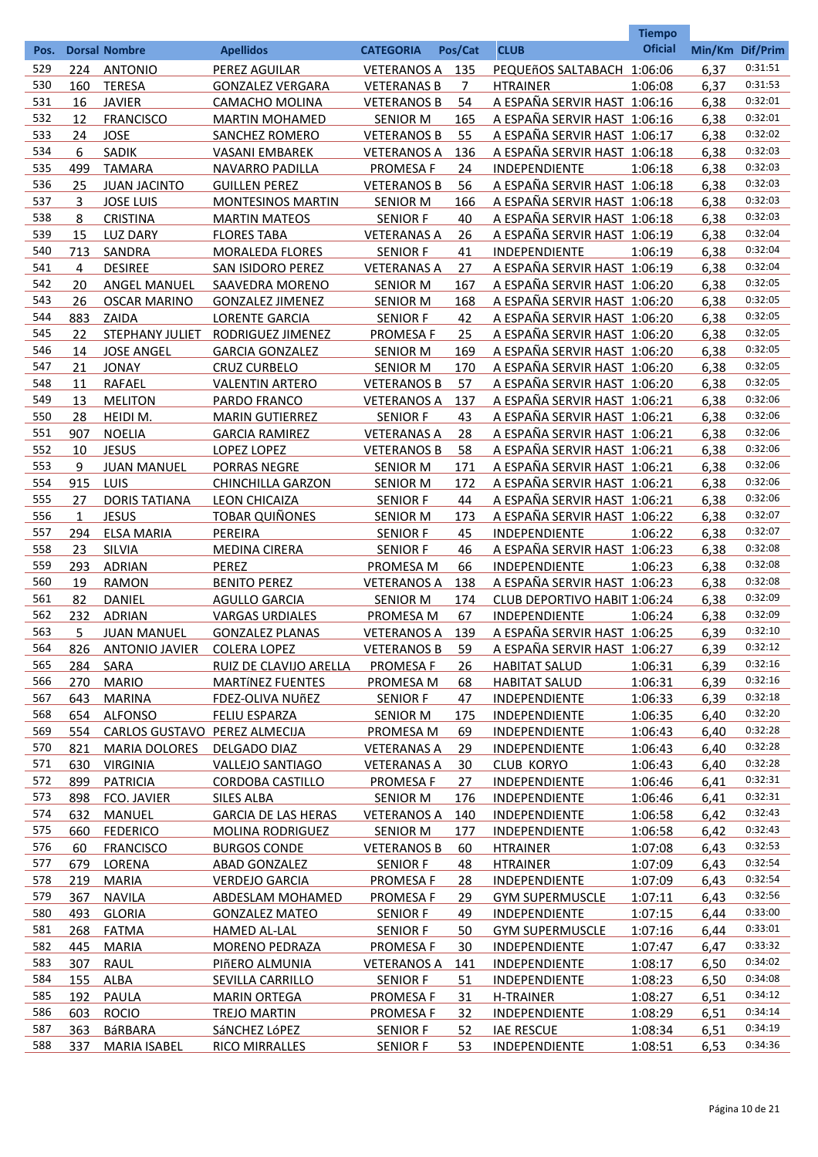|            |            |                               |                            |                    |            |                                     | <b>Tiempo</b><br><b>Oficial</b> |                 |                    |
|------------|------------|-------------------------------|----------------------------|--------------------|------------|-------------------------------------|---------------------------------|-----------------|--------------------|
| Pos.       |            | <b>Dorsal Nombre</b>          | <b>Apellidos</b>           | <b>CATEGORIA</b>   | Pos/Cat    | <b>CLUB</b>                         |                                 | Min/Km Dif/Prim |                    |
| 529        | 224        | <b>ANTONIO</b>                | PEREZ AGUILAR              | VETERANOS A        | 135        | PEQUEñOS SALTABACH 1:06:06          |                                 | 6,37            | 0:31:51            |
| 530        | 160        | <b>TERESA</b>                 | <b>GONZALEZ VERGARA</b>    | <b>VETERANAS B</b> | 7          | <b>HTRAINER</b>                     | 1:06:08                         | 6,37            | 0:31:53            |
| 531        | 16         | <b>JAVIER</b>                 | CAMACHO MOLINA             | <b>VETERANOS B</b> | 54         | A ESPAÑA SERVIR HAST 1:06:16        |                                 | 6,38            | 0:32:01            |
| 532        | 12         | <b>FRANCISCO</b>              | <b>MARTIN MOHAMED</b>      | <b>SENIOR M</b>    | <u>165</u> | A ESPAÑA SERVIR HAST 1:06:16        |                                 | 6,38            | 0:32:01            |
| 533        | 24         | <b>JOSE</b>                   | <b>SANCHEZ ROMERO</b>      | <b>VETERANOS B</b> | 55         | A ESPAÑA SERVIR HAST 1:06:17        |                                 | 6,38            | 0:32:02            |
| 534        | 6          | SADIK                         | <b>VASANI EMBAREK</b>      | <b>VETERANOS A</b> | 136        | A ESPAÑA SERVIR HAST 1:06:18        |                                 | 6,38            | 0:32:03            |
| 535        | 499        | <b>TAMARA</b>                 | <b>NAVARRO PADILLA</b>     | PROMESA F          | 24         | INDEPENDIENTE                       | 1:06:18                         | 6,38            | 0:32:03            |
| 536        | 25         | <b>JUAN JACINTO</b>           | <b>GUILLEN PEREZ</b>       | <b>VETERANOS B</b> | 56         | A ESPAÑA SERVIR HAST 1:06:18        |                                 | 6,38            | 0:32:03            |
| 537        | 3          | <b>JOSE LUIS</b>              | <b>MONTESINOS MARTIN</b>   | <b>SENIOR M</b>    | 166        | A ESPAÑA SERVIR HAST 1:06:18        |                                 | 6,38            | 0:32:03            |
| 538        | 8          | <b>CRISTINA</b>               | <b>MARTIN MATEOS</b>       | <b>SENIOR F</b>    | 40         | A ESPAÑA SERVIR HAST 1:06:18        |                                 | 6,38            | 0:32:03            |
| 539        | 15         | <b>LUZ DARY</b>               | <b>FLORES TABA</b>         | <b>VETERANAS A</b> | 26         | A ESPAÑA SERVIR HAST 1:06:19        |                                 | 6,38            | 0:32:04            |
| 540        | 713        | SANDRA                        | <b>MORALEDA FLORES</b>     | <b>SENIOR F</b>    | 41         | INDEPENDIENTE                       | 1:06:19                         | 6,38            | 0:32:04            |
| 541        | 4          | <b>DESIREE</b>                | SAN ISIDORO PEREZ          | <b>VETERANAS A</b> | 27         | A ESPAÑA SERVIR HAST 1:06:19        |                                 | 6,38            | 0:32:04            |
| 542        | 20         | <b>ANGEL MANUEL</b>           | SAAVEDRA MORENO            | <b>SENIOR M</b>    | 167        | A ESPAÑA SERVIR HAST 1:06:20        |                                 | 6,38            | 0:32:05            |
| 543        | 26         | <b>OSCAR MARINO</b>           | <b>GONZALEZ JIMENEZ</b>    | <b>SENIOR M</b>    | 168        | A ESPAÑA SERVIR HAST 1:06:20        |                                 | 6,38            | 0:32:05            |
| 544        | 883        | ZAIDA                         | <b>LORENTE GARCIA</b>      | <b>SENIOR F</b>    | 42         | A ESPAÑA SERVIR HAST 1:06:20        |                                 | 6,38            | 0:32:05            |
| 545        | 22         | STEPHANY JULIET               | RODRIGUEZ JIMENEZ          | <b>PROMESA F</b>   | 25         | A ESPAÑA SERVIR HAST 1:06:20        |                                 | 6,38            | 0:32:05            |
| 546        | 14         | <b>JOSE ANGEL</b>             | <b>GARCIA GONZALEZ</b>     | <b>SENIOR M</b>    | 169        | A ESPAÑA SERVIR HAST 1:06:20        |                                 | 6,38            | 0:32:05            |
| 547        | 21         | <b>JONAY</b>                  | <b>CRUZ CURBELO</b>        | <b>SENIOR M</b>    | 170        | A ESPAÑA SERVIR HAST 1:06:20        |                                 | 6,38            | 0:32:05            |
| 548        | 11         | RAFAEL                        | <b>VALENTIN ARTERO</b>     | <b>VETERANOS B</b> | 57         | A ESPAÑA SERVIR HAST 1:06:20        |                                 | 6,38            | 0:32:05            |
| 549        | 13         | <b>MELITON</b>                | PARDO FRANCO               | <b>VETERANOS A</b> | 137        | A ESPAÑA SERVIR HAST 1:06:21        |                                 | 6,38            | 0:32:06            |
| 550        | 28         | HEIDI M.                      | <b>MARIN GUTIERREZ</b>     | <b>SENIOR F</b>    | 43         | A ESPAÑA SERVIR HAST 1:06:21        |                                 | 6,38            | 0:32:06            |
| 551        | 907        | <b>NOELIA</b>                 | <b>GARCIA RAMIREZ</b>      | <b>VETERANAS A</b> | 28         | A ESPAÑA SERVIR HAST 1:06:21        |                                 | 6,38            | 0:32:06            |
| 552        | 10         | <b>JESUS</b>                  | LOPEZ LOPEZ                | <b>VETERANOS B</b> | 58         | A ESPAÑA SERVIR HAST 1:06:21        |                                 | 6,38            | 0:32:06            |
| 553        | 9          | <b>JUAN MANUEL</b>            | PORRAS NEGRE               | <b>SENIOR M</b>    | 171        | A ESPAÑA SERVIR HAST 1:06:21        |                                 | 6,38            | 0:32:06            |
| 554        | 915        | LUIS                          | <b>CHINCHILLA GARZON</b>   | <b>SENIOR M</b>    | 172        | A ESPAÑA SERVIR HAST 1:06:21        |                                 | 6,38            | 0:32:06            |
| 555        | 27         | <b>DORIS TATIANA</b>          | <b>LEON CHICAIZA</b>       | <b>SENIOR F</b>    | 44         | A ESPAÑA SERVIR HAST 1:06:21        |                                 | 6,38            | 0:32:06            |
| 556        | 1          | <b>JESUS</b>                  | <b>TOBAR QUIÑONES</b>      | <b>SENIOR M</b>    | 173        | A ESPAÑA SERVIR HAST 1:06:22        |                                 | 6,38            | 0:32:07            |
| 557        | 294        | <b>ELSA MARIA</b>             | PEREIRA                    | <b>SENIOR F</b>    | 45         | INDEPENDIENTE                       | 1:06:22                         | 6,38            | 0:32:07            |
| 558        | 23         | SILVIA                        | <b>MEDINA CIRERA</b>       | <b>SENIOR F</b>    | 46         | A ESPAÑA SERVIR HAST 1:06:23        |                                 | 6,38            | 0:32:08            |
| 559        | 293        | <b>ADRIAN</b>                 | <b>PEREZ</b>               | PROMESA M          | 66         | INDEPENDIENTE                       | 1:06:23                         | 6,38            | 0:32:08            |
| 560        | 19         | <b>RAMON</b>                  | <b>BENITO PEREZ</b>        | <b>VETERANOS A</b> | 138        | A ESPAÑA SERVIR HAST 1:06:23        |                                 | 6,38            | 0:32:08            |
| 561        | 82         | <b>DANIEL</b>                 | <b>AGULLO GARCIA</b>       | <b>SENIOR M</b>    | 174        | <b>CLUB DEPORTIVO HABIT 1:06:24</b> |                                 | 6,38            | 0:32:09            |
| 562        | 232        | <b>ADRIAN</b>                 | <b>VARGAS URDIALES</b>     | PROMESA M          | 67         | INDEPENDIENTE                       | 1:06:24                         | 6,38            | 0:32:09            |
| 563        | 5          | <b>JUAN MANUEL</b>            | <b>GONZALEZ PLANAS</b>     | <b>VETERANOS A</b> | 139        | A ESPAÑA SERVIR HAST 1:06:25        |                                 | 6,39            | 0:32:10            |
| 564        | 826        | ANTONIO JAVIER COLERA LOPEZ   |                            | <b>VETERANOS B</b> | 59         | A ESPAÑA SERVIR HAST 1:06:27        |                                 | 6,39            | 0:32:12            |
| 565        | 284        | SARA                          | RUIZ DE CLAVIJO ARELLA     | <b>PROMESA F</b>   | 26         | <b>HABITAT SALUD</b>                | 1:06:31                         | 6,39            | 0:32:16            |
| 566        | 270        | <b>MARIO</b>                  | <b>MARTÍNEZ FUENTES</b>    | PROMESA M          | 68         | <b>HABITAT SALUD</b>                | 1:06:31                         | 6,39            | 0:32:16<br>0:32:18 |
| 567        | 643        | <b>MARINA</b>                 | <b>FDEZ-OLIVA NUÑEZ</b>    | <b>SENIOR F</b>    | 47         | <b>INDEPENDIENTE</b>                | 1:06:33                         | 6,39            | 0:32:20            |
| 568        | 654        | <b>ALFONSO</b>                | <b>FELIU ESPARZA</b>       | <b>SENIOR M</b>    | 175        | <b>INDEPENDIENTE</b>                | 1:06:35                         | 6,40            | 0:32:28            |
| 569        | 554        | CARLOS GUSTAVO PEREZ ALMECIJA |                            | PROMESA M          | 69         | <b>INDEPENDIENTE</b>                | 1:06:43                         | 6,40            | 0:32:28            |
| 570        | 821        | <b>MARIA DOLORES</b>          | DELGADO DIAZ               | <b>VETERANAS A</b> | 29         | <b>INDEPENDIENTE</b>                | 1:06:43                         | 6,40            | 0:32:28            |
| 571        | 630        | <b>VIRGINIA</b>               | <b>VALLEJO SANTIAGO</b>    | <b>VETERANAS A</b> | 30         | <b>CLUB KORYO</b>                   | 1:06:43                         | 6,40            | 0:32:31            |
| 572        | 899        | <b>PATRICIA</b>               | <b>CORDOBA CASTILLO</b>    | <b>PROMESA F</b>   | 27         | INDEPENDIENTE                       | 1:06:46                         | 6,41            | 0:32:31            |
| 573<br>574 | 898        | FCO. JAVIER                   | <b>SILES ALBA</b>          | <b>SENIOR M</b>    | 176        | <b>INDEPENDIENTE</b>                | 1:06:46                         | 6,41            | 0:32:43            |
|            | 632        | <b>MANUEL</b>                 | <b>GARCIA DE LAS HERAS</b> | <b>VETERANOS A</b> | 140        | <b>INDEPENDIENTE</b>                | 1:06:58                         | 6,42            | 0:32:43            |
| 575        | 660        | <b>FEDERICO</b>               | <b>MOLINA RODRIGUEZ</b>    | <b>SENIOR M</b>    | 177        | <b>INDEPENDIENTE</b>                | 1:06:58                         | 6.42            | 0:32:53            |
| 576        | 60         | <b>FRANCISCO</b>              | <b>BURGOS CONDE</b>        | <b>VETERANOS B</b> | 60         | <b>HTRAINER</b>                     | 1:07:08                         | 6,43            | 0:32:54            |
| 577        | 679        | LORENA                        | <b>ABAD GONZALEZ</b>       | <b>SENIOR F</b>    | 48         | <b>HTRAINER</b>                     | 1:07:09                         | 6,43            |                    |
| 578<br>579 | 219        | <b>MARIA</b>                  | <b>VERDEJO GARCIA</b>      | <b>PROMESA F</b>   | 28         | <b>INDEPENDIENTE</b>                | 1:07:09                         | 6,43            | 0:32:54<br>0:32:56 |
| 580        | 367        | <b>NAVILA</b>                 | ABDESLAM MOHAMED           | <b>PROMESA F</b>   | 29         | <b>GYM SUPERMUSCLE</b>              | 1:07:11                         | 6,43            | 0:33:00            |
| 581        | 493        | <b>GLORIA</b>                 | <b>GONZALEZ MATEO</b>      | <b>SENIOR F</b>    | 49         | <b>INDEPENDIENTE</b>                | 1:07:15                         | 6,44            | 0:33:01            |
| 582        | 268        | <b>FATMA</b>                  | <b>HAMED AL-LAL</b>        | <b>SENIOR F</b>    | 50         | <b>GYM SUPERMUSCLE</b>              | 1:07:16                         | 6,44            | 0:33:32            |
| 583        | 445        | <b>MARIA</b>                  | <b>MORENO PEDRAZA</b>      | PROMESA F          | 30         | <b>INDEPENDIENTE</b>                | 1:07:47                         | 6,47            | 0:34:02            |
| 584        | 307        | <b>RAUL</b>                   | PIÑERO ALMUNIA             | <b>VETERANOS A</b> | 141        | <b>INDEPENDIENTE</b>                | 1:08:17                         | 6,50            | 0:34:08            |
| 585        | 155        | ALBA                          | <b>SEVILLA CARRILLO</b>    | <b>SENIOR F</b>    | 51         | <b>INDEPENDIENTE</b>                | 1:08:23                         | 6,50            | 0:34:12            |
| 586        | 192        | PAULA                         | <b>MARIN ORTEGA</b>        | <b>PROMESA F</b>   | 31         | H-TRAINER                           | 1:08:27                         | 6,51            | 0:34:14            |
| 587        | 603        | <b>ROCIO</b>                  | <b>TREJO MARTIN</b>        | <b>PROMESA F</b>   | 32         | INDEPENDIENTE                       | 1:08:29                         | 6,51            | 0:34:19            |
| 588        | 363<br>337 | <b>BáRBARA</b>                | SáNCHEZ LÓPEZ              | <b>SENIOR F</b>    | 52<br>53   | <b>IAE RESCUE</b>                   | 1:08:34                         | 6,51            | 0:34:36            |
|            |            | <b>MARIA ISABEL</b>           | <b>RICO MIRRALLES</b>      | <b>SENIOR F</b>    |            | <b>INDEPENDIENTE</b>                | 1:08:51                         | 6,53            |                    |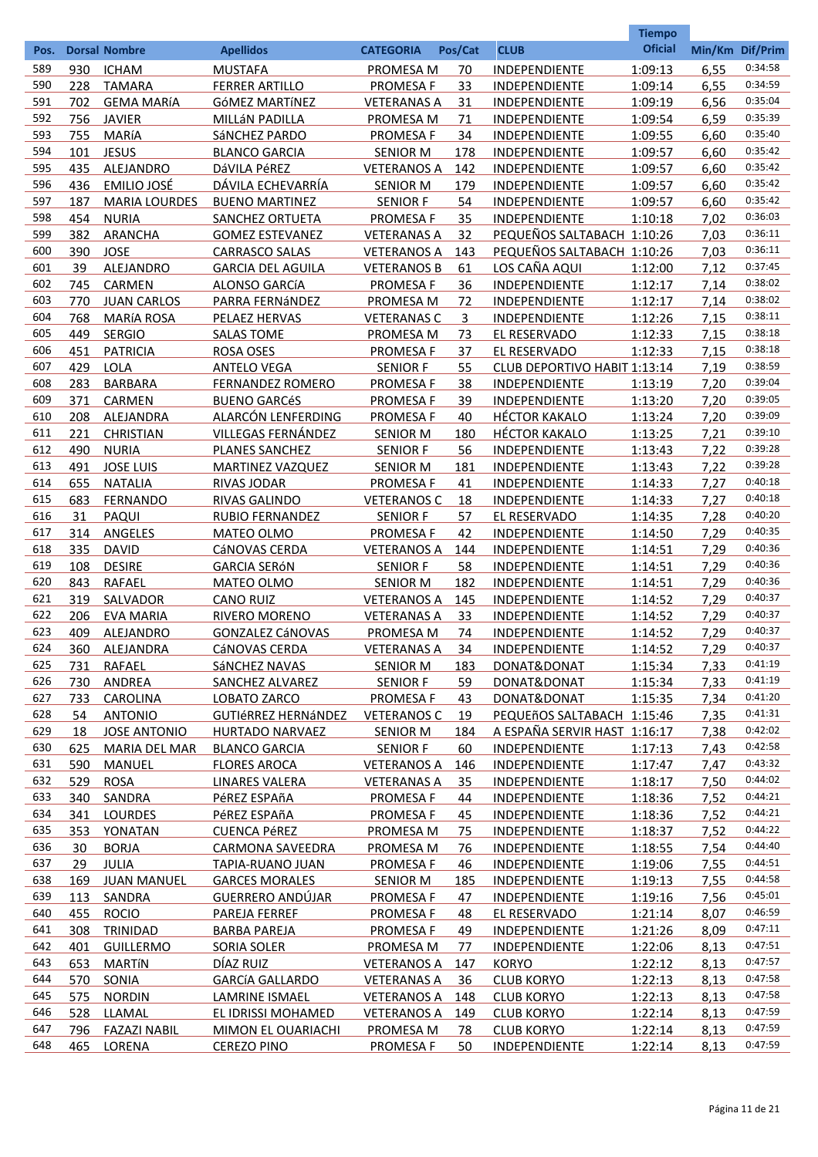|            |            |                                    |                                       |                                          |           |                                              | <b>Tiempo</b>      |                 |                    |
|------------|------------|------------------------------------|---------------------------------------|------------------------------------------|-----------|----------------------------------------------|--------------------|-----------------|--------------------|
| Pos.       |            | <b>Dorsal Nombre</b>               | <b>Apellidos</b>                      | <b>CATEGORIA</b>                         | Pos/Cat   | <b>CLUB</b>                                  | <b>Oficial</b>     | Min/Km Dif/Prim |                    |
| 589        | 930        | <b>ICHAM</b>                       | <b>MUSTAFA</b>                        | PROMESA M                                | 70        | INDEPENDIENTE                                | 1:09:13            | 6,55            | 0:34:58            |
| 590        | 228        | <b>TAMARA</b>                      | <b>FERRER ARTILLO</b>                 | <b>PROMESAF</b>                          | 33        | INDEPENDIENTE                                | 1:09:14            | 6,55            | 0:34:59            |
| 591        | 702        | <b>GEMA MARÍA</b>                  | GÓMEZ MARTÍNEZ                        | <b>VETERANAS A</b>                       | 31        | INDEPENDIENTE                                | 1:09:19            | 6,56            | 0:35:04            |
| 592        | 756        | <b>JAVIER</b>                      | MILLÁN PADILLA                        | PROMESA M                                | 71        | INDEPENDIENTE                                | 1:09:54            | 6,59            | 0:35:39            |
| 593        | 755        | <b>MARÍA</b>                       | SáNCHEZ PARDO                         | <b>PROMESA F</b>                         | 34        | INDEPENDIENTE                                | 1:09:55            | 6,60            | 0:35:40            |
| 594        | 101        | <b>JESUS</b>                       | <b>BLANCO GARCIA</b>                  | <b>SENIOR M</b>                          | 178       | INDEPENDIENTE                                | 1:09:57            | 6,60            | 0:35:42            |
| 595        | 435        | ALEJANDRO                          | DáVILA PéREZ                          | <b>VETERANOS A</b>                       | 142       | INDEPENDIENTE                                | 1:09:57            | 6,60            | 0:35:42            |
| 596        | 436        | EMILIO JOSÉ                        | DÁVILA ECHEVARRÍA                     | <b>SENIOR M</b>                          | 179       | INDEPENDIENTE                                | 1:09:57            | 6,60            | 0:35:42            |
| 597        | 187        | <b>MARIA LOURDES</b>               | <b>BUENO MARTINEZ</b>                 | <b>SENIOR F</b>                          | 54        | INDEPENDIENTE                                | 1:09:57            | 6,60            | 0:35:42            |
| 598        | 454        | <b>NURIA</b>                       | SANCHEZ ORTUETA                       | PROMESA F                                | 35        | INDEPENDIENTE                                | 1:10:18            | 7,02            | 0:36:03            |
| 599        | 382        | <b>ARANCHA</b>                     | <b>GOMEZ ESTEVANEZ</b>                | <b>VETERANAS A</b>                       | 32        | PEQUEÑOS SALTABACH 1:10:26                   |                    | 7,03            | 0:36:11            |
| 600        | 390        | <b>JOSE</b>                        | <b>CARRASCO SALAS</b>                 | <b>VETERANOS A</b>                       | 143       | PEQUEÑOS SALTABACH 1:10:26                   |                    | 7,03            | 0:36:11            |
| 601        | 39         | ALEJANDRO                          | <b>GARCIA DEL AGUILA</b>              | <b>VETERANOS B</b>                       | 61        | LOS CAÑA AQUI                                | 1:12:00            | 7,12            | 0:37:45<br>0:38:02 |
| 602<br>603 | 745        | <b>CARMEN</b>                      | ALONSO GARCÍA                         | <b>PROMESAF</b>                          | 36        | INDEPENDIENTE                                | 1:12:17            | 7,14            | 0:38:02            |
| 604        | 770<br>768 | <b>JUAN CARLOS</b>                 | PARRA FERNÁNDEZ<br>PELAEZ HERVAS      | PROMESA M                                | 72        | INDEPENDIENTE                                | 1:12:17            | 7,14            | 0:38:11            |
| 605        | 449        | <b>MARÍA ROSA</b><br><b>SERGIO</b> | <b>SALAS TOME</b>                     | <b>VETERANAS C</b><br>PROMESA M          | 3<br>73   | INDEPENDIENTE<br>EL RESERVADO                | 1:12:26<br>1:12:33 | 7,15<br>7,15    | 0:38:18            |
| 606        | 451        | <b>PATRICIA</b>                    | <b>ROSA OSES</b>                      | <b>PROMESAF</b>                          | 37        | EL RESERVADO                                 | 1:12:33            | 7,15            | 0:38:18            |
| 607        | 429        | <b>LOLA</b>                        | <b>ANTELO VEGA</b>                    | <b>SENIOR F</b>                          | 55        | CLUB DEPORTIVO HABIT 1:13:14                 |                    | 7,19            | 0:38:59            |
| 608        | 283        | <b>BARBARA</b>                     | <b>FERNANDEZ ROMERO</b>               | <b>PROMESA F</b>                         | 38        | INDEPENDIENTE                                | 1:13:19            | 7,20            | 0:39:04            |
| 609        | 371        | CARMEN                             | <b>BUENO GARCÉS</b>                   | <b>PROMESA F</b>                         | 39        | INDEPENDIENTE                                | 1:13:20            | 7,20            | 0:39:05            |
| 610        | 208        | ALEJANDRA                          | ALARCÓN LENFERDING                    | <b>PROMESA F</b>                         | 40        | <b>HÉCTOR KAKALO</b>                         | 1:13:24            | 7,20            | 0:39:09            |
| 611        | 221        | <b>CHRISTIAN</b>                   | VILLEGAS FERNÁNDEZ                    | <b>SENIOR M</b>                          | 180       | <b>HÉCTOR KAKALO</b>                         | 1:13:25            | 7,21            | 0:39:10            |
| 612        | 490        | <b>NURIA</b>                       | PLANES SANCHEZ                        | <b>SENIOR F</b>                          | 56        | INDEPENDIENTE                                | 1:13:43            | 7,22            | 0:39:28            |
| 613        | 491        | <b>JOSE LUIS</b>                   | MARTINEZ VAZQUEZ                      | <b>SENIOR M</b>                          | 181       | INDEPENDIENTE                                | 1:13:43            | 7,22            | 0:39:28            |
| 614        | 655        | <b>NATALIA</b>                     | RIVAS JODAR                           | <b>PROMESAF</b>                          | 41        | INDEPENDIENTE                                | 1:14:33            | 7,27            | 0:40:18            |
| 615        | 683        | <b>FERNANDO</b>                    | RIVAS GALINDO                         | <b>VETERANOS C</b>                       | 18        | INDEPENDIENTE                                | 1:14:33            | 7,27            | 0:40:18            |
| 616        | 31         | PAQUI                              | <b>RUBIO FERNANDEZ</b>                | <b>SENIOR F</b>                          | 57        | EL RESERVADO                                 | 1:14:35            | 7,28            | 0:40:20            |
| 617        | 314        | ANGELES                            | MATEO OLMO                            | <b>PROMESAF</b>                          | 42        | INDEPENDIENTE                                | 1:14:50            | 7,29            | 0:40:35            |
| 618        | 335        | <b>DAVID</b>                       | CáNOVAS CERDA                         | <b>VETERANOS A</b>                       | 144       | INDEPENDIENTE                                | 1:14:51            | 7,29            | 0:40:36            |
| 619        | 108        | <b>DESIRE</b>                      | <b>GARCIA SERÓN</b>                   | <b>SENIOR F</b>                          | 58        | INDEPENDIENTE                                | 1:14:51            | 7,29            | 0:40:36            |
| 620        | 843        | RAFAEL                             | <b>MATEO OLMO</b>                     | <b>SENIOR M</b>                          | 182       | <b>INDEPENDIENTE</b>                         | 1:14:51            | 7,29            | 0:40:36            |
| 621        | 319        | SALVADOR                           | <b>CANO RUIZ</b>                      | <b>VETERANOS A</b>                       | 145       | <b>INDEPENDIENTE</b>                         | 1:14:52            | 7,29            | 0:40:37            |
| 622        | 206        | <b>EVA MARIA</b>                   | RIVERO MORENO                         | <b>VETERANAS A</b>                       | 33        | <b>INDEPENDIENTE</b>                         | 1:14:52            | 7,29            | 0:40:37            |
| 623        | 409        | ALEJANDRO                          | <b>GONZALEZ CÁNOVAS</b>               | PROMESA M                                | 74        | <b>INDEPENDIENTE</b>                         | 1:14:52            | 7,29            | 0:40:37            |
| 624        |            | 360 ALEJANDRA                      | CáNOVAS CERDA                         | <b>VETERANAS A</b>                       | 34        | INDEPENDIENTE                                | 1:14:52            | 7,29            | 0:40:37            |
| 625        | 731        | RAFAEL                             | SÁNCHEZ NAVAS                         | <b>SENIOR M</b>                          | 183       | DONAT&DONAT                                  | 1:15:34            | 7,33            | 0:41:19            |
| 626        | 730        | ANDREA                             | SANCHEZ ALVAREZ                       | <b>SENIOR F</b>                          | 59        | DONAT&DONAT                                  | 1:15:34            | 7,33            | 0:41:19            |
| 627        | 733        | <b>CAROLINA</b>                    | LOBATO ZARCO                          | <b>PROMESA F</b>                         | <u>43</u> | DONAT&DONAT                                  | 1:15:35            | 7,34            | 0:41:20            |
| 628        | 54         | <b>ANTONIO</b>                     | <b>GUTIÉRREZ HERNÁNDEZ</b>            | <b>VETERANOS C</b>                       | 19        | PEQUEñOS SALTABACH 1:15:46                   |                    | 7,35            | 0:41:31<br>0:42:02 |
| 629<br>630 | 18         | <b>JOSE ANTONIO</b>                | <b>HURTADO NARVAEZ</b>                | <b>SENIOR M</b>                          | 184       | A ESPAÑA SERVIR HAST 1:16:17                 |                    | 7,38            | 0:42:58            |
| 631        | 625        | <b>MARIA DEL MAR</b>               | <b>BLANCO GARCIA</b>                  | <b>SENIOR F</b>                          | 60        | <b>INDEPENDIENTE</b>                         | 1:17:13            | 7,43            | 0:43:32            |
| 632        | 590<br>529 | MANUEL<br><b>ROSA</b>              | <b>FLORES AROCA</b><br>LINARES VALERA | <b>VETERANOS A</b><br><b>VETERANAS A</b> | 146<br>35 | <b>INDEPENDIENTE</b>                         | 1:17:47            | 7,47            | 0:44:02            |
| 633        | 340        | SANDRA                             | PéREZ ESPAñA                          | <b>PROMESA F</b>                         | 44        | <b>INDEPENDIENTE</b><br><b>INDEPENDIENTE</b> | 1:18:17<br>1:18:36 | 7,50<br>7,52    | 0:44:21            |
| 634        | 341        | <b>LOURDES</b>                     | PéREZ ESPAñA                          | <b>PROMESA F</b>                         | 45        | <b>INDEPENDIENTE</b>                         | 1:18:36            | 7,52            | 0:44:21            |
| 635        |            | 353 YONATAN                        | <b>CUENCA PÉREZ</b>                   | PROMESA M                                | 75        | <b>INDEPENDIENTE</b>                         | 1:18:37            | 7,52            | 0:44:22            |
| 636        | 30         | <b>BORJA</b>                       | <b>CARMONA SAVEEDRA</b>               | PROMESA M                                | 76        | <b>INDEPENDIENTE</b>                         | 1:18:55            | 7,54            | 0:44:40            |
| 637        | 29         | <b>JULIA</b>                       | TAPIA-RUANO JUAN                      | <b>PROMESA F</b>                         | 46        | <b>INDEPENDIENTE</b>                         | 1:19:06            | 7,55            | 0:44:51            |
| 638        |            | 169 JUAN MANUEL                    | <b>GARCES MORALES</b>                 | <b>SENIOR M</b>                          | 185       | INDEPENDIENTE                                | 1:19:13            | 7,55            | 0:44:58            |
| 639        | 113        | SANDRA                             | GUERRERO ANDÚJAR                      | <b>PROMESA F</b>                         | 47        | <b>INDEPENDIENTE</b>                         | 1:19:16            | 7,56            | 0:45:01            |
| 640        | 455        | <b>ROCIO</b>                       | PAREJA FERREF                         | <b>PROMESA F</b>                         | 48        | EL RESERVADO                                 | 1:21:14            | 8,07            | 0:46:59            |
| 641        | 308        | TRINIDAD                           | <b>BARBA PAREJA</b>                   | <b>PROMESA F</b>                         | 49        | INDEPENDIENTE                                | 1:21:26            | 8,09            | 0:47:11            |
| 642        | 401        | <b>GUILLERMO</b>                   | <b>SORIA SOLER</b>                    | PROMESA M                                | 77        | <b>INDEPENDIENTE</b>                         | 1:22:06            | 8,13            | 0:47:51            |
| 643        | 653        | <b>MARTÍN</b>                      | DÍAZ RUIZ                             | <b>VETERANOS A</b>                       | 147       | <b>KORYO</b>                                 | 1:22:12            | 8,13            | 0:47:57            |
| 644        | 570        | SONIA                              | <b>GARCÍA GALLARDO</b>                | <b>VETERANAS A</b>                       | 36        | <b>CLUB KORYO</b>                            | 1:22:13            | 8,13            | 0:47:58            |
| 645        | 575        | <b>NORDIN</b>                      | LAMRINE ISMAEL                        | <b>VETERANOS A</b>                       | 148       | <b>CLUB KORYO</b>                            | 1:22:13            | 8,13            | 0:47:58            |
| 646        | 528        | LLAMAL                             | EL IDRISSI MOHAMED                    | <b>VETERANOS A</b>                       | 149       | <b>CLUB KORYO</b>                            | 1:22:14            | 8,13            | 0:47:59            |
| 647        | 796        | <b>FAZAZI NABIL</b>                | MIMON EL OUARIACHI                    | <b>PROMESA M</b>                         | 78        | <b>CLUB KORYO</b>                            | 1:22:14            | 8,13            | 0:47:59            |
| 648        | 465        | LORENA                             | <b>CEREZO PINO</b>                    | <b>PROMESA F</b>                         | 50        | <b>INDEPENDIENTE</b>                         | 1:22:14            | 8,13            | 0:47:59            |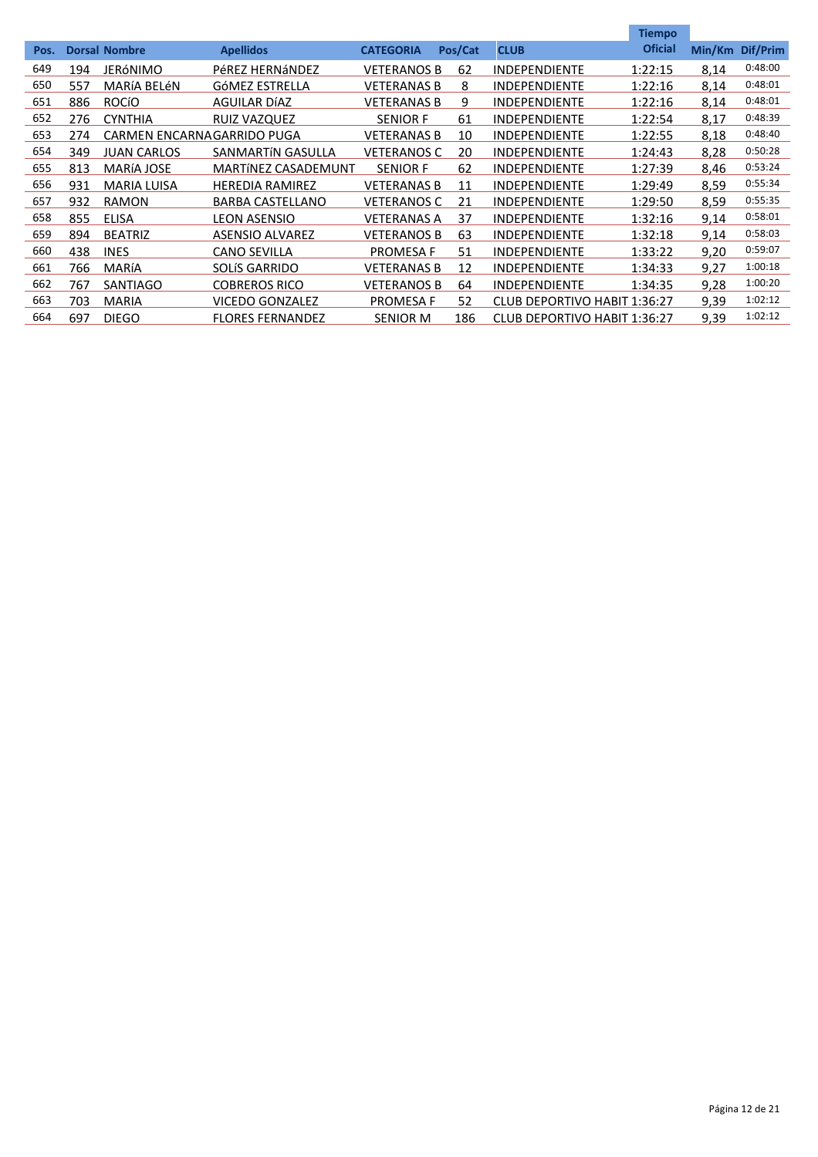|      |     |                            |                            |                    |         |                              | <b>Tiempo</b>  |        |          |
|------|-----|----------------------------|----------------------------|--------------------|---------|------------------------------|----------------|--------|----------|
| Pos. |     | <b>Dorsal Nombre</b>       | <b>Apellidos</b>           | <b>CATEGORIA</b>   | Pos/Cat | <b>CLUB</b>                  | <b>Oficial</b> | Min/Km | Dif/Prim |
| 649  | 194 | JERÓNIMO                   | PéREZ HERNÁNDEZ            | <b>VETERANOS B</b> | 62      | <b>INDEPENDIENTE</b>         | 1:22:15        | 8,14   | 0:48:00  |
| 650  | 557 | MARÍA BELÉN                | GÓMEZ ESTRELLA             | <b>VETERANAS B</b> | 8       | <b>INDEPENDIENTE</b>         | 1:22:16        | 8,14   | 0:48:01  |
| 651  | 886 | <b>ROCÍO</b>               | AGUILAR DÍAZ               | <b>VETERANAS B</b> | 9       | <b>INDEPENDIENTE</b>         | 1:22:16        | 8,14   | 0:48:01  |
| 652  | 276 | <b>CYNTHIA</b>             | <b>RUIZ VAZQUEZ</b>        | <b>SENIOR F</b>    | 61      | <b>INDEPENDIENTE</b>         | 1:22:54        | 8,17   | 0:48:39  |
| 653  | 274 | CARMEN ENCARNAGARRIDO PUGA |                            | <b>VETERANAS B</b> | 10      | <b>INDEPENDIENTE</b>         | 1:22:55        | 8,18   | 0:48:40  |
| 654  | 349 | <b>JUAN CARLOS</b>         | SANMARTÍN GASULLA          | <b>VETERANOS C</b> | 20      | <b>INDEPENDIENTE</b>         | 1:24:43        | 8,28   | 0:50:28  |
| 655  | 813 | <b>MARÍA JOSE</b>          | <b>MARTÍNEZ CASADEMUNT</b> | <b>SENIOR F</b>    | 62      | <b>INDEPENDIENTE</b>         | 1:27:39        | 8,46   | 0:53:24  |
| 656  | 931 | MARIA LUISA                | <b>HEREDIA RAMIREZ</b>     | <b>VETERANAS B</b> | 11      | <b>INDEPENDIENTE</b>         | 1:29:49        | 8,59   | 0:55:34  |
| 657  | 932 | <b>RAMON</b>               | <b>BARBA CASTELLANO</b>    | <b>VETERANOS C</b> | 21      | <b>INDEPENDIENTE</b>         | 1:29:50        | 8,59   | 0:55:35  |
| 658  | 855 | <b>ELISA</b>               | <b>LEON ASENSIO</b>        | <b>VETERANAS A</b> | 37      | <b>INDEPENDIENTE</b>         | 1:32:16        | 9.14   | 0:58:01  |
| 659  | 894 | <b>BEATRIZ</b>             | ASENSIO ALVAREZ            | <b>VETERANOS B</b> | 63      | <b>INDEPENDIENTE</b>         | 1:32:18        | 9.14   | 0:58:03  |
| 660  | 438 | <b>INES</b>                | <b>CANO SEVILLA</b>        | PROMESA F          | 51      | <b>INDEPENDIENTE</b>         | 1:33:22        | 9,20   | 0:59:07  |
| 661  | 766 | MARÍA                      | <b>SOLÍS GARRIDO</b>       | VETERANAS B        | 12      | <b>INDEPENDIENTE</b>         | 1:34:33        | 9.27   | 1:00:18  |
| 662  | 767 | <b>SANTIAGO</b>            | <b>COBREROS RICO</b>       | <b>VETERANOS B</b> | 64      | <b>INDEPENDIENTE</b>         | 1:34:35        | 9.28   | 1:00:20  |
| 663  | 703 | <b>MARIA</b>               | VICEDO GONZALEZ            | <b>PROMESA F</b>   | 52      | CLUB DEPORTIVO HABIT 1:36:27 |                | 9.39   | 1:02:12  |
| 664  | 697 | <b>DIEGO</b>               | <b>FLORES FERNANDEZ</b>    | <b>SENIOR M</b>    | 186     | CLUB DEPORTIVO HABIT 1:36:27 |                | 9.39   | 1:02:12  |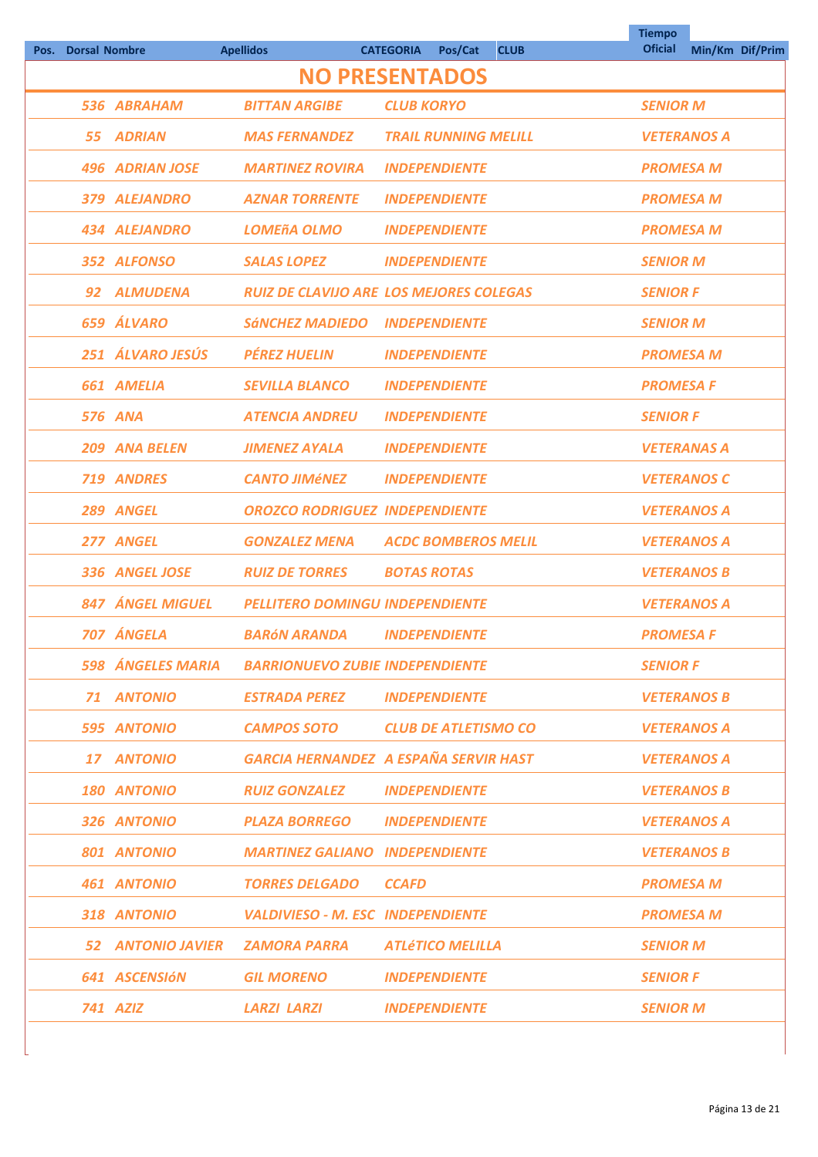| Pos. | <b>Dorsal Nombre</b> |                        | <b>Apellidos</b>                                  | <b>CATEGORIA</b><br>Pos/Cat<br><b>CLUB</b>     | <b>Tiempo</b><br><b>Oficial</b> | Min/Km Dif/Prim    |
|------|----------------------|------------------------|---------------------------------------------------|------------------------------------------------|---------------------------------|--------------------|
|      |                      |                        |                                                   | <b>NO PRESENTADOS</b>                          |                                 |                    |
|      |                      | 536 ABRAHAM            | <b>BITTAN ARGIBE</b>                              | <b>CLUB KORYO</b>                              | <b>SENIOR M</b>                 |                    |
|      | 55.                  | <b>ADRIAN</b>          | <b>MAS FERNANDEZ</b>                              | <b>TRAIL RUNNING MELILL</b>                    |                                 | <b>VETERANOS A</b> |
|      |                      | <b>496 ADRIAN JOSE</b> | <b>MARTINEZ ROVIRA</b>                            | <b>INDEPENDIENTE</b>                           | <b>PROMESA M</b>                |                    |
|      |                      | 379 ALEJANDRO          | <b>AZNAR TORRENTE</b>                             | <b>INDEPENDIENTE</b>                           | <b>PROMESA M</b>                |                    |
|      |                      | <b>434 ALEJANDRO</b>   | <b>LOMEñA OLMO</b>                                | <b>INDEPENDIENTE</b>                           | <b>PROMESA M</b>                |                    |
|      |                      | 352 ALFONSO            | <b>SALAS LOPEZ</b>                                | <b>INDEPENDIENTE</b>                           | <b>SENIOR M</b>                 |                    |
|      | 92                   | <b>ALMUDENA</b>        |                                                   | <b>RUIZ DE CLAVIJO ARE LOS MEJORES COLEGAS</b> | <b>SENIOR F</b>                 |                    |
|      |                      | 659 ÁLVARO             | <b>SÁNCHEZ MADIEDO</b>                            | <b>INDEPENDIENTE</b>                           | <b>SENIOR M</b>                 |                    |
|      |                      | 251 ÁLVARO JESÚS       | <b>PÉREZ HUELIN</b>                               | <b>INDEPENDIENTE</b>                           | <b>PROMESA M</b>                |                    |
|      |                      | 661 AMELIA             | <b>SEVILLA BLANCO</b>                             | <b>INDEPENDIENTE</b>                           | <b>PROMESA F</b>                |                    |
|      |                      | <b>576 ANA</b>         | <b>ATENCIA ANDREU</b>                             | <b>INDEPENDIENTE</b>                           | <b>SENIOR F</b>                 |                    |
|      |                      | 209 ANA BELEN          | <b>JIMENEZ AYALA</b>                              | <b>INDEPENDIENTE</b>                           | <b>VETERANAS A</b>              |                    |
|      |                      | 719 ANDRES             | <b>CANTO JIMÉNEZ</b>                              | <b>INDEPENDIENTE</b>                           |                                 | <b>VETERANOS C</b> |
|      |                      | 289 ANGEL              | <b>OROZCO RODRIGUEZ INDEPENDIENTE</b>             |                                                |                                 | <b>VETERANOS A</b> |
|      |                      | 277 ANGEL              | <b>GONZALEZ MENA</b>                              | <b>ACDC BOMBEROS MELIL</b>                     |                                 | <b>VETERANOS A</b> |
|      |                      | 336 ANGEL JOSE         | <b>RUIZ DE TORRES</b>                             | <b>BOTAS ROTAS</b>                             |                                 | <b>VETERANOS B</b> |
|      |                      | 847 ÁNGEL MIGUEL       | <b>PELLITERO DOMINGU INDEPENDIENTE</b>            |                                                |                                 | <b>VETERANOS A</b> |
|      |                      | 707 ÁNGELA             | <b>BARÓN ARANDA</b>                               | <b>INDEPENDIENTE</b>                           | <b>PROMESA F</b>                |                    |
|      |                      |                        | 598 ÁNGELES MARIA BARRIONUEVO ZUBIE INDEPENDIENTE |                                                | <b>SENIOR F</b>                 |                    |
|      |                      | 71 ANTONIO             | ESTRADA PEREZ                                     | <i><b>INDEPENDIENTE</b></i>                    |                                 | <b>VETERANOS B</b> |
|      |                      | <b>595 ANTONIO</b>     | <b>CAMPOS SOTO</b>                                | <b>CLUB DE ATLETISMO CO</b>                    |                                 | <b>VETERANOS A</b> |
|      |                      | 17 ANTONIO             |                                                   | <b>GARCIA HERNANDEZ A ESPAÑA SERVIR HAST</b>   |                                 | <b>VETERANOS A</b> |
|      |                      | <b>180 ANTONIO</b>     | <b>RUIZ GONZALEZ INDEPENDIENTE</b>                |                                                |                                 | <b>VETERANOS B</b> |
|      |                      | 326 ANTONIO            | <b>PLAZA BORREGO INDEPENDIENTE</b>                |                                                |                                 | <b>VETERANOS A</b> |
|      |                      | 801 ANTONIO            | <b>MARTINEZ GALIANO INDEPENDIENTE</b>             |                                                |                                 | <b>VETERANOS B</b> |
|      |                      | <b>461 ANTONIO</b>     | <b>TORRES DELGADO</b>                             | <b>CCAFD</b>                                   | <b>PROMESA M</b>                |                    |
|      |                      | 318 ANTONIO            | <b>VALDIVIESO - M. ESC INDEPENDIENTE</b>          |                                                | <b>PROMESA M</b>                |                    |
|      |                      |                        | 52 ANTONIO JAVIER ZAMORA PARRA                    | <b>ATLÉTICO MELILLA</b>                        | <b>SENIOR M</b>                 |                    |
|      |                      | 641 ASCENSIÓN          | <b>GIL MORENO</b>                                 | <b>INDEPENDIENTE</b>                           | <b>SENIOR F</b>                 |                    |
|      |                      | <b>741 AZIZ</b>        | <b>LARZI LARZI</b>                                | <b>INDEPENDIENTE</b>                           | <b>SENIOR M</b>                 |                    |
|      |                      |                        |                                                   |                                                |                                 |                    |

**Tiempo** 

÷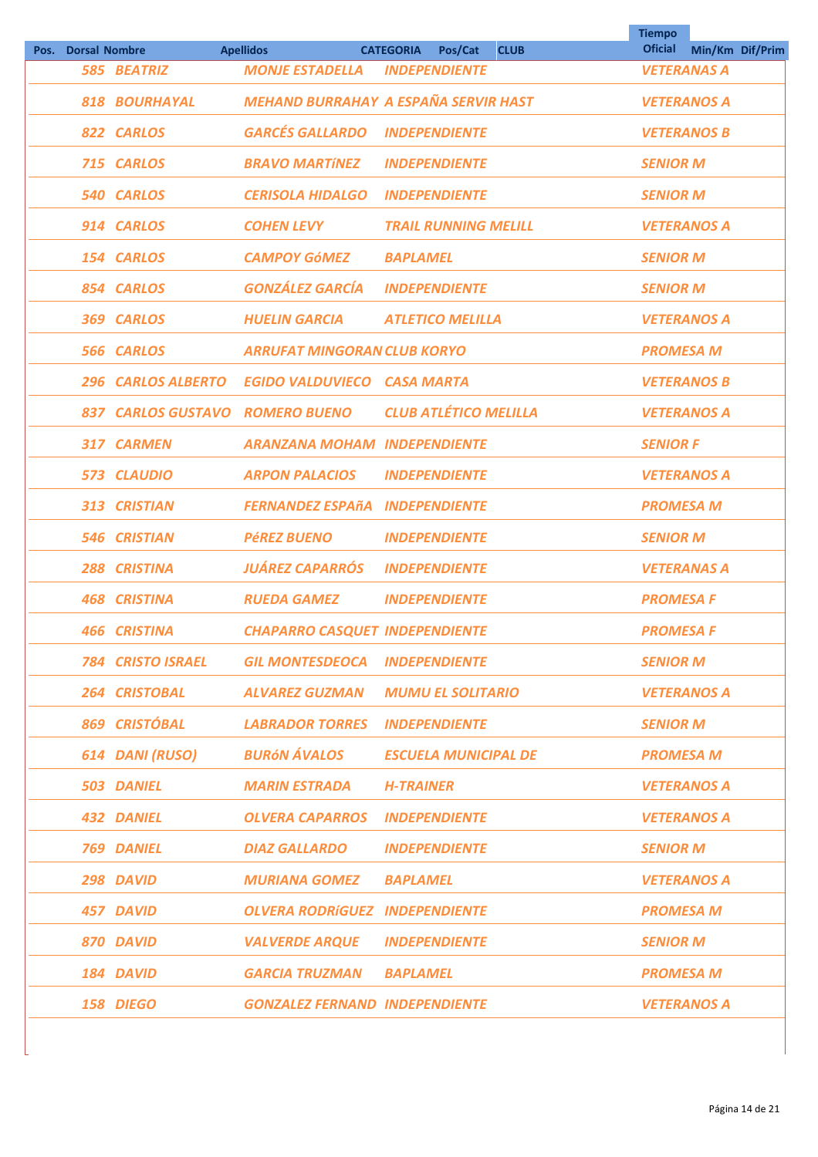| Pos. | <b>Dorsal Nombre</b> |                       | <b>Apellidos</b>                      | <b>CATEGORIA</b><br>Pos/Cat<br><b>CLUB</b>  | <b>Tiempo</b><br><b>Oficial</b> | Min/Km Dif/Prim |  |
|------|----------------------|-----------------------|---------------------------------------|---------------------------------------------|---------------------------------|-----------------|--|
|      |                      | <b>585 BEATRIZ</b>    | <b>MONJE ESTADELLA</b>                | <b>INDEPENDIENTE</b>                        | <b>VETERANAS A</b>              |                 |  |
|      |                      | 818 BOURHAYAL         |                                       | <b>MEHAND BURRAHAY A ESPAÑA SERVIR HAST</b> | <b>VETERANOS A</b>              |                 |  |
|      |                      | 822 CARLOS            | <b>GARCÉS GALLARDO</b>                | <b>INDEPENDIENTE</b>                        | <b>VETERANOS B</b>              |                 |  |
|      |                      | 715 CARLOS            | <b>BRAVO MARTÍNEZ</b>                 | <b>INDEPENDIENTE</b>                        | <b>SENIOR M</b>                 |                 |  |
|      |                      | <b>540 CARLOS</b>     | <b>CERISOLA HIDALGO</b>               | <b>INDEPENDIENTE</b>                        | <b>SENIOR M</b>                 |                 |  |
|      |                      | 914 CARLOS            | <b>COHEN LEVY</b>                     | <b>TRAIL RUNNING MELILL</b>                 | <b>VETERANOS A</b>              |                 |  |
|      |                      | 154 CARLOS            | <b>CAMPOY GÓMEZ</b>                   | <b>BAPLAMEL</b>                             | <b>SENIOR M</b>                 |                 |  |
|      |                      | 854 CARLOS            | <b>GONZÁLEZ GARCÍA</b>                | <b>INDEPENDIENTE</b>                        | <b>SENIOR M</b>                 |                 |  |
|      |                      | 369 CARLOS            | <b>HUELIN GARCIA</b>                  | <b>ATLETICO MELILLA</b>                     | <b>VETERANOS A</b>              |                 |  |
|      |                      | 566 CARLOS            | <b>ARRUFAT MINGORAN CLUB KORYO</b>    |                                             | <b>PROMESA M</b>                |                 |  |
|      |                      | 296 CARLOS ALBERTO    | <b>EGIDO VALDUVIECO CASA MARTA</b>    |                                             | <b>VETERANOS B</b>              |                 |  |
|      | 837                  | <b>CARLOS GUSTAVO</b> | <b>ROMERO BUENO</b>                   | <b>CLUB ATLÉTICO MELILLA</b>                | <b>VETERANOS A</b>              |                 |  |
|      |                      | 317 CARMEN            | <b>ARANZANA MOHAM INDEPENDIENTE</b>   |                                             | <b>SENIOR F</b>                 |                 |  |
|      |                      | 573 CLAUDIO           | <b>ARPON PALACIOS</b>                 | <b>INDEPENDIENTE</b>                        | <b>VETERANOS A</b>              |                 |  |
|      | 313                  | <b>CRISTIAN</b>       | <b>FERNANDEZ ESPAñA</b>               | <b>INDEPENDIENTE</b>                        | <b>PROMESA M</b>                |                 |  |
|      |                      | <b>546 CRISTIAN</b>   | <b>PÉREZ BUENO</b>                    | <b>INDEPENDIENTE</b>                        | <b>SENIOR M</b>                 |                 |  |
|      | 288                  | <b>CRISTINA</b>       | <b>JUÁREZ CAPARRÓS</b>                | <b>INDEPENDIENTE</b>                        | <b>VETERANAS A</b>              |                 |  |
|      |                      | <b>468 CRISTINA</b>   | <b>RUEDA GAMEZ</b>                    | <b>INDEPENDIENTE</b>                        | <b>PROMESA F</b>                |                 |  |
|      |                      | <b>466 CRISTINA</b>   | <b>CHAPARRO CASQUET INDEPENDIENTE</b> |                                             | <b>PROMESA F</b>                |                 |  |
|      |                      | 784 CRISTO ISRAEL     | <b>GIL MONTESDEOCA INDEPENDIENTE</b>  |                                             | <b>SENIOR M</b>                 |                 |  |
|      |                      | <b>264 CRISTOBAL</b>  | <b>ALVAREZ GUZMAN</b>                 | <b>MUMU EL SOLITARIO</b>                    | <b>VETERANOS A</b>              |                 |  |
|      |                      | 869 CRISTÓBAL         | <b>LABRADOR TORRES</b>                | <b>INDEPENDIENTE</b>                        | <b>SENIOR M</b>                 |                 |  |
|      |                      | 614 DANI (RUSO)       | <b>BURÓN ÁVALOS</b>                   | <b>ESCUELA MUNICIPAL DE</b>                 | <b>PROMESA M</b>                |                 |  |
|      |                      | <b>503 DANIEL</b>     | <b>MARIN ESTRADA</b>                  | <b>H-TRAINER</b>                            | <b>VETERANOS A</b>              |                 |  |
|      |                      | <b>432 DANIEL</b>     | <b>OLVERA CAPARROS INDEPENDIENTE</b>  |                                             | <b>VETERANOS A</b>              |                 |  |
|      |                      | <b>769 DANIEL</b>     | <b>DIAZ GALLARDO</b>                  | <b>INDEPENDIENTE</b>                        | <b>SENIOR M</b>                 |                 |  |
|      |                      | 298 DAVID             | <b>MURIANA GOMEZ</b>                  | <b>BAPLAMEL</b>                             | <b>VETERANOS A</b>              |                 |  |
|      |                      | 457 DAVID             | <b>OLVERA RODRÍGUEZ INDEPENDIENTE</b> |                                             | <b>PROMESA M</b>                |                 |  |
|      |                      | 870 DAVID             | <b>VALVERDE ARQUE</b>                 | <b>INDEPENDIENTE</b>                        | <b>SENIOR M</b>                 |                 |  |
|      |                      | 184 DAVID             | <b>GARCIA TRUZMAN</b>                 | <b>BAPLAMEL</b>                             | <b>PROMESA M</b>                |                 |  |
|      |                      | 158 DIEGO             | <b>GONZALEZ FERNAND INDEPENDIENTE</b> |                                             | <b>VETERANOS A</b>              |                 |  |
|      |                      |                       |                                       |                                             |                                 |                 |  |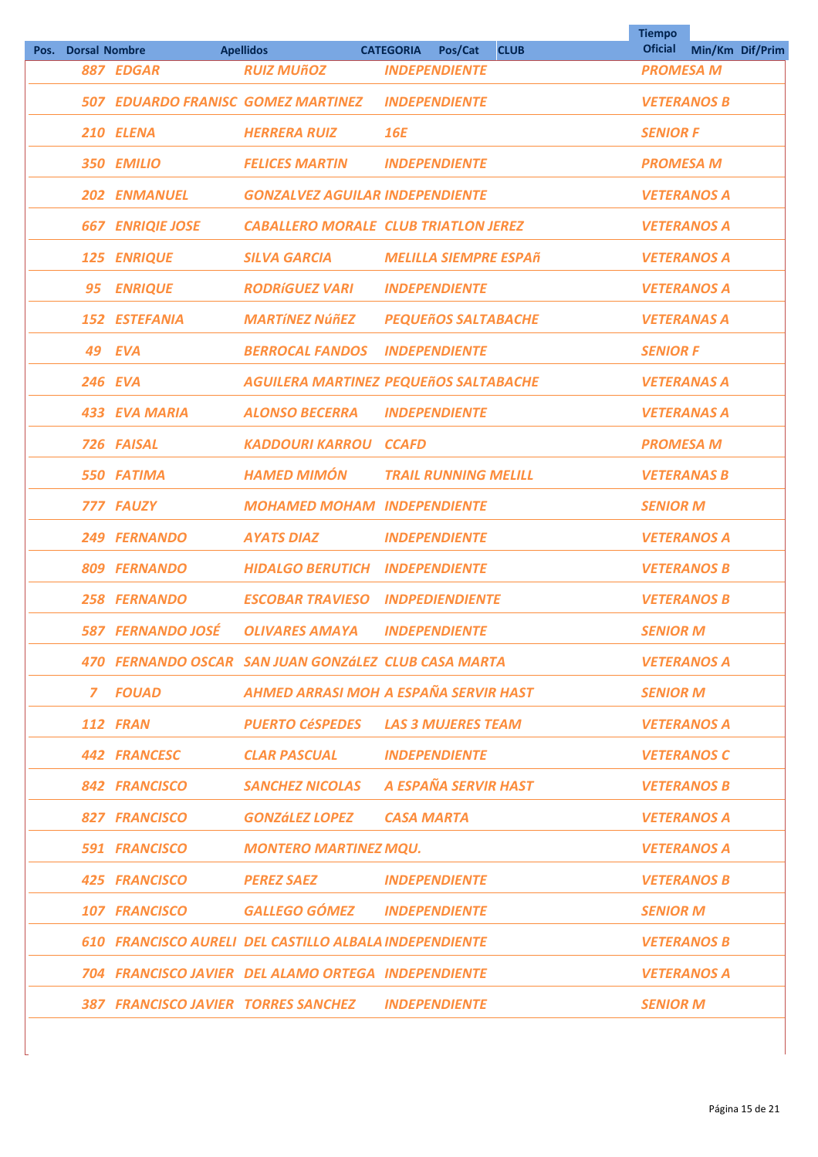| Pos. Dorsal Nombre |                         | <b>Apellidos</b>                                       | Pos/Cat<br><b>CATEGORIA</b><br><b>CLUB</b>           | <b>Tiempo</b><br><b>Oficial</b> | Min/Km Dif/Prim |
|--------------------|-------------------------|--------------------------------------------------------|------------------------------------------------------|---------------------------------|-----------------|
|                    | <b>887 EDGAR</b>        | <b>RUIZ MUÑOZ</b>                                      | <b>INDEPENDIENTE</b>                                 | <b>PROMESA M</b>                |                 |
|                    |                         | 507 EDUARDO FRANISC GOMEZ MARTINEZ                     | <b>INDEPENDIENTE</b>                                 | <b>VETERANOS B</b>              |                 |
|                    | 210 ELENA               | <b>HERRERA RUIZ</b>                                    | <b>16E</b>                                           | <b>SENIOR F</b>                 |                 |
|                    | 350 EMILIO              | <b>FELICES MARTIN</b>                                  | <b>INDEPENDIENTE</b>                                 | <b>PROMESA M</b>                |                 |
|                    | <b>202 ENMANUEL</b>     | <b>GONZALVEZ AGUILAR INDEPENDIENTE</b>                 |                                                      | <b>VETERANOS A</b>              |                 |
|                    | <b>667 ENRIQIE JOSE</b> |                                                        | <b>CABALLERO MORALE CLUB TRIATLON JEREZ</b>          | <b>VETERANOS A</b>              |                 |
|                    | 125 ENRIQUE             | <b>SILVA GARCIA</b>                                    | <b>MELILLA SIEMPRE ESPAñ</b>                         | <b>VETERANOS A</b>              |                 |
| 95                 | <b>ENRIQUE</b>          | <b>RODRÍGUEZ VARI</b>                                  | <b>INDEPENDIENTE</b>                                 | <b>VETERANOS A</b>              |                 |
|                    | <b>152 ESTEFANIA</b>    | <b>MARTÍNEZ NÚÑEZ</b>                                  | <b>PEQUEñOS SALTABACHE</b>                           | <b>VETERANAS A</b>              |                 |
|                    | <b>49 EVA</b>           | <b>BERROCAL FANDOS</b>                                 | <b>INDEPENDIENTE</b>                                 | <b>SENIOR F</b>                 |                 |
|                    | <b>246 EVA</b>          |                                                        | <b>AGUILERA MARTINEZ PEQUEñOS SALTABACHE</b>         | <b>VETERANAS A</b>              |                 |
|                    | 433 EVA MARIA           | <b>ALONSO BECERRA</b>                                  | <b>INDEPENDIENTE</b>                                 | <b>VETERANAS A</b>              |                 |
|                    | 726 FAISAL              | <b>KADDOURI KARROU CCAFD</b>                           |                                                      | <b>PROMESA M</b>                |                 |
|                    | <b>550 FATIMA</b>       | <b>HAMED MIMÓN</b>                                     | <b>TRAIL RUNNING MELILL</b>                          | <b>VETERANAS B</b>              |                 |
|                    | 777 FAUZY               | <b>MOHAMED MOHAM INDEPENDIENTE</b>                     |                                                      | <b>SENIOR M</b>                 |                 |
|                    | 249 FERNANDO            | <b>AYATS DIAZ</b>                                      | <b>INDEPENDIENTE</b>                                 | <b>VETERANOS A</b>              |                 |
|                    | 809 FERNANDO            | <b>HIDALGO BERUTICH INDEPENDIENTE</b>                  |                                                      | <b>VETERANOS B</b>              |                 |
|                    | 258 FERNANDO            | <b>ESCOBAR TRAVIESO</b>                                | <b>INDPEDIENDIENTE</b>                               | <b>VETERANOS B</b>              |                 |
|                    | 587 FERNANDO JOSÉ       | <b>OLIVARES AMAYA</b>                                  | <b>INDEPENDIENTE</b>                                 | <b>SENIOR M</b>                 |                 |
|                    |                         |                                                        | 470 FERNANDO OSCAR SAN JUAN GONZÁLEZ CLUB CASA MARTA | <b>VETERANOS A</b>              |                 |
|                    | 7 FOUAD                 |                                                        | AHMED ARRASI MOH A ESPAÑA SERVIR HAST                | <b>SENIOR M</b>                 |                 |
|                    | <b>112 FRAN</b>         |                                                        | <b>PUERTO CÉSPEDES LAS 3 MUJERES TEAM</b>            | <b>VETERANOS A</b>              |                 |
|                    | 442 FRANCESC            | <b>CLAR PASCUAL</b>                                    | <b>INDEPENDIENTE</b>                                 | <b>VETERANOS C</b>              |                 |
|                    | 842 FRANCISCO           |                                                        | SANCHEZ NICOLAS A ESPAÑA SERVIR HAST                 | <b>VETERANOS B</b>              |                 |
|                    | <b>827 FRANCISCO</b>    | <b>GONZÁLEZ LOPEZ CASA MARTA</b>                       |                                                      | <b>VETERANOS A</b>              |                 |
|                    | 591 FRANCISCO           | <b>MONTERO MARTINEZ MQU.</b>                           |                                                      | <b>VETERANOS A</b>              |                 |
|                    | <b>425 FRANCISCO</b>    | <b>PEREZ SAEZ</b>                                      | <b>INDEPENDIENTE</b>                                 | <b>VETERANOS B</b>              |                 |
|                    | <b>107 FRANCISCO</b>    | <b>GALLEGO GÓMEZ INDEPENDIENTE</b>                     |                                                      | <b>SENIOR M</b>                 |                 |
|                    |                         | 610 FRANCISCO AURELI DEL CASTILLO ALBALA INDEPENDIENTE |                                                      | <b>VETERANOS B</b>              |                 |
|                    |                         | 704 FRANCISCO JAVIER DEL ALAMO ORTEGA INDEPENDIENTE    |                                                      | <b>VETERANOS A</b>              |                 |
|                    |                         | 387 FRANCISCO JAVIER TORRES SANCHEZ INDEPENDIENTE      |                                                      | <b>SENIOR M</b>                 |                 |
|                    |                         |                                                        |                                                      |                                 |                 |

 $\overline{\phantom{a}}$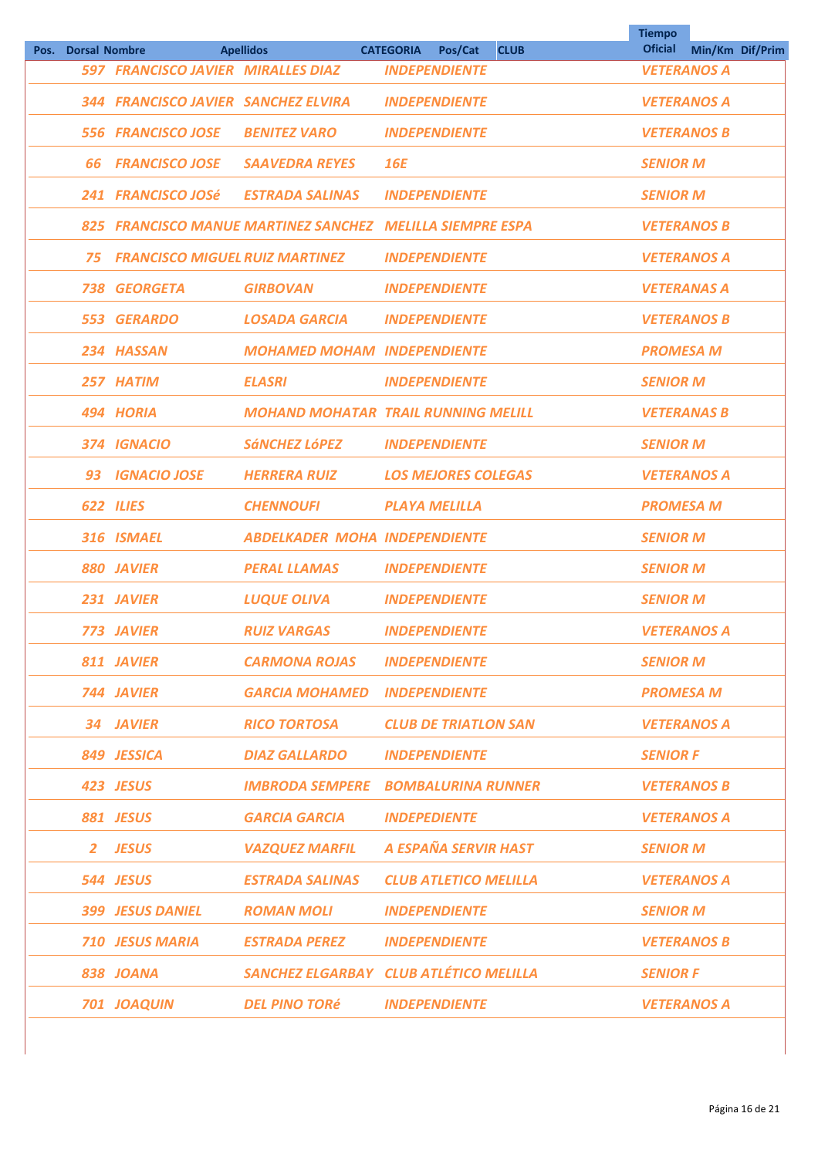| Pos. | <b>Dorsal Nombre</b> |                                                           | <b>Apellidos</b>                           | <b>CATEGORIA</b><br>Pos/Cat  | <b>CLUB</b> | <b>Tiempo</b><br><b>Oficial</b> | Min/Km Dif/Prim |
|------|----------------------|-----------------------------------------------------------|--------------------------------------------|------------------------------|-------------|---------------------------------|-----------------|
|      |                      | 597 FRANCISCO JAVIER MIRALLES DIAZ                        |                                            | <b>INDEPENDIENTE</b>         |             | <b>VETERANOS A</b>              |                 |
|      |                      | 344 FRANCISCO JAVIER SANCHEZ ELVIRA                       |                                            | <b>INDEPENDIENTE</b>         |             | <b>VETERANOS A</b>              |                 |
|      |                      | 556 FRANCISCO JOSE                                        | <b>BENITEZ VARO</b>                        | <b>INDEPENDIENTE</b>         |             | <b>VETERANOS B</b>              |                 |
|      | 66                   | <b>FRANCISCO JOSE</b>                                     | <b>SAAVEDRA REYES</b>                      | <b>16E</b>                   |             | <b>SENIOR M</b>                 |                 |
|      |                      | 241 FRANCISCO JOSé                                        | <b>ESTRADA SALINAS</b>                     | <b>INDEPENDIENTE</b>         |             | <b>SENIOR M</b>                 |                 |
|      |                      | 825 FRANCISCO MANUE MARTINEZ SANCHEZ MELILLA SIEMPRE ESPA |                                            |                              |             | <b>VETERANOS B</b>              |                 |
|      | 75                   | <b>FRANCISCO MIGUEL RUIZ MARTINEZ</b>                     |                                            | <b>INDEPENDIENTE</b>         |             | <b>VETERANOS A</b>              |                 |
|      | 738                  | <b>GEORGETA</b>                                           | <b>GIRBOVAN</b>                            | <b>INDEPENDIENTE</b>         |             | <b>VETERANAS A</b>              |                 |
|      | 553                  | <b>GERARDO</b>                                            | <b>LOSADA GARCIA</b>                       | <b>INDEPENDIENTE</b>         |             | <b>VETERANOS B</b>              |                 |
|      |                      | 234 HASSAN                                                | <b>MOHAMED MOHAM INDEPENDIENTE</b>         |                              |             | <b>PROMESA M</b>                |                 |
|      |                      | 257 HATIM                                                 | <b>ELASRI</b>                              | <b>INDEPENDIENTE</b>         |             | <b>SENIOR M</b>                 |                 |
|      |                      | 494 HORIA                                                 | <b>MOHAND MOHATAR TRAIL RUNNING MELILL</b> |                              |             | <b>VETERANAS B</b>              |                 |
|      |                      | 374 IGNACIO                                               | <b>SÁNCHEZ LÓPEZ</b>                       | <b>INDEPENDIENTE</b>         |             | <b>SENIOR M</b>                 |                 |
|      | 93                   | <b>IGNACIO JOSE</b>                                       | <b>HERRERA RUIZ</b>                        | <b>LOS MEJORES COLEGAS</b>   |             | <b>VETERANOS A</b>              |                 |
|      |                      | 622 ILIES                                                 | <b>CHENNOUFI</b>                           | <b>PLAYA MELILLA</b>         |             | <b>PROMESA M</b>                |                 |
|      |                      | 316 ISMAEL                                                | <b>ABDELKADER MOHA INDEPENDIENTE</b>       |                              |             | <b>SENIOR M</b>                 |                 |
|      |                      | 880 JAVIER                                                | <b>PERAL LLAMAS</b>                        | <b>INDEPENDIENTE</b>         |             | <b>SENIOR M</b>                 |                 |
|      |                      | 231 JAVIER                                                | <b>LUQUE OLIVA</b>                         | <b>INDEPENDIENTE</b>         |             | <b>SENIOR M</b>                 |                 |
|      |                      | <b>773 JAVIER</b>                                         | <b>RUIZ VARGAS</b>                         | <b>INDEPENDIENTE</b>         |             | <b>VETERANOS A</b>              |                 |
|      |                      | 811 JAVIER                                                | <b>CARMONA ROJAS</b>                       | <b>INDEPENDIENTE</b>         |             | <b>SENIOR M</b>                 |                 |
|      |                      | 744 JAVIER                                                | <b>GARCIA MOHAMED INDEPENDIENTE</b>        |                              |             | <b>PROMESA M</b>                |                 |
|      |                      | 34 JAVIER                                                 | <b>RICO TORTOSA</b>                        | <b>CLUB DE TRIATLON SAN</b>  |             | <b>VETERANOS A</b>              |                 |
|      |                      | 849 JESSICA                                               | <b>DIAZ GALLARDO</b>                       | <b>INDEPENDIENTE</b>         |             | <b>SENIOR F</b>                 |                 |
|      |                      | 423 JESUS                                                 | <b>IMBRODA SEMPERE BOMBALURINA RUNNER</b>  |                              |             | <b>VETERANOS B</b>              |                 |
|      |                      | 881 JESUS                                                 | <b>GARCIA GARCIA</b>                       | <b>INDEPEDIENTE</b>          |             | <b>VETERANOS A</b>              |                 |
|      |                      | 2 JESUS                                                   | <b>VAZQUEZ MARFIL</b>                      | A ESPAÑA SERVIR HAST         |             | <b>SENIOR M</b>                 |                 |
|      |                      | 544 JESUS                                                 | <b>ESTRADA SALINAS</b>                     | <b>CLUB ATLETICO MELILLA</b> |             | <b>VETERANOS A</b>              |                 |
|      |                      | <b>399 JESUS DANIEL</b>                                   | <b>ROMAN MOLI</b>                          | <b>INDEPENDIENTE</b>         |             | <b>SENIOR M</b>                 |                 |
|      |                      | <b>710 JESUS MARIA</b>                                    | <b>ESTRADA PEREZ</b>                       | <b>INDEPENDIENTE</b>         |             | <b>VETERANOS B</b>              |                 |
|      |                      | 838 JOANA                                                 | SANCHEZ ELGARBAY CLUB ATLÉTICO MELILLA     |                              |             | <b>SENIOR F</b>                 |                 |
|      |                      | 701 JOAQUIN                                               | DEL PINO TORé                              | <b>INDEPENDIENTE</b>         |             | <b>VETERANOS A</b>              |                 |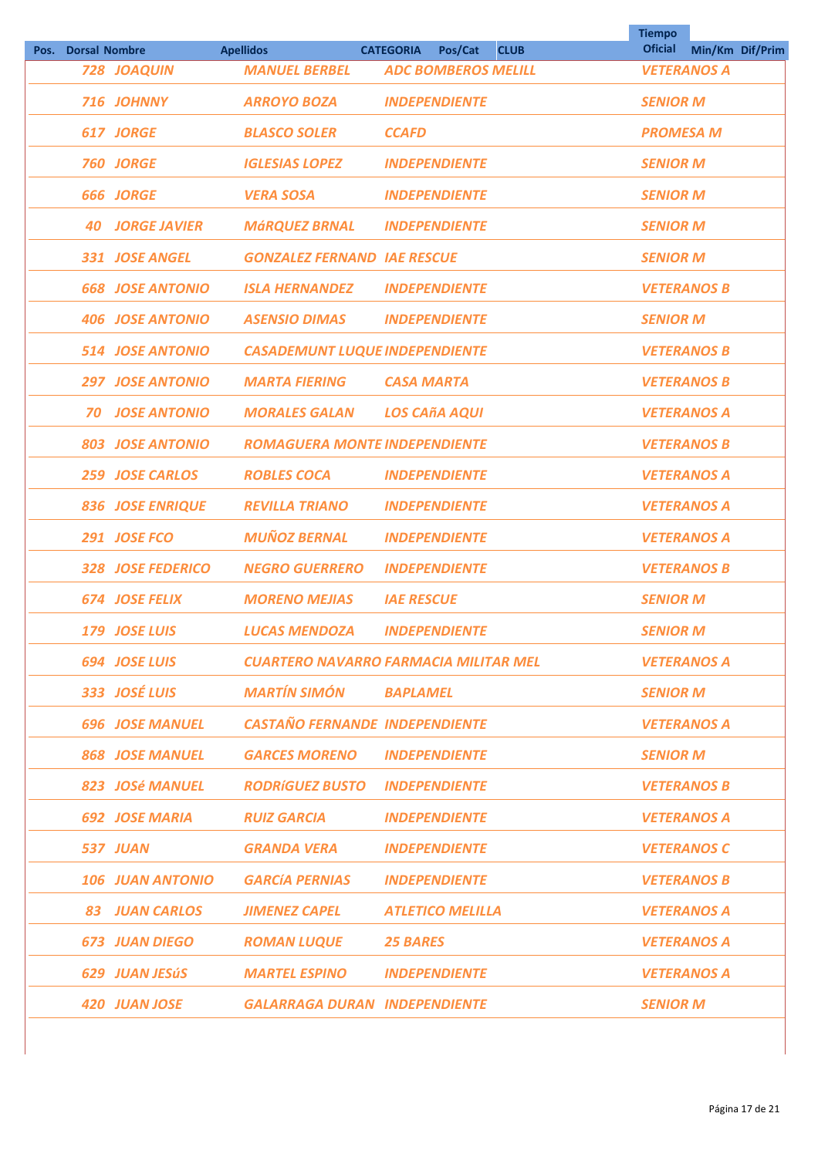| Pos. Dorsal Nombre |                         | <b>Apellidos</b>                      | <b>CATEGORIA</b><br>Pos/Cat<br><b>CLUB</b> | <b>Tiempo</b><br><b>Oficial</b> | Min/Km Dif/Prim |
|--------------------|-------------------------|---------------------------------------|--------------------------------------------|---------------------------------|-----------------|
|                    | 728 JOAQUIN             | <b>MANUEL BERBEL</b>                  | <b>ADC BOMBEROS MELILL</b>                 | <b>VETERANOS A</b>              |                 |
|                    | 716 JOHNNY              | <b>ARROYO BOZA</b>                    | <b>INDEPENDIENTE</b>                       | <b>SENIOR M</b>                 |                 |
|                    | 617 JORGE               | <b>BLASCO SOLER</b>                   | <b>CCAFD</b>                               | <b>PROMESA M</b>                |                 |
|                    | <b>760 JORGE</b>        | <b>IGLESIAS LOPEZ</b>                 | <b>INDEPENDIENTE</b>                       | <b>SENIOR M</b>                 |                 |
|                    | <b>666 JORGE</b>        | <b>VERA SOSA</b>                      | <b>INDEPENDIENTE</b>                       | <b>SENIOR M</b>                 |                 |
|                    | <b>40 JORGE JAVIER</b>  | <b>MÁRQUEZ BRNAL</b>                  | <b>INDEPENDIENTE</b>                       | <b>SENIOR M</b>                 |                 |
|                    | 331 JOSE ANGEL          | <b>GONZALEZ FERNAND IAE RESCUE</b>    |                                            | <b>SENIOR M</b>                 |                 |
|                    | <b>668 JOSE ANTONIO</b> | <b>ISLA HERNANDEZ</b>                 | <b>INDEPENDIENTE</b>                       | <b>VETERANOS B</b>              |                 |
|                    | <b>406 JOSE ANTONIO</b> | <b>ASENSIO DIMAS</b>                  | <b>INDEPENDIENTE</b>                       | <b>SENIOR M</b>                 |                 |
|                    | <b>514 JOSE ANTONIO</b> | <b>CASADEMUNT LUQUE INDEPENDIENTE</b> |                                            | <b>VETERANOS B</b>              |                 |
|                    | <b>297 JOSE ANTONIO</b> | <b>MARTA FIERING</b>                  | <b>CASA MARTA</b>                          | <b>VETERANOS B</b>              |                 |
| 70                 | <b>JOSE ANTONIO</b>     | <b>MORALES GALAN</b>                  | <b>LOS CAñA AQUI</b>                       | <b>VETERANOS A</b>              |                 |
|                    | <b>803 JOSE ANTONIO</b> | <b>ROMAGUERA MONTE INDEPENDIENTE</b>  |                                            | <b>VETERANOS B</b>              |                 |
|                    | 259 JOSE CARLOS         | <b>ROBLES COCA</b>                    | <b>INDEPENDIENTE</b>                       | <b>VETERANOS A</b>              |                 |
|                    | <b>836 JOSE ENRIQUE</b> | <b>REVILLA TRIANO</b>                 | <b>INDEPENDIENTE</b>                       | <b>VETERANOS A</b>              |                 |
|                    | 291 JOSE FCO            | <b>MUÑOZ BERNAL</b>                   | <b>INDEPENDIENTE</b>                       | <b>VETERANOS A</b>              |                 |
|                    | 328 JOSE FEDERICO       | <b>NEGRO GUERRERO</b>                 | <b>INDEPENDIENTE</b>                       | <b>VETERANOS B</b>              |                 |
|                    | <b>674 JOSE FELIX</b>   | <b>MORENO MEJIAS</b>                  | <b>IAE RESCUE</b>                          | <b>SENIOR M</b>                 |                 |
|                    | 179 JOSE LUIS           | <b>LUCAS MENDOZA</b>                  | <b>INDEPENDIENTE</b>                       | <b>SENIOR M</b>                 |                 |
|                    | <b>694 JOSE LUIS</b>    |                                       | CUARTERO NAVARRO FARMACIA MILITAR MEL      | <b>VETERANOS A</b>              |                 |
|                    | 333 JOSÉ LUIS           | MARTÍN SIMÓN                          | <b>BAPLAMEL</b>                            | <b>SENIOR M</b>                 |                 |
|                    | <b>696 JOSE MANUEL</b>  | <b>CASTAÑO FERNANDE INDEPENDIENTE</b> |                                            | <b>VETERANOS A</b>              |                 |
|                    | <b>868 JOSE MANUEL</b>  | <b>GARCES MORENO</b>                  | <b>INDEPENDIENTE</b>                       | <b>SENIOR M</b>                 |                 |
|                    | 823 JOSé MANUEL         | <b>RODRÍGUEZ BUSTO INDEPENDIENTE</b>  |                                            | <b>VETERANOS B</b>              |                 |
|                    | <b>692 JOSE MARIA</b>   | <b>RUIZ GARCIA</b>                    | <b>INDEPENDIENTE</b>                       | <b>VETERANOS A</b>              |                 |
|                    | 537 JUAN                | <b>GRANDA VERA</b>                    | <b>INDEPENDIENTE</b>                       | <b>VETERANOS C</b>              |                 |
|                    | <b>106 JUAN ANTONIO</b> | <b>GARCÍA PERNIAS</b>                 | <b>INDEPENDIENTE</b>                       | <b>VETERANOS B</b>              |                 |
|                    | <b>83 JUAN CARLOS</b>   | <b>JIMENEZ CAPEL</b>                  | <b>ATLETICO MELILLA</b>                    | <b>VETERANOS A</b>              |                 |
|                    | <b>673 JUAN DIEGO</b>   | ROMAN LUQUE                           | <b>25 BARES</b>                            | <b>VETERANOS A</b>              |                 |
|                    | 629 JUAN JESÚS          | <b>MARTEL ESPINO</b>                  | <b>INDEPENDIENTE</b>                       | <b>VETERANOS A</b>              |                 |
|                    | 420 JUAN JOSE           | <b>GALARRAGA DURAN INDEPENDIENTE</b>  |                                            | <b>SENIOR M</b>                 |                 |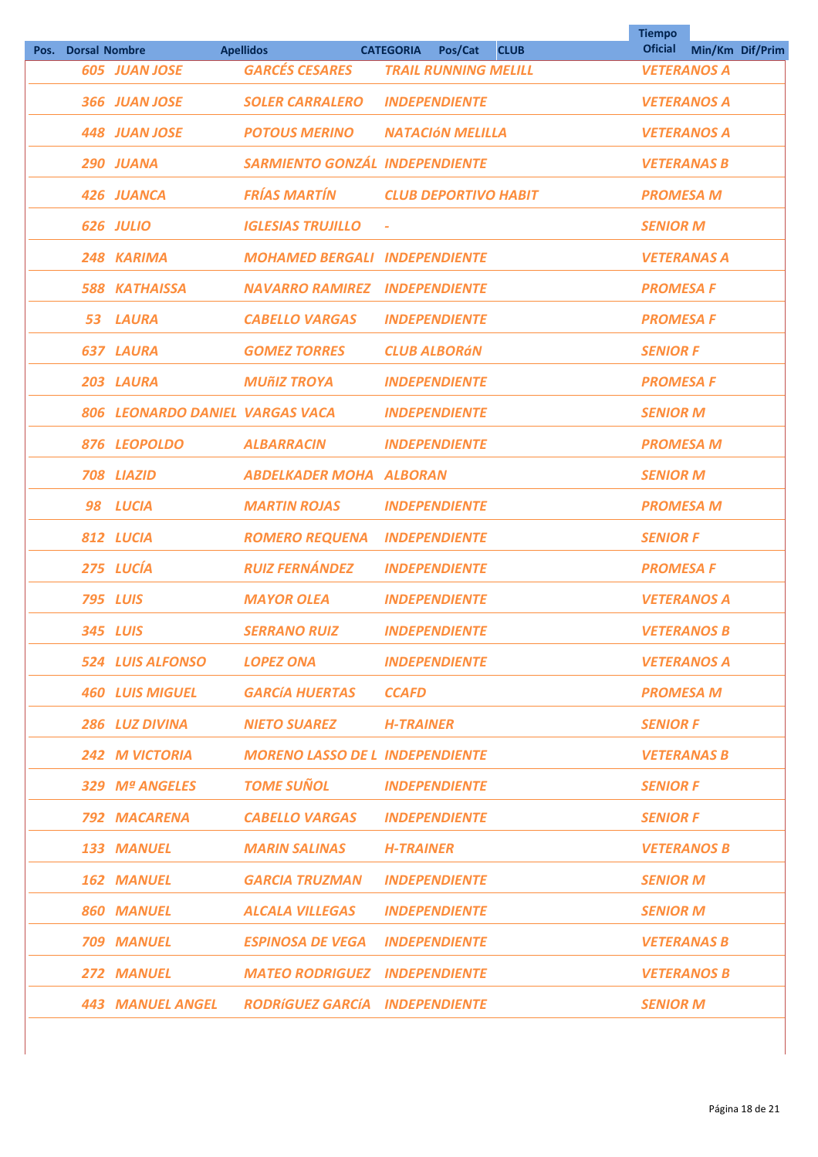|      |                      |                                 |                                        |                                            | <b>Tiempo</b><br><b>Oficial</b> |                 |  |
|------|----------------------|---------------------------------|----------------------------------------|--------------------------------------------|---------------------------------|-----------------|--|
| Pos. | <b>Dorsal Nombre</b> |                                 | <b>Apellidos</b>                       | <b>CATEGORIA</b><br>Pos/Cat<br><b>CLUB</b> |                                 | Min/Km Dif/Prim |  |
|      |                      | <b>605 JUAN JOSE</b>            | <b>GARCÉS CESARES</b>                  | <b>TRAIL RUNNING MELILL</b>                | <b>VETERANOS A</b>              |                 |  |
|      |                      | 366 JUAN JOSE                   | <b>SOLER CARRALERO</b>                 | <b>INDEPENDIENTE</b>                       | <b>VETERANOS A</b>              |                 |  |
|      |                      | <b>448 JUAN JOSE</b>            | <b>POTOUS MERINO</b>                   | <b>NATACIÓN MELILLA</b>                    | <b>VETERANOS A</b>              |                 |  |
|      |                      | 290 JUANA                       | <b>SARMIENTO GONZÁL INDEPENDIENTE</b>  |                                            | <b>VETERANAS B</b>              |                 |  |
|      |                      | 426 JUANCA                      | <b>FRÍAS MARTÍN</b>                    | <b>CLUB DEPORTIVO HABIT</b>                | <b>PROMESA M</b>                |                 |  |
|      |                      | 626 JULIO                       | <b>IGLESIAS TRUJILLO</b>               | $\bar{\phantom{a}}$                        | <b>SENIOR M</b>                 |                 |  |
|      |                      | 248 KARIMA                      | <b>MOHAMED BERGALI INDEPENDIENTE</b>   |                                            | <b>VETERANAS A</b>              |                 |  |
|      |                      | <b>588 KATHAISSA</b>            | <b>NAVARRO RAMIREZ</b>                 | <b>INDEPENDIENTE</b>                       | <b>PROMESA F</b>                |                 |  |
|      | 53                   | LAURA                           | <b>CABELLO VARGAS</b>                  | <b>INDEPENDIENTE</b>                       | <b>PROMESA F</b>                |                 |  |
|      |                      | <b>637 LAURA</b>                | <b>GOMEZ TORRES</b>                    | <b>CLUB ALBORÁN</b>                        | <b>SENIOR F</b>                 |                 |  |
|      |                      | 203 LAURA                       | <b>MUñIZ TROYA</b>                     | <b>INDEPENDIENTE</b>                       | <b>PROMESA F</b>                |                 |  |
|      |                      | 806 LEONARDO DANIEL VARGAS VACA |                                        | <b>INDEPENDIENTE</b>                       | <b>SENIOR M</b>                 |                 |  |
|      |                      | 876 LEOPOLDO                    | <b>ALBARRACIN</b>                      | <b>INDEPENDIENTE</b>                       | <b>PROMESA M</b>                |                 |  |
|      |                      | 708 LIAZID                      | <b>ABDELKADER MOHA ALBORAN</b>         |                                            | <b>SENIOR M</b>                 |                 |  |
|      |                      | 98 LUCIA                        | <b>MARTIN ROJAS</b>                    | <b>INDEPENDIENTE</b>                       | <b>PROMESA M</b>                |                 |  |
|      |                      | 812 LUCIA                       | <b>ROMERO REQUENA</b>                  | <b>INDEPENDIENTE</b>                       | <b>SENIOR F</b>                 |                 |  |
|      |                      | 275 LUCÍA                       | <b>RUIZ FERNÁNDEZ</b>                  | <b>INDEPENDIENTE</b>                       | <b>PROMESA F</b>                |                 |  |
|      |                      | <b>795 LUIS</b>                 | <b>MAYOR OLEA</b>                      | <b>INDEPENDIENTE</b>                       | <b>VETERANOS A</b>              |                 |  |
|      |                      | <b>345 LUIS</b>                 | <b>SERRANO RUIZ</b>                    | <b>INDEPENDIENTE</b>                       | <b>VETERANOS B</b>              |                 |  |
|      |                      | 524 LUIS ALFONSO                | LOPEZ ONA                              | <b>INDEPENDIENTE</b>                       | <b>VETERANOS A</b>              |                 |  |
|      |                      | <b>460 LUIS MIGUEL</b>          | GARCÍA HUERTAS                         | <b>CCAFD</b>                               | <b>PROMESA M</b>                |                 |  |
|      |                      | 286 LUZ DIVINA                  | <b>NIETO SUAREZ</b>                    | <b>H-TRAINER</b>                           | <b>SENIOR F</b>                 |                 |  |
|      |                      | <b>242 M VICTORIA</b>           | <b>MORENO LASSO DE L INDEPENDIENTE</b> |                                            | <b>VETERANAS B</b>              |                 |  |
|      |                      | 329 Mª ANGELES                  | TOME SUÑOL                             | <b>INDEPENDIENTE</b>                       | <b>SENIOR F</b>                 |                 |  |
|      |                      | 792 MACARENA                    | <b>CABELLO VARGAS</b>                  | <b>INDEPENDIENTE</b>                       | <b>SENIOR F</b>                 |                 |  |
|      |                      | 133 MANUEL                      | MARIN SALINAS                          | <b>H-TRAINER</b>                           | <b>VETERANOS B</b>              |                 |  |
|      |                      | <b>162 MANUEL</b>               | <b>GARCIA TRUZMAN</b>                  | <b>INDEPENDIENTE</b>                       | <b>SENIOR M</b>                 |                 |  |
|      |                      | <b>860 MANUEL</b>               | <b>ALCALA VILLEGAS</b>                 | <b>INDEPENDIENTE</b>                       | <b>SENIOR M</b>                 |                 |  |
|      |                      | <b>709 MANUEL</b>               | <b>ESPINOSA DE VEGA INDEPENDIENTE</b>  |                                            | <b>VETERANAS B</b>              |                 |  |
|      |                      | <b>272 MANUEL</b>               | <b>MATEO RODRIGUEZ INDEPENDIENTE</b>   |                                            | <b>VETERANOS B</b>              |                 |  |
|      |                      | 443 MANUEL ANGEL                | <b>RODRÍGUEZ GARCÍA INDEPENDIENTE</b>  |                                            | <b>SENIOR M</b>                 |                 |  |
|      |                      |                                 |                                        |                                            |                                 |                 |  |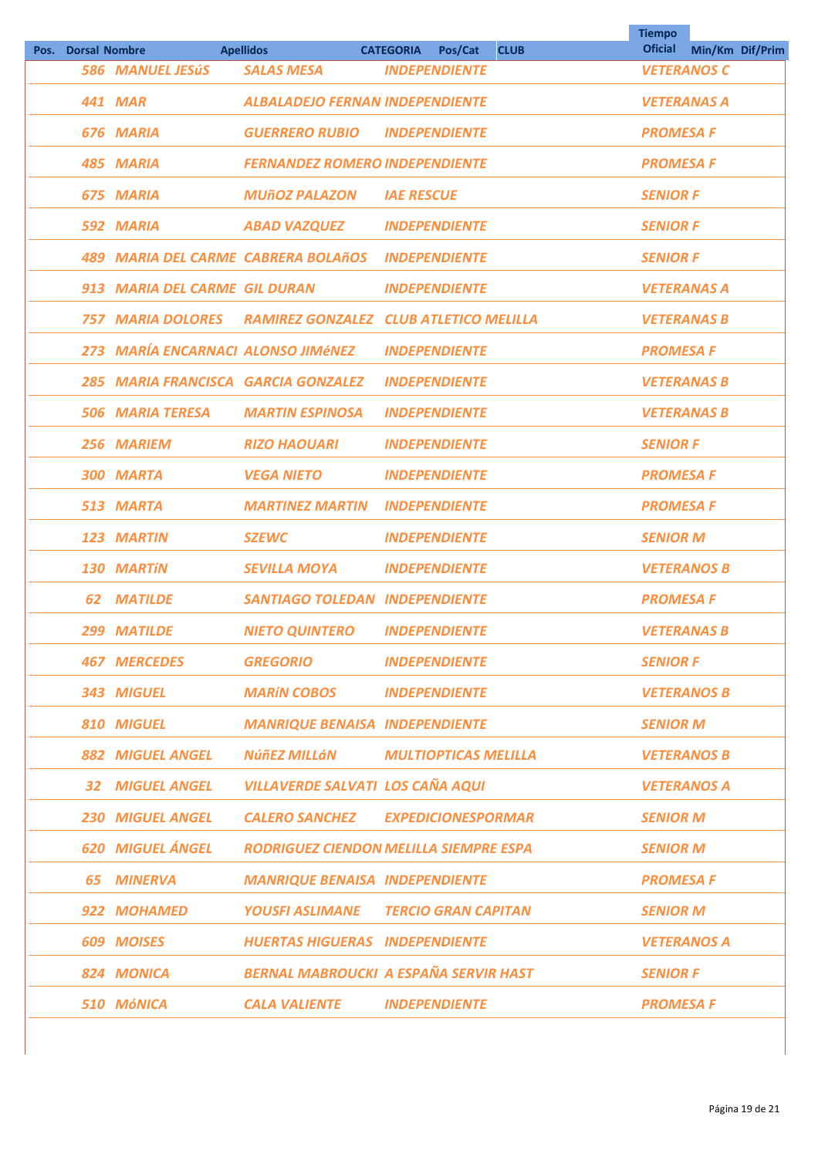|      |                      |                                                   |                                               |                             |             | <b>Tiempo</b>      |                 |  |
|------|----------------------|---------------------------------------------------|-----------------------------------------------|-----------------------------|-------------|--------------------|-----------------|--|
| Pos. | <b>Dorsal Nombre</b> |                                                   | <b>Apellidos</b>                              | <b>CATEGORIA</b><br>Pos/Cat | <b>CLUB</b> | <b>Oficial</b>     | Min/Km Dif/Prim |  |
|      |                      | <b>586 MANUEL JESÚS</b>                           | <b>SALAS MESA</b>                             | <b>INDEPENDIENTE</b>        |             | <b>VETERANOS C</b> |                 |  |
|      |                      | <b>441 MAR</b>                                    | <b>ALBALADEJO FERNAN INDEPENDIENTE</b>        |                             |             | <b>VETERANAS A</b> |                 |  |
|      |                      | 676 MARIA                                         | <b>GUERRERO RUBIO</b>                         | <b>INDEPENDIENTE</b>        |             | <b>PROMESA F</b>   |                 |  |
|      |                      | 485 MARIA                                         | <b>FERNANDEZ ROMERO INDEPENDIENTE</b>         |                             |             | <b>PROMESA F</b>   |                 |  |
|      |                      | 675 MARIA                                         | <b>MUÑOZ PALAZON</b>                          | <b>IAE RESCUE</b>           |             | <b>SENIOR F</b>    |                 |  |
|      |                      | 592 MARIA                                         | <b>ABAD VAZQUEZ</b>                           | <b>INDEPENDIENTE</b>        |             | <b>SENIOR F</b>    |                 |  |
|      |                      | 489 MARIA DEL CARME CABRERA BOLAñOS INDEPENDIENTE |                                               |                             |             | <b>SENIOR F</b>    |                 |  |
|      |                      | 913 MARIA DEL CARME GIL DURAN                     |                                               | <b>INDEPENDIENTE</b>        |             | <b>VETERANAS A</b> |                 |  |
|      |                      | <b>757 MARIA DOLORES</b>                          | <b>RAMIREZ GONZALEZ CLUB ATLETICO MELILLA</b> |                             |             | <b>VETERANAS B</b> |                 |  |
|      |                      | 273 MARÍA ENCARNACI ALONSO JIMÉNEZ                |                                               | <b>INDEPENDIENTE</b>        |             | <b>PROMESA F</b>   |                 |  |
|      |                      | 285 MARIA FRANCISCA GARCIA GONZALEZ               |                                               | <b>INDEPENDIENTE</b>        |             | <b>VETERANAS B</b> |                 |  |
|      |                      | <b>506 MARIA TERESA</b>                           | <b>MARTIN ESPINOSA</b>                        | <b>INDEPENDIENTE</b>        |             | <b>VETERANAS B</b> |                 |  |
|      |                      | 256 MARIEM                                        | <b>RIZO HAOUARI</b>                           | <b>INDEPENDIENTE</b>        |             | <b>SENIOR F</b>    |                 |  |
|      |                      | 300 MARTA                                         | <b>VEGA NIETO</b>                             | <b>INDEPENDIENTE</b>        |             | <b>PROMESA F</b>   |                 |  |
|      |                      | 513 MARTA                                         | <b>MARTINEZ MARTIN</b>                        | <b>INDEPENDIENTE</b>        |             | <b>PROMESA F</b>   |                 |  |
|      |                      | 123 MARTIN                                        | <b>SZEWC</b>                                  | <b>INDEPENDIENTE</b>        |             | <b>SENIOR M</b>    |                 |  |
|      |                      | <b>130 MARTÍN</b>                                 | <b>SEVILLA MOYA</b>                           | <b>INDEPENDIENTE</b>        |             | <b>VETERANOS B</b> |                 |  |
|      | 62                   | <b>MATILDE</b>                                    | <b>SANTIAGO TOLEDAN INDEPENDIENTE</b>         |                             |             | <b>PROMESA F</b>   |                 |  |
|      |                      | 299 MATILDE                                       | <b>NIETO QUINTERO</b>                         | <b>INDEPENDIENTE</b>        |             | <b>VETERANAS B</b> |                 |  |
|      |                      | <b>467 MERCEDES</b>                               | <b>GREGORIO</b>                               | <b>INDEPENDIENTE</b>        |             | <b>SENIOR F</b>    |                 |  |
|      |                      | 343 MIGUEL                                        | <b>MARÍN COBOS</b>                            | <i><b>INDEPENDIENTE</b></i> |             | <b>VETERANOS B</b> |                 |  |
|      |                      | <b>810 MIGUEL</b>                                 | <b>MANRIQUE BENAISA INDEPENDIENTE</b>         |                             |             | <b>SENIOR M</b>    |                 |  |
|      |                      | <b>882 MIGUEL ANGEL</b>                           | NúñEZ MILLáN                                  | <b>MULTIOPTICAS MELILLA</b> |             | <b>VETERANOS B</b> |                 |  |
|      |                      | <b>32 MIGUEL ANGEL</b>                            | <b>VILLAVERDE SALVATI LOS CAÑA AQUI</b>       |                             |             | <b>VETERANOS A</b> |                 |  |
|      |                      | <b>230 MIGUEL ANGEL</b>                           | <b>CALERO SANCHEZ EXPEDICIONESPORMAR</b>      |                             |             | <b>SENIOR M</b>    |                 |  |
|      |                      | <b>620 MIGUEL ÁNGEL</b>                           | <b>RODRIGUEZ CIENDON MELILLA SIEMPRE ESPA</b> |                             |             | <b>SENIOR M</b>    |                 |  |
|      |                      | <b>65 MINERVA</b>                                 | <b>MANRIQUE BENAISA INDEPENDIENTE</b>         |                             |             | <b>PROMESA F</b>   |                 |  |
|      |                      | 922 MOHAMED                                       | <b>YOUSFI ASLIMANE TERCIO GRAN CAPITAN</b>    |                             |             | <b>SENIOR M</b>    |                 |  |
|      |                      | 609 MOISES                                        | <b>HUERTAS HIGUERAS INDEPENDIENTE</b>         |                             |             | <b>VETERANOS A</b> |                 |  |
|      |                      | 824 MONICA                                        | <b>BERNAL MABROUCKI A ESPAÑA SERVIR HAST</b>  |                             |             | <b>SENIOR F</b>    |                 |  |
|      |                      | 510 MÓNICA                                        | <b>CALA VALIENTE</b>                          | <b>INDEPENDIENTE</b>        |             | <b>PROMESA F</b>   |                 |  |
|      |                      |                                                   |                                               |                             |             |                    |                 |  |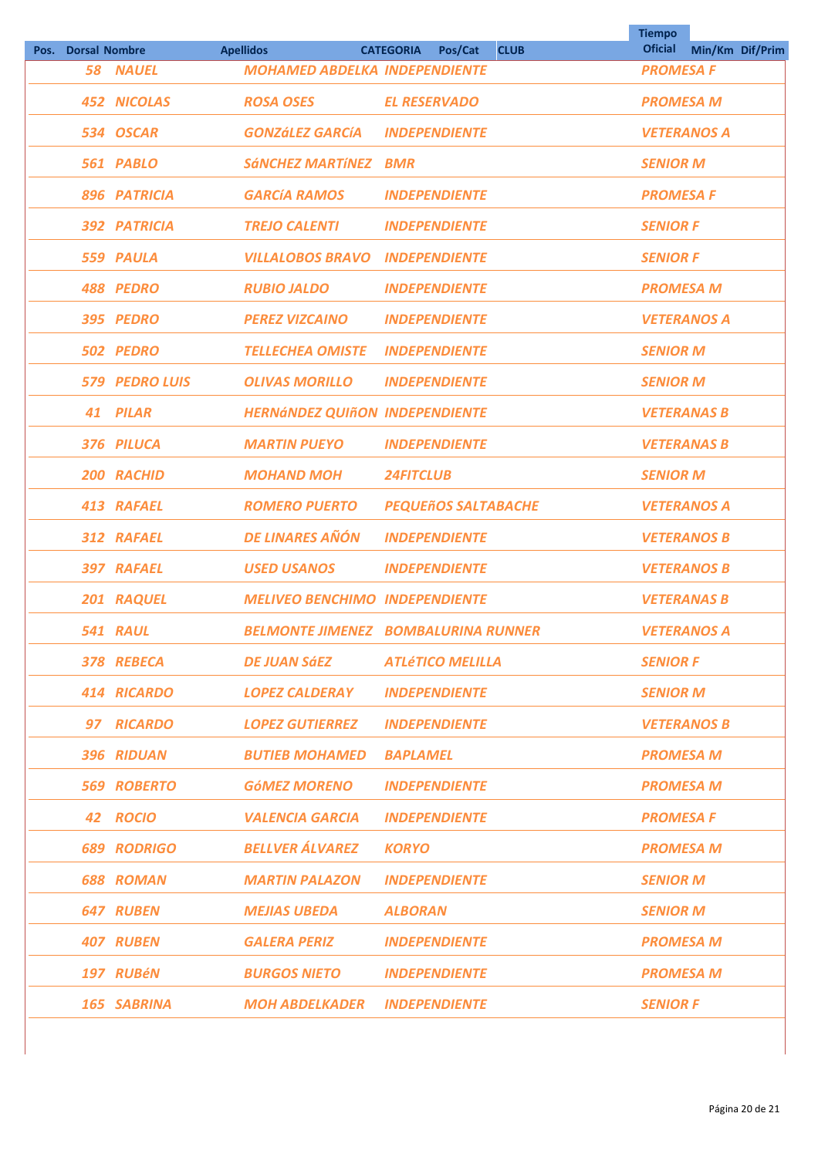|      |                      |                       |                                       |                                            | <b>Tiempo</b><br><b>Oficial</b> |                 |  |
|------|----------------------|-----------------------|---------------------------------------|--------------------------------------------|---------------------------------|-----------------|--|
| Pos. | <b>Dorsal Nombre</b> |                       | <b>Apellidos</b>                      | <b>CATEGORIA</b><br>Pos/Cat<br><b>CLUB</b> |                                 | Min/Km Dif/Prim |  |
|      |                      | <b>58 NAUEL</b>       | <b>MOHAMED ABDELKA INDEPENDIENTE</b>  |                                            | <b>PROMESA F</b>                |                 |  |
|      |                      | <b>452 NICOLAS</b>    | <b>ROSA OSES</b>                      | <b>EL RESERVADO</b>                        | <b>PROMESA M</b>                |                 |  |
|      |                      | 534 OSCAR             | <b>GONZÁLEZ GARCÍA</b>                | <b>INDEPENDIENTE</b>                       | <b>VETERANOS A</b>              |                 |  |
|      |                      | 561 PABLO             | <b>SÁNCHEZ MARTÍNEZ</b>               | <b>BMR</b>                                 | <b>SENIOR M</b>                 |                 |  |
|      |                      | 896 PATRICIA          | <b>GARCÍA RAMOS</b>                   | <b>INDEPENDIENTE</b>                       | <b>PROMESA F</b>                |                 |  |
|      |                      | 392 PATRICIA          | <b>TREJO CALENTI</b>                  | <b>INDEPENDIENTE</b>                       | <b>SENIOR F</b>                 |                 |  |
|      |                      | 559 PAULA             | <b>VILLALOBOS BRAVO</b>               | <b>INDEPENDIENTE</b>                       | <b>SENIOR F</b>                 |                 |  |
|      |                      | 488 PEDRO             | <b>RUBIO JALDO</b>                    | <b>INDEPENDIENTE</b>                       | <b>PROMESA M</b>                |                 |  |
|      |                      | 395 PEDRO             | <b>PEREZ VIZCAINO</b>                 | <b>INDEPENDIENTE</b>                       | <b>VETERANOS A</b>              |                 |  |
|      |                      | 502 PEDRO             | <b>TELLECHEA OMISTE</b>               | <b>INDEPENDIENTE</b>                       | <b>SENIOR M</b>                 |                 |  |
|      |                      | <b>579 PEDRO LUIS</b> | <b>OLIVAS MORILLO</b>                 | <b>INDEPENDIENTE</b>                       | <b>SENIOR M</b>                 |                 |  |
|      | 41                   | <b>PILAR</b>          | <b>HERNÁNDEZ QUIÑON INDEPENDIENTE</b> |                                            | <b>VETERANAS B</b>              |                 |  |
|      |                      | 376 PILUCA            | <b>MARTIN PUEYO</b>                   | <b>INDEPENDIENTE</b>                       | <b>VETERANAS B</b>              |                 |  |
|      |                      | 200 RACHID            | <b>MOHAND MOH</b>                     | <b>24FITCLUB</b>                           | <b>SENIOR M</b>                 |                 |  |
|      |                      | 413 RAFAEL            | <b>ROMERO PUERTO</b>                  | <b>PEQUEñOS SALTABACHE</b>                 | <b>VETERANOS A</b>              |                 |  |
|      |                      | 312 RAFAEL            | <b>DE LINARES AÑÓN</b>                | <b>INDEPENDIENTE</b>                       | <b>VETERANOS B</b>              |                 |  |
|      |                      | 397 RAFAEL            | <b>USED USANOS</b>                    | <b>INDEPENDIENTE</b>                       | <b>VETERANOS B</b>              |                 |  |
|      |                      | 201 RAQUEL            | <b>MELIVEO BENCHIMO INDEPENDIENTE</b> |                                            | <b>VETERANAS B</b>              |                 |  |
|      |                      | 541 RAUL              |                                       | <b>BELMONTE JIMENEZ BOMBALURINA RUNNER</b> | <b>VETERANOS A</b>              |                 |  |
|      |                      | 378 REBECA            | DE JUAN SáEZ                          | <b>ATLÉTICO MELILLA</b>                    | <b>SENIOR F</b>                 |                 |  |
|      |                      | 414 RICARDO           | <b>LOPEZ CALDERAY</b>                 | <b>INDEPENDIENTE</b>                       | <b>SENIOR M</b>                 |                 |  |
|      |                      | 97 RICARDO            | <b>LOPEZ GUTIERREZ</b>                | <b>INDEPENDIENTE</b>                       | <b>VETERANOS B</b>              |                 |  |
|      |                      | 396 RIDUAN            | <b>BUTIEB MOHAMED</b>                 | <b>BAPLAMEL</b>                            | <b>PROMESA M</b>                |                 |  |
|      |                      | <b>569 ROBERTO</b>    | <b>GÓMEZ MORENO</b>                   | <b>INDEPENDIENTE</b>                       | <b>PROMESA M</b>                |                 |  |
|      |                      | 42 ROCIO              | <b>VALENCIA GARCIA</b>                | <b>INDEPENDIENTE</b>                       | <b>PROMESA F</b>                |                 |  |
|      |                      | <b>689 RODRIGO</b>    | <b>BELLVER ÁLVAREZ</b>                | <b>KORYO</b>                               | <b>PROMESA M</b>                |                 |  |
|      |                      | <b>688 ROMAN</b>      | <b>MARTIN PALAZON</b>                 | <b>INDEPENDIENTE</b>                       | <b>SENIOR M</b>                 |                 |  |
|      |                      | <b>647 RUBEN</b>      | <b>MEJIAS UBEDA</b>                   | <b>ALBORAN</b>                             | <b>SENIOR M</b>                 |                 |  |
|      |                      | <b>407 RUBEN</b>      | <b>GALERA PERIZ</b>                   | <b>INDEPENDIENTE</b>                       | <b>PROMESA M</b>                |                 |  |
|      |                      | 197 RUBéN             | <b>BURGOS NIETO</b>                   | <b>INDEPENDIENTE</b>                       | <b>PROMESA M</b>                |                 |  |
|      |                      | 165 SABRINA           | MOH ABDELKADER                        | <b>INDEPENDIENTE</b>                       | <b>SENIOR F</b>                 |                 |  |
|      |                      |                       |                                       |                                            |                                 |                 |  |